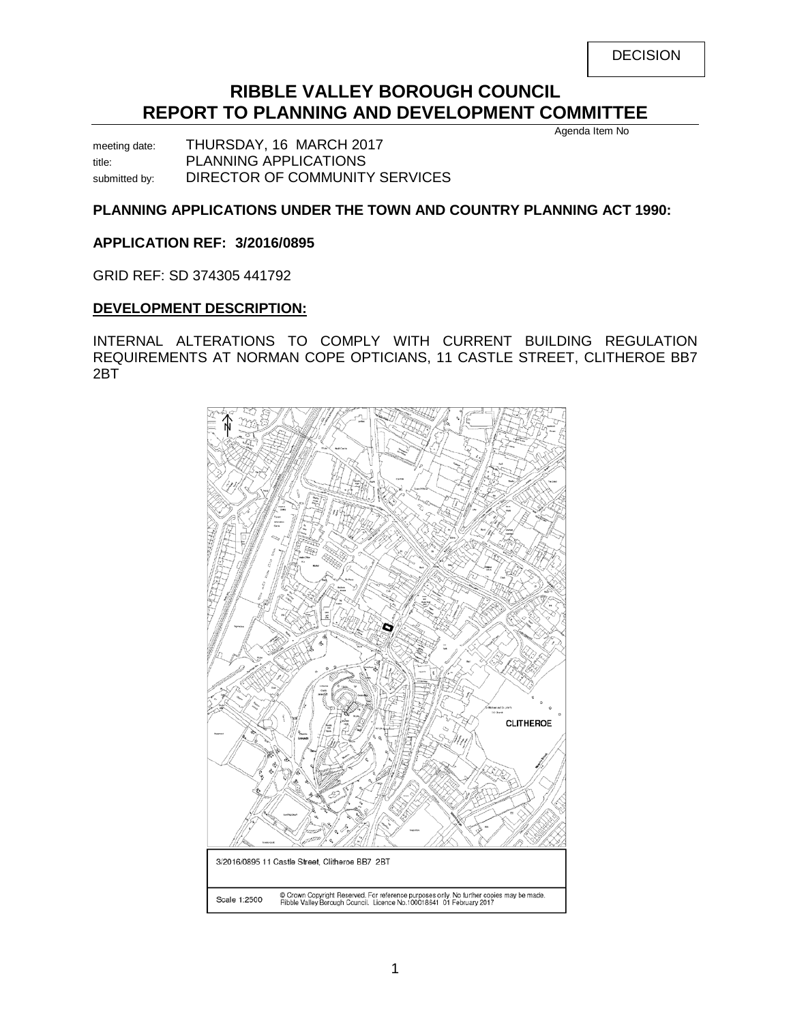| <b>DECISION</b> |
|-----------------|
|-----------------|

# **RIBBLE VALLEY BOROUGH COUNCIL REPORT TO PLANNING AND DEVELOPMENT COMMITTEE**

meeting date: THURSDAY, 16 MARCH 2017 title: PLANNING APPLICATIONS submitted by: DIRECTOR OF COMMUNITY SERVICES

# **PLANNING APPLICATIONS UNDER THE TOWN AND COUNTRY PLANNING ACT 1990:**

### **APPLICATION REF: 3/2016/0895**

GRID REF: SD 374305 441792

### **DEVELOPMENT DESCRIPTION:**

INTERNAL ALTERATIONS TO COMPLY WITH CURRENT BUILDING REGULATION REQUIREMENTS AT NORMAN COPE OPTICIANS, 11 CASTLE STREET, CLITHEROE BB7 2BT

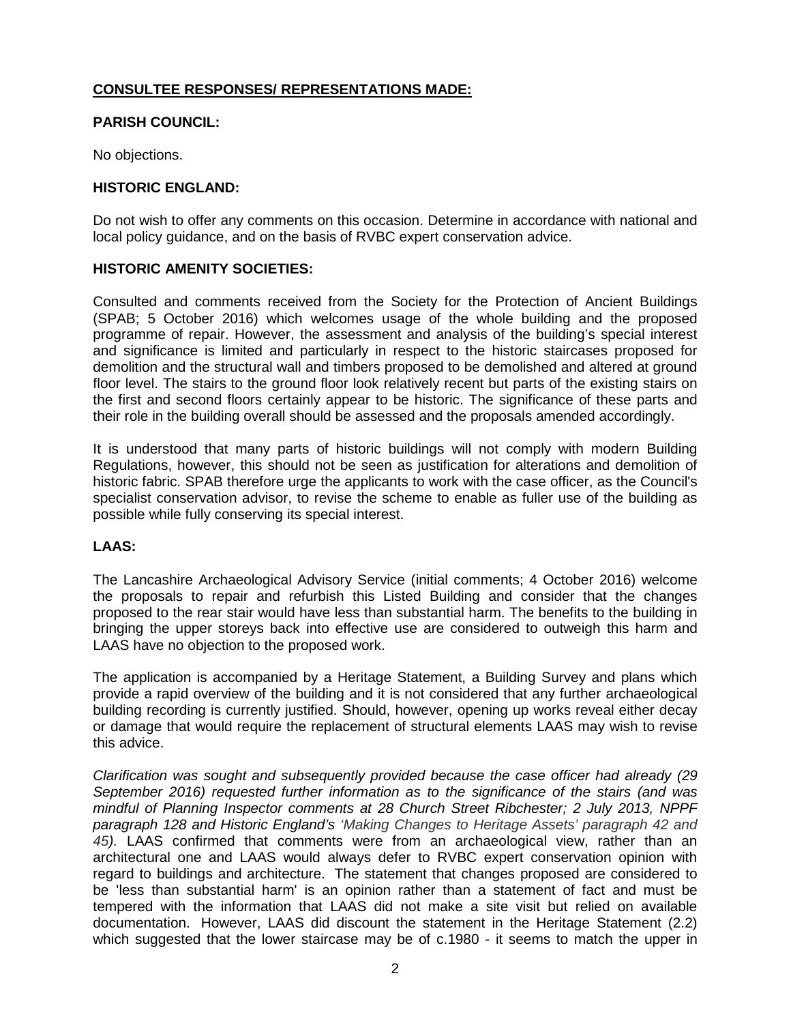# **CONSULTEE RESPONSES/ REPRESENTATIONS MADE:**

### **PARISH COUNCIL:**

No objections.

### **HISTORIC ENGLAND:**

Do not wish to offer any comments on this occasion. Determine in accordance with national and local policy guidance, and on the basis of RVBC expert conservation advice.

### **HISTORIC AMENITY SOCIETIES:**

Consulted and comments received from the Society for the Protection of Ancient Buildings (SPAB; 5 October 2016) which welcomes usage of the whole building and the proposed programme of repair. However, the assessment and analysis of the building's special interest and significance is limited and particularly in respect to the historic staircases proposed for demolition and the structural wall and timbers proposed to be demolished and altered at ground floor level. The stairs to the ground floor look relatively recent but parts of the existing stairs on the first and second floors certainly appear to be historic. The significance of these parts and their role in the building overall should be assessed and the proposals amended accordingly.

It is understood that many parts of historic buildings will not comply with modern Building Regulations, however, this should not be seen as justification for alterations and demolition of historic fabric. SPAB therefore urge the applicants to work with the case officer, as the Council's specialist conservation advisor, to revise the scheme to enable as fuller use of the building as possible while fully conserving its special interest.

# **LAAS:**

The Lancashire Archaeological Advisory Service (initial comments; 4 October 2016) welcome the proposals to repair and refurbish this Listed Building and consider that the changes proposed to the rear stair would have less than substantial harm. The benefits to the building in bringing the upper storeys back into effective use are considered to outweigh this harm and LAAS have no objection to the proposed work.

The application is accompanied by a Heritage Statement, a Building Survey and plans which provide a rapid overview of the building and it is not considered that any further archaeological building recording is currently justified. Should, however, opening up works reveal either decay or damage that would require the replacement of structural elements LAAS may wish to revise this advice.

*Clarification was sought and subsequently provided because the case officer had already (29 September 2016) requested further information as to the significance of the stairs (and was mindful of Planning Inspector comments at 28 Church Street Ribchester; 2 July 2013, NPPF paragraph 128 and Historic England's 'Making Changes to Heritage Assets' paragraph 42 and 45).* LAAS confirmed that comments were from an archaeological view, rather than an architectural one and LAAS would always defer to RVBC expert conservation opinion with regard to buildings and architecture. The statement that changes proposed are considered to be 'less than substantial harm' is an opinion rather than a statement of fact and must be tempered with the information that LAAS did not make a site visit but relied on available documentation. However, LAAS did discount the statement in the Heritage Statement (2.2) which suggested that the lower staircase may be of c.1980 - it seems to match the upper in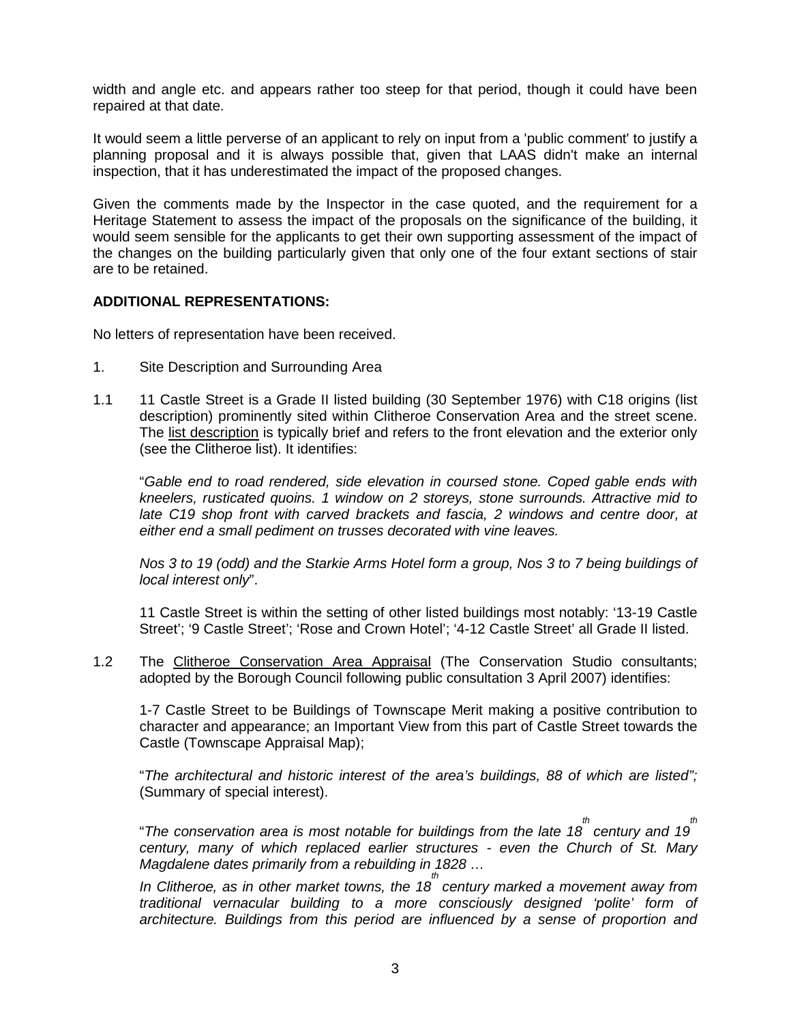width and angle etc. and appears rather too steep for that period, though it could have been repaired at that date.

It would seem a little perverse of an applicant to rely on input from a 'public comment' to justify a planning proposal and it is always possible that, given that LAAS didn't make an internal inspection, that it has underestimated the impact of the proposed changes.

Given the comments made by the Inspector in the case quoted, and the requirement for a Heritage Statement to assess the impact of the proposals on the significance of the building, it would seem sensible for the applicants to get their own supporting assessment of the impact of the changes on the building particularly given that only one of the four extant sections of stair are to be retained.

### **ADDITIONAL REPRESENTATIONS:**

No letters of representation have been received.

- 1. Site Description and Surrounding Area
- 1.1 11 Castle Street is a Grade II listed building (30 September 1976) with C18 origins (list description) prominently sited within Clitheroe Conservation Area and the street scene. The list description is typically brief and refers to the front elevation and the exterior only (see the Clitheroe list). It identifies:

"*Gable end to road rendered, side elevation in coursed stone. Coped gable ends with kneelers, rusticated quoins. 1 window on 2 storeys, stone surrounds. Attractive mid to*  late C19 shop front with carved brackets and fascia, 2 windows and centre door, at *either end a small pediment on trusses decorated with vine leaves.*

*Nos 3 to 19 (odd) and the Starkie Arms Hotel form a group, Nos 3 to 7 being buildings of local interest only*".

11 Castle Street is within the setting of other listed buildings most notably: '13-19 Castle Street'; '9 Castle Street'; 'Rose and Crown Hotel'; '4-12 Castle Street' all Grade II listed.

1.2 The Clitheroe Conservation Area Appraisal (The Conservation Studio consultants; adopted by the Borough Council following public consultation 3 April 2007) identifies:

1-7 Castle Street to be Buildings of Townscape Merit making a positive contribution to character and appearance; an Important View from this part of Castle Street towards the Castle (Townscape Appraisal Map);

"*The architectural and historic interest of the area's buildings, 88 of which are listed";*  (Summary of special interest).

"*The conservation area is most notable for buildings from the late 18 th century and 19 th century, many of which replaced earlier structures - even the Church of St. Mary Magdalene dates primarily from a rebuilding in 1828 …*

*In Clitheroe, as in other market towns, the 18 th century marked a movement away from traditional vernacular building to a more consciously designed 'polite' form of architecture. Buildings from this period are influenced by a sense of proportion and*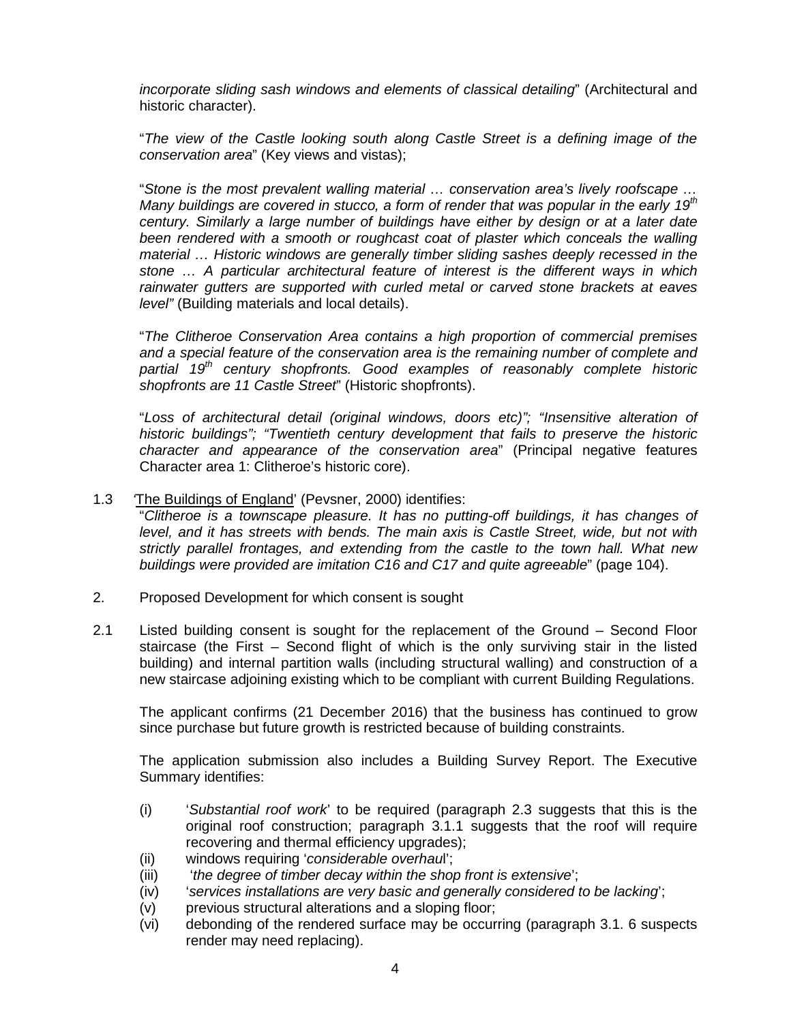*incorporate sliding sash windows and elements of classical detailing*" (Architectural and historic character).

"*The view of the Castle looking south along Castle Street is a defining image of the conservation area*" (Key views and vistas);

"*Stone is the most prevalent walling material … conservation area's lively roofscape … Many buildings are covered in stucco, a form of render that was popular in the early 19th century. Similarly a large number of buildings have either by design or at a later date*  been rendered with a smooth or roughcast coat of plaster which conceals the walling *material … Historic windows are generally timber sliding sashes deeply recessed in the stone … A particular architectural feature of interest is the different ways in which rainwater gutters are supported with curled metal or carved stone brackets at eaves level"* (Building materials and local details).

"*The Clitheroe Conservation Area contains a high proportion of commercial premises and a special feature of the conservation area is the remaining number of complete and partial 19th century shopfronts. Good examples of reasonably complete historic shopfronts are 11 Castle Street*" (Historic shopfronts).

"*Loss of architectural detail (original windows, doors etc)"; "Insensitive alteration of historic buildings"; "Twentieth century development that fails to preserve the historic character and appearance of the conservation area*" (Principal negative features Character area 1: Clitheroe's historic core).

### 1.3 *'*The Buildings of England' (Pevsner, 2000) identifies:

"*Clitheroe is a townscape pleasure. It has no putting-off buildings, it has changes of level, and it has streets with bends. The main axis is Castle Street, wide, but not with strictly parallel frontages, and extending from the castle to the town hall. What new buildings were provided are imitation C16 and C17 and quite agreeable*" (page 104).

- 2. Proposed Development for which consent is sought
- 2.1 Listed building consent is sought for the replacement of the Ground Second Floor staircase (the First – Second flight of which is the only surviving stair in the listed building) and internal partition walls (including structural walling) and construction of a new staircase adjoining existing which to be compliant with current Building Regulations.

The applicant confirms (21 December 2016) that the business has continued to grow since purchase but future growth is restricted because of building constraints.

The application submission also includes a Building Survey Report. The Executive Summary identifies:

- (i) '*Substantial roof work*' to be required (paragraph 2.3 suggests that this is the original roof construction; paragraph 3.1.1 suggests that the roof will require recovering and thermal efficiency upgrades);
- (ii) windows requiring '*considerable overhau*l';
- (iii) '*the degree of timber decay within the shop front is extensive*';
- (iv) '*services installations are very basic and generally considered to be lacking*';
- (v) previous structural alterations and a sloping floor;
- (vi) debonding of the rendered surface may be occurring (paragraph 3.1. 6 suspects render may need replacing).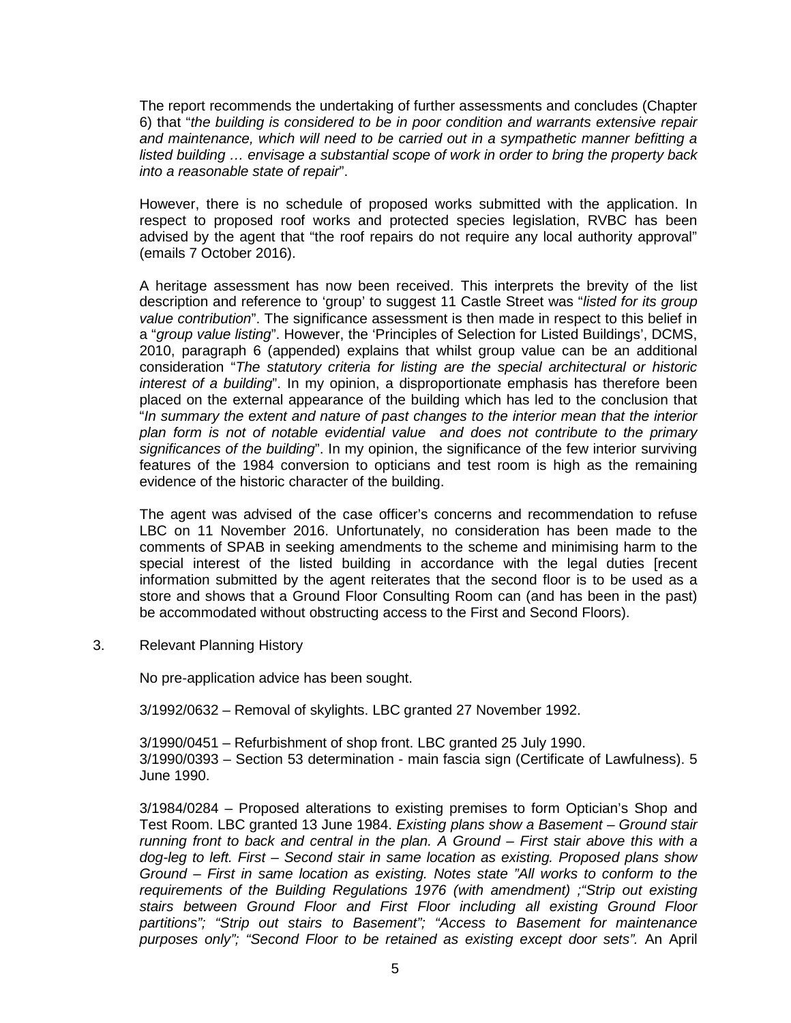The report recommends the undertaking of further assessments and concludes (Chapter 6) that "*the building is considered to be in poor condition and warrants extensive repair and maintenance, which will need to be carried out in a sympathetic manner befitting a listed building … envisage a substantial scope of work in order to bring the property back into a reasonable state of repair*".

However, there is no schedule of proposed works submitted with the application. In respect to proposed roof works and protected species legislation, RVBC has been advised by the agent that "the roof repairs do not require any local authority approval" (emails 7 October 2016).

A heritage assessment has now been received. This interprets the brevity of the list description and reference to 'group' to suggest 11 Castle Street was "*listed for its group value contribution*". The significance assessment is then made in respect to this belief in a "*group value listing*". However, the 'Principles of Selection for Listed Buildings', DCMS, 2010, paragraph 6 (appended) explains that whilst group value can be an additional consideration "*The statutory criteria for listing are the special architectural or historic interest of a building*". In my opinion, a disproportionate emphasis has therefore been placed on the external appearance of the building which has led to the conclusion that "*In summary the extent and nature of past changes to the interior mean that the interior plan form is not of notable evidential value and does not contribute to the primary significances of the building*". In my opinion, the significance of the few interior surviving features of the 1984 conversion to opticians and test room is high as the remaining evidence of the historic character of the building.

The agent was advised of the case officer's concerns and recommendation to refuse LBC on 11 November 2016. Unfortunately, no consideration has been made to the comments of SPAB in seeking amendments to the scheme and minimising harm to the special interest of the listed building in accordance with the legal duties [recent information submitted by the agent reiterates that the second floor is to be used as a store and shows that a Ground Floor Consulting Room can (and has been in the past) be accommodated without obstructing access to the First and Second Floors).

3. Relevant Planning History

No pre-application advice has been sought.

3/1992/0632 – Removal of skylights. LBC granted 27 November 1992.

3/1990/0451 – Refurbishment of shop front. LBC granted 25 July 1990. 3/1990/0393 – Section 53 determination - main fascia sign (Certificate of Lawfulness). 5 June 1990.

3/1984/0284 – Proposed alterations to existing premises to form Optician's Shop and Test Room. LBC granted 13 June 1984. *Existing plans show a Basement – Ground stair running front to back and central in the plan. A Ground – First stair above this with a dog-leg to left. First – Second stair in same location as existing. Proposed plans show Ground – First in same location as existing. Notes state "All works to conform to the requirements of the Building Regulations 1976 (with amendment) ;"Strip out existing stairs between Ground Floor and First Floor including all existing Ground Floor partitions"; "Strip out stairs to Basement"; "Access to Basement for maintenance purposes only"; "Second Floor to be retained as existing except door sets".* An April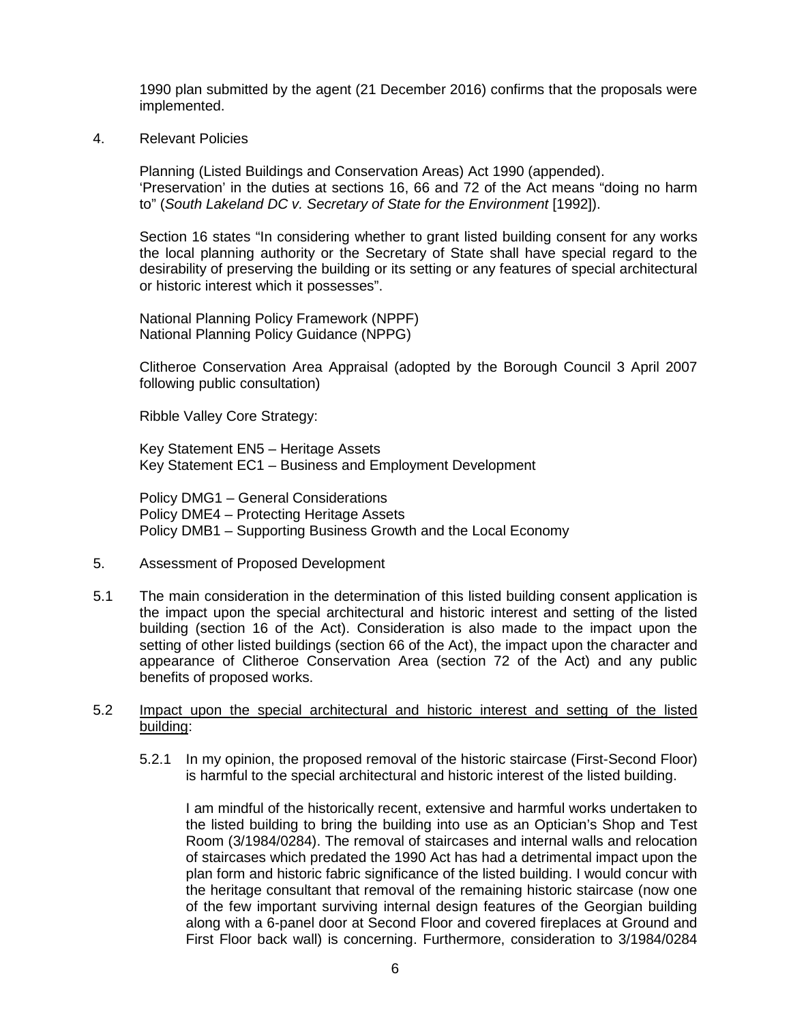1990 plan submitted by the agent (21 December 2016) confirms that the proposals were implemented.

4. Relevant Policies

Planning (Listed Buildings and Conservation Areas) Act 1990 (appended). 'Preservation' in the duties at sections 16, 66 and 72 of the Act means "doing no harm to" (*South Lakeland DC v. Secretary of State for the Environment* [1992]).

Section 16 states "In considering whether to grant listed building consent for any works the local planning authority or the Secretary of State shall have special regard to the desirability of preserving the building or its setting or any features of special architectural or historic interest which it possesses".

National Planning Policy Framework (NPPF) National Planning Policy Guidance (NPPG)

Clitheroe Conservation Area Appraisal (adopted by the Borough Council 3 April 2007 following public consultation)

Ribble Valley Core Strategy:

Key Statement EN5 – Heritage Assets Key Statement EC1 – Business and Employment Development

Policy DMG1 – General Considerations Policy DME4 – Protecting Heritage Assets Policy DMB1 – Supporting Business Growth and the Local Economy

- 5. Assessment of Proposed Development
- 5.1 The main consideration in the determination of this listed building consent application is the impact upon the special architectural and historic interest and setting of the listed building (section 16 of the Act). Consideration is also made to the impact upon the setting of other listed buildings (section 66 of the Act), the impact upon the character and appearance of Clitheroe Conservation Area (section 72 of the Act) and any public benefits of proposed works.

### 5.2 Impact upon the special architectural and historic interest and setting of the listed building:

5.2.1 In my opinion, the proposed removal of the historic staircase (First-Second Floor) is harmful to the special architectural and historic interest of the listed building.

I am mindful of the historically recent, extensive and harmful works undertaken to the listed building to bring the building into use as an Optician's Shop and Test Room (3/1984/0284). The removal of staircases and internal walls and relocation of staircases which predated the 1990 Act has had a detrimental impact upon the plan form and historic fabric significance of the listed building. I would concur with the heritage consultant that removal of the remaining historic staircase (now one of the few important surviving internal design features of the Georgian building along with a 6-panel door at Second Floor and covered fireplaces at Ground and First Floor back wall) is concerning. Furthermore, consideration to 3/1984/0284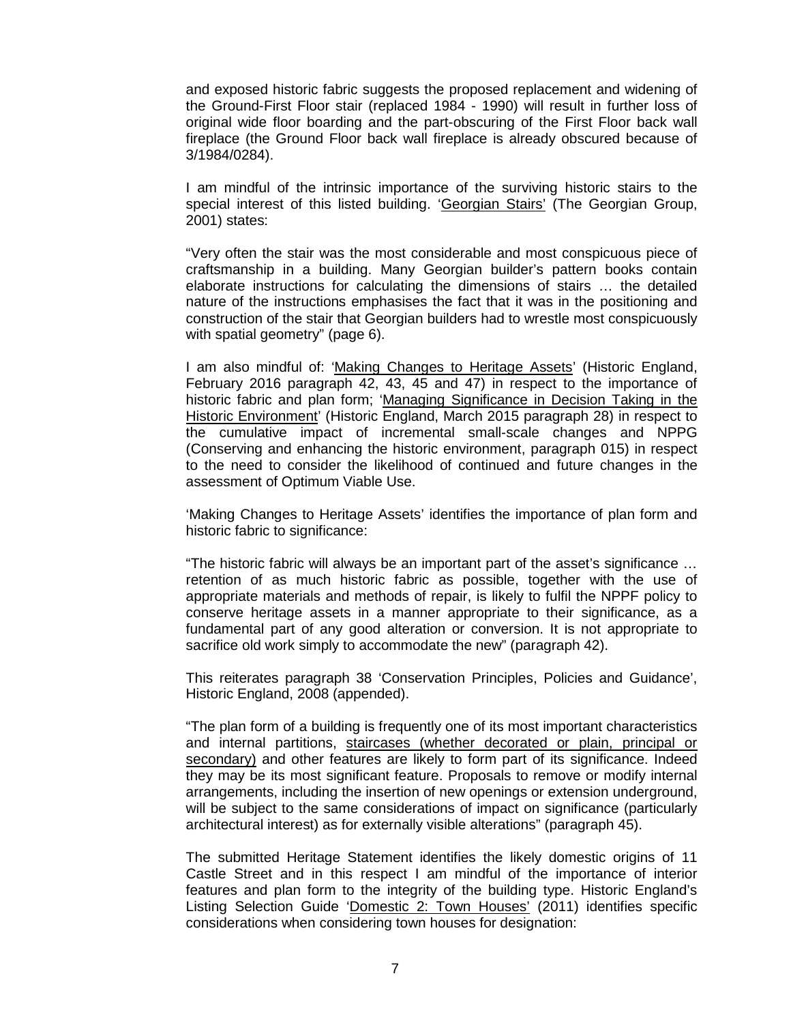and exposed historic fabric suggests the proposed replacement and widening of the Ground-First Floor stair (replaced 1984 - 1990) will result in further loss of original wide floor boarding and the part-obscuring of the First Floor back wall fireplace (the Ground Floor back wall fireplace is already obscured because of 3/1984/0284).

I am mindful of the intrinsic importance of the surviving historic stairs to the special interest of this listed building. 'Georgian Stairs' (The Georgian Group, 2001) states:

"Very often the stair was the most considerable and most conspicuous piece of craftsmanship in a building. Many Georgian builder's pattern books contain elaborate instructions for calculating the dimensions of stairs … the detailed nature of the instructions emphasises the fact that it was in the positioning and construction of the stair that Georgian builders had to wrestle most conspicuously with spatial geometry" (page 6).

I am also mindful of: 'Making Changes to Heritage Assets' (Historic England, February 2016 paragraph 42, 43, 45 and 47) in respect to the importance of historic fabric and plan form; 'Managing Significance in Decision Taking in the Historic Environment' (Historic England, March 2015 paragraph 28) in respect to the cumulative impact of incremental small-scale changes and NPPG (Conserving and enhancing the historic environment, paragraph 015) in respect to the need to consider the likelihood of continued and future changes in the assessment of Optimum Viable Use.

'Making Changes to Heritage Assets' identifies the importance of plan form and historic fabric to significance:

"The historic fabric will always be an important part of the asset's significance … retention of as much historic fabric as possible, together with the use of appropriate materials and methods of repair, is likely to fulfil the NPPF policy to conserve heritage assets in a manner appropriate to their significance, as a fundamental part of any good alteration or conversion. It is not appropriate to sacrifice old work simply to accommodate the new" (paragraph 42).

This reiterates paragraph 38 'Conservation Principles, Policies and Guidance', Historic England, 2008 (appended).

"The plan form of a building is frequently one of its most important characteristics and internal partitions, staircases (whether decorated or plain, principal or secondary) and other features are likely to form part of its significance. Indeed they may be its most significant feature. Proposals to remove or modify internal arrangements, including the insertion of new openings or extension underground, will be subject to the same considerations of impact on significance (particularly architectural interest) as for externally visible alterations" (paragraph 45).

The submitted Heritage Statement identifies the likely domestic origins of 11 Castle Street and in this respect I am mindful of the importance of interior features and plan form to the integrity of the building type. Historic England's Listing Selection Guide 'Domestic 2: Town Houses' (2011) identifies specific considerations when considering town houses for designation: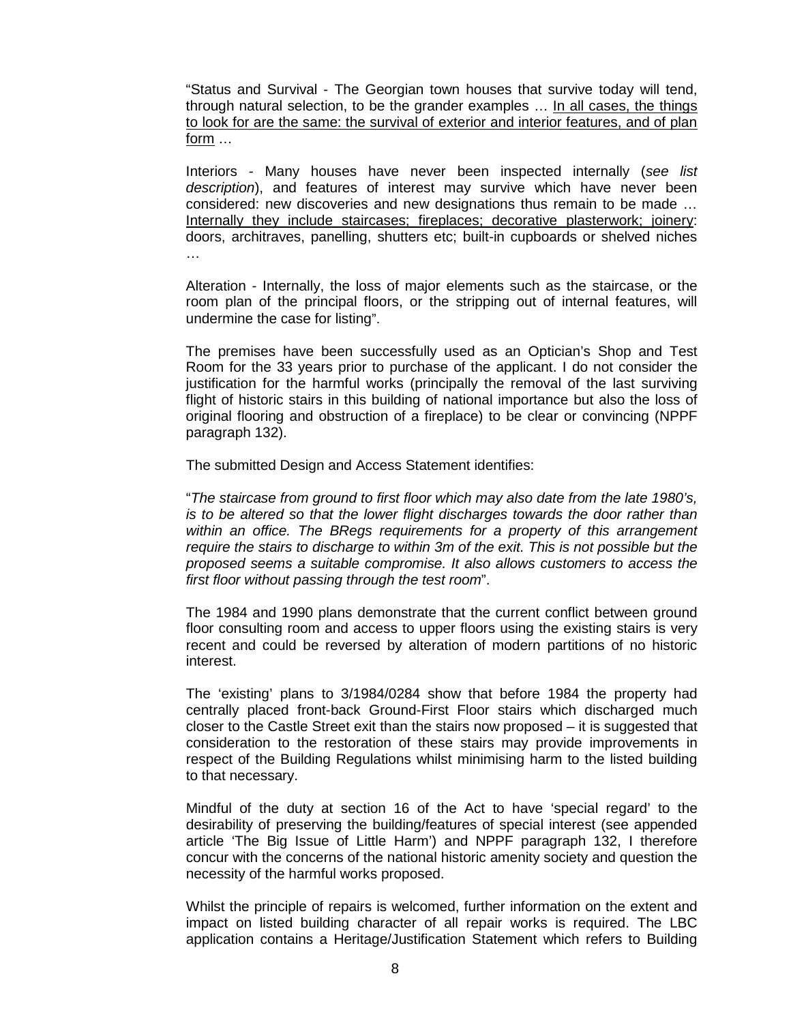"Status and Survival - The Georgian town houses that survive today will tend, through natural selection, to be the grander examples … In all cases, the things to look for are the same: the survival of exterior and interior features, and of plan form …

Interiors - Many houses have never been inspected internally (*see list description*), and features of interest may survive which have never been considered: new discoveries and new designations thus remain to be made … Internally they include staircases; fireplaces; decorative plasterwork; joinery: doors, architraves, panelling, shutters etc; built-in cupboards or shelved niches …

Alteration - Internally, the loss of major elements such as the staircase, or the room plan of the principal floors, or the stripping out of internal features, will undermine the case for listing".

The premises have been successfully used as an Optician's Shop and Test Room for the 33 years prior to purchase of the applicant. I do not consider the justification for the harmful works (principally the removal of the last surviving flight of historic stairs in this building of national importance but also the loss of original flooring and obstruction of a fireplace) to be clear or convincing (NPPF paragraph 132).

The submitted Design and Access Statement identifies:

"*The staircase from ground to first floor which may also date from the late 1980's, is to be altered so that the lower flight discharges towards the door rather than within an office. The BRegs requirements for a property of this arrangement require the stairs to discharge to within 3m of the exit. This is not possible but the proposed seems a suitable compromise. It also allows customers to access the first floor without passing through the test room*".

The 1984 and 1990 plans demonstrate that the current conflict between ground floor consulting room and access to upper floors using the existing stairs is very recent and could be reversed by alteration of modern partitions of no historic interest.

The 'existing' plans to 3/1984/0284 show that before 1984 the property had centrally placed front-back Ground-First Floor stairs which discharged much closer to the Castle Street exit than the stairs now proposed – it is suggested that consideration to the restoration of these stairs may provide improvements in respect of the Building Regulations whilst minimising harm to the listed building to that necessary.

Mindful of the duty at section 16 of the Act to have 'special regard' to the desirability of preserving the building/features of special interest (see appended article 'The Big Issue of Little Harm') and NPPF paragraph 132, I therefore concur with the concerns of the national historic amenity society and question the necessity of the harmful works proposed.

Whilst the principle of repairs is welcomed, further information on the extent and impact on listed building character of all repair works is required. The LBC application contains a Heritage/Justification Statement which refers to Building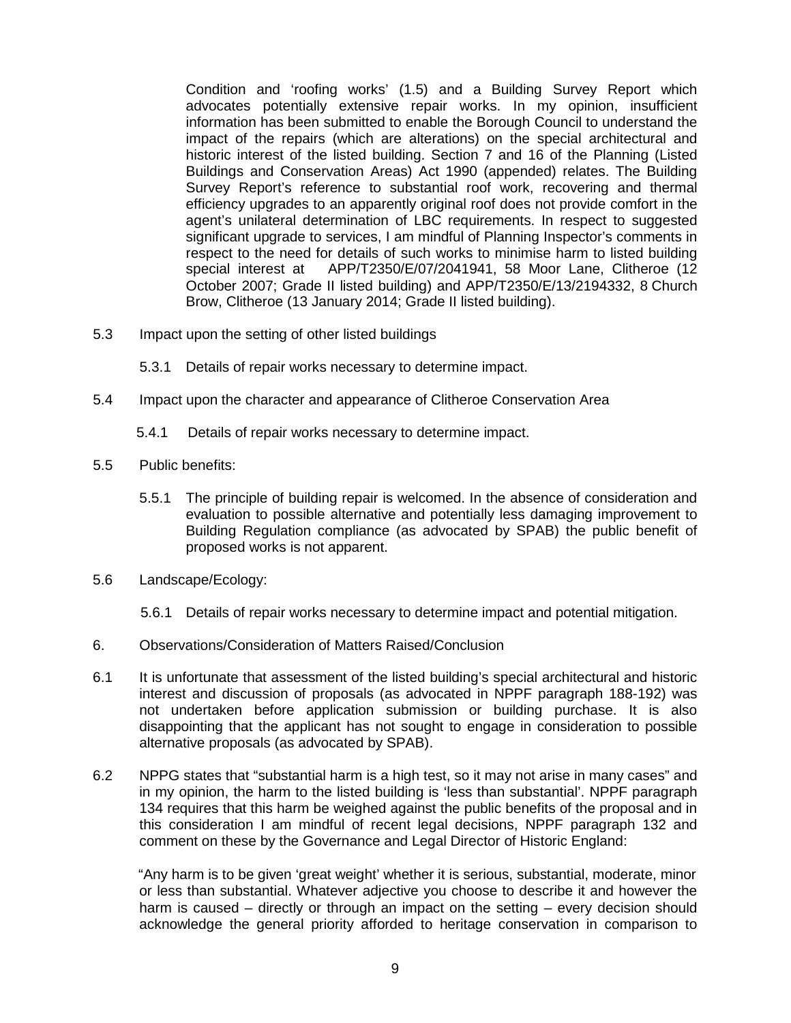Condition and 'roofing works' (1.5) and a Building Survey Report which advocates potentially extensive repair works. In my opinion, insufficient information has been submitted to enable the Borough Council to understand the impact of the repairs (which are alterations) on the special architectural and historic interest of the listed building. Section 7 and 16 of the Planning (Listed Buildings and Conservation Areas) Act 1990 (appended) relates. The Building Survey Report's reference to substantial roof work, recovering and thermal efficiency upgrades to an apparently original roof does not provide comfort in the agent's unilateral determination of LBC requirements. In respect to suggested significant upgrade to services, I am mindful of Planning Inspector's comments in respect to the need for details of such works to minimise harm to listed building special interest at APP/T2350/E/07/2041941, 58 Moor Lane, Clitheroe (12 October 2007; Grade II listed building) and APP/T2350/E/13/2194332, 8 Church Brow, Clitheroe (13 January 2014; Grade II listed building).

- 5.3 Impact upon the setting of other listed buildings
	- 5.3.1 Details of repair works necessary to determine impact.
- 5.4 Impact upon the character and appearance of Clitheroe Conservation Area
	- 5.4.1 Details of repair works necessary to determine impact.
- 5.5 Public benefits:
	- 5.5.1 The principle of building repair is welcomed. In the absence of consideration and evaluation to possible alternative and potentially less damaging improvement to Building Regulation compliance (as advocated by SPAB) the public benefit of proposed works is not apparent.
- 5.6 Landscape/Ecology:
	- 5.6.1 Details of repair works necessary to determine impact and potential mitigation.
- 6. Observations/Consideration of Matters Raised/Conclusion
- 6.1 It is unfortunate that assessment of the listed building's special architectural and historic interest and discussion of proposals (as advocated in NPPF paragraph 188-192) was not undertaken before application submission or building purchase. It is also disappointing that the applicant has not sought to engage in consideration to possible alternative proposals (as advocated by SPAB).
- 6.2 NPPG states that "substantial harm is a high test, so it may not arise in many cases" and in my opinion, the harm to the listed building is 'less than substantial'. NPPF paragraph 134 requires that this harm be weighed against the public benefits of the proposal and in this consideration I am mindful of recent legal decisions, NPPF paragraph 132 and comment on these by the Governance and Legal Director of Historic England:

 "Any harm is to be given 'great weight' whether it is serious, substantial, moderate, minor or less than substantial. Whatever adjective you choose to describe it and however the harm is caused – directly or through an impact on the setting – every decision should acknowledge the general priority afforded to heritage conservation in comparison to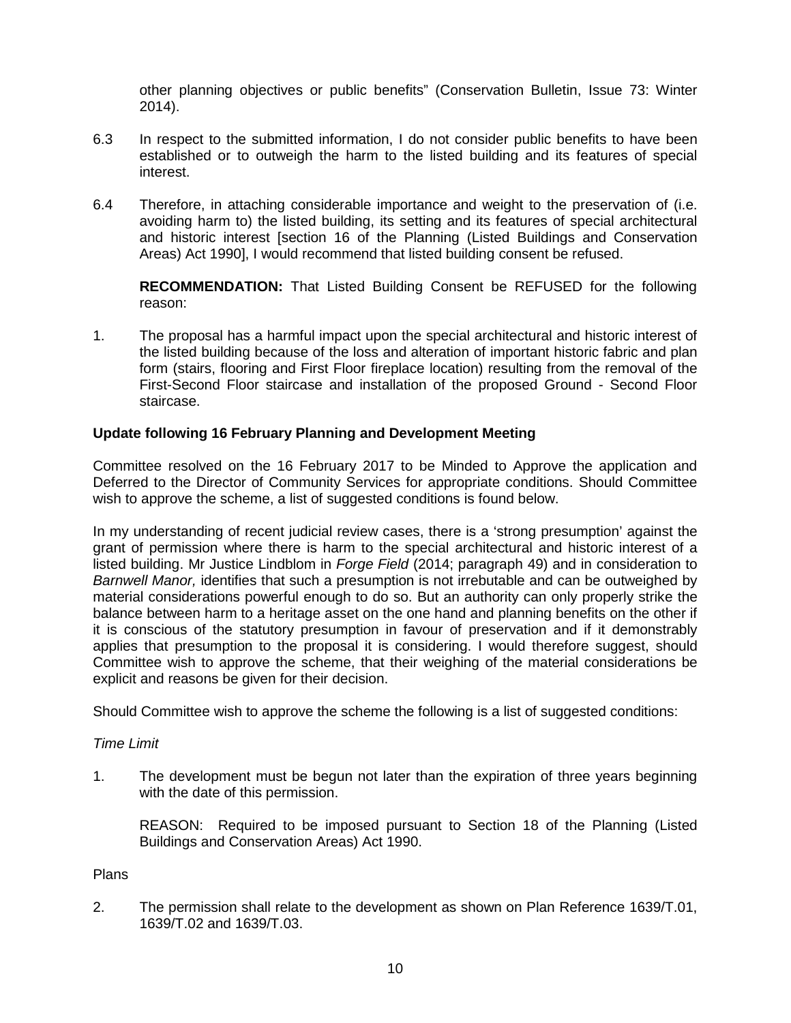other planning objectives or public benefits" (Conservation Bulletin, Issue 73: Winter 2014).

- 6.3 In respect to the submitted information, I do not consider public benefits to have been established or to outweigh the harm to the listed building and its features of special interest.
- 6.4 Therefore, in attaching considerable importance and weight to the preservation of (i.e. avoiding harm to) the listed building, its setting and its features of special architectural and historic interest [section 16 of the Planning (Listed Buildings and Conservation Areas) Act 1990], I would recommend that listed building consent be refused.

**RECOMMENDATION:** That Listed Building Consent be REFUSED for the following reason:

1. The proposal has a harmful impact upon the special architectural and historic interest of the listed building because of the loss and alteration of important historic fabric and plan form (stairs, flooring and First Floor fireplace location) resulting from the removal of the First-Second Floor staircase and installation of the proposed Ground - Second Floor staircase.

### **Update following 16 February Planning and Development Meeting**

Committee resolved on the 16 February 2017 to be Minded to Approve the application and Deferred to the Director of Community Services for appropriate conditions. Should Committee wish to approve the scheme, a list of suggested conditions is found below.

In my understanding of recent judicial review cases, there is a 'strong presumption' against the grant of permission where there is harm to the special architectural and historic interest of a listed building. Mr Justice Lindblom in *Forge Field* (2014; paragraph 49) and in consideration to *Barnwell Manor,* identifies that such a presumption is not irrebutable and can be outweighed by material considerations powerful enough to do so. But an authority can only properly strike the balance between harm to a heritage asset on the one hand and planning benefits on the other if it is conscious of the statutory presumption in favour of preservation and if it demonstrably applies that presumption to the proposal it is considering. I would therefore suggest, should Committee wish to approve the scheme, that their weighing of the material considerations be explicit and reasons be given for their decision.

Should Committee wish to approve the scheme the following is a list of suggested conditions:

### *Time Limit*

1. The development must be begun not later than the expiration of three years beginning with the date of this permission.

REASON: Required to be imposed pursuant to Section 18 of the Planning (Listed Buildings and Conservation Areas) Act 1990.

### Plans

2. The permission shall relate to the development as shown on Plan Reference 1639/T.01, 1639/T.02 and 1639/T.03.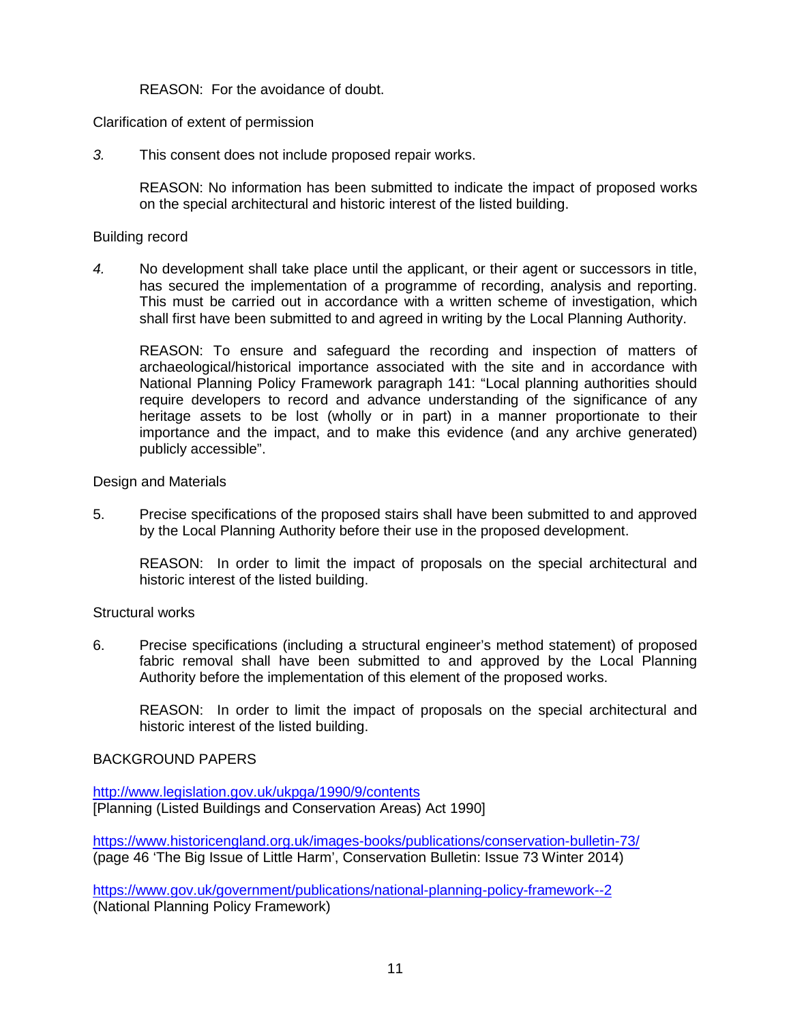REASON: For the avoidance of doubt.

Clarification of extent of permission

*3.* This consent does not include proposed repair works.

REASON: No information has been submitted to indicate the impact of proposed works on the special architectural and historic interest of the listed building.

### Building record

*4.* No development shall take place until the applicant, or their agent or successors in title, has secured the implementation of a programme of recording, analysis and reporting. This must be carried out in accordance with a written scheme of investigation, which shall first have been submitted to and agreed in writing by the Local Planning Authority.

REASON: To ensure and safeguard the recording and inspection of matters of archaeological/historical importance associated with the site and in accordance with National Planning Policy Framework paragraph 141: "Local planning authorities should require developers to record and advance understanding of the significance of any heritage assets to be lost (wholly or in part) in a manner proportionate to their importance and the impact, and to make this evidence (and any archive generated) publicly accessible".

Design and Materials

5. Precise specifications of the proposed stairs shall have been submitted to and approved by the Local Planning Authority before their use in the proposed development.

REASON: In order to limit the impact of proposals on the special architectural and historic interest of the listed building.

### Structural works

6. Precise specifications (including a structural engineer's method statement) of proposed fabric removal shall have been submitted to and approved by the Local Planning Authority before the implementation of this element of the proposed works.

REASON: In order to limit the impact of proposals on the special architectural and historic interest of the listed building.

### BACKGROUND PAPERS

<http://www.legislation.gov.uk/ukpga/1990/9/contents> [Planning (Listed Buildings and Conservation Areas) Act 1990]

<https://www.historicengland.org.uk/images-books/publications/conservation-bulletin-73/> (page 46 'The Big Issue of Little Harm', Conservation Bulletin: Issue 73 Winter 2014)

<https://www.gov.uk/government/publications/national-planning-policy-framework--2> (National Planning Policy Framework)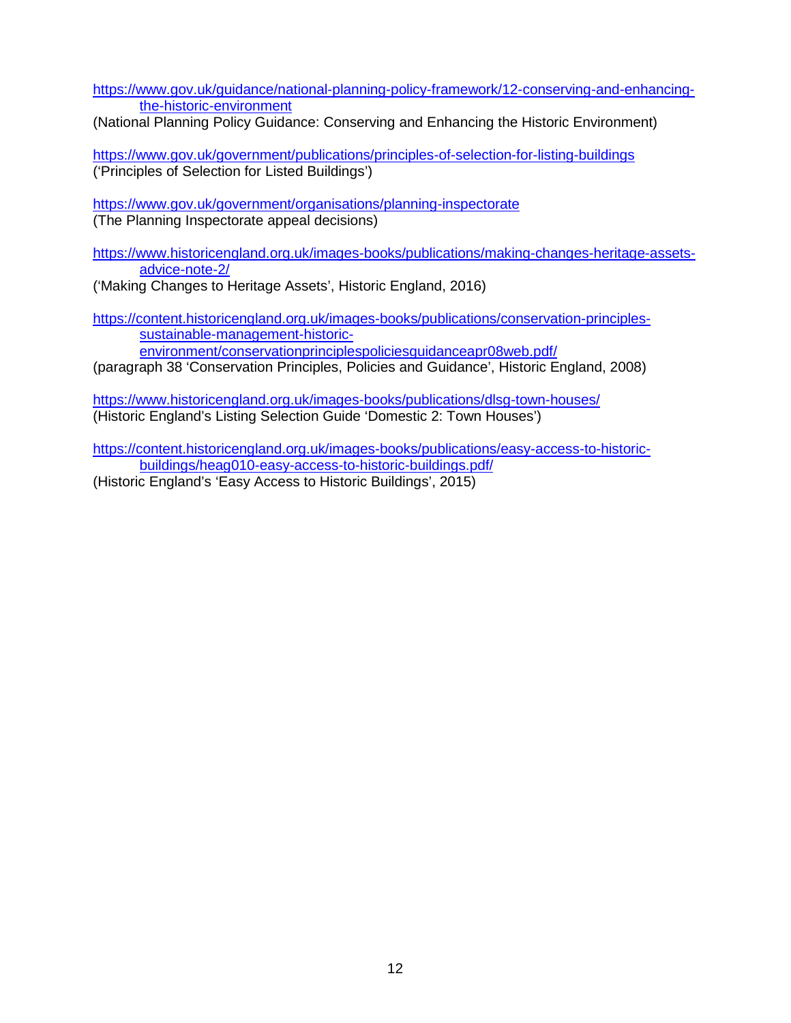[https://www.gov.uk/guidance/national-planning-policy-framework/12-conserving-and-enhancing](https://www.gov.uk/guidance/national-planning-policy-framework/12-conserving-and-enhancing-the-historic-environment)[the-historic-environment](https://www.gov.uk/guidance/national-planning-policy-framework/12-conserving-and-enhancing-the-historic-environment)

(National Planning Policy Guidance: Conserving and Enhancing the Historic Environment)

<https://www.gov.uk/government/publications/principles-of-selection-for-listing-buildings> ('Principles of Selection for Listed Buildings')

<https://www.gov.uk/government/organisations/planning-inspectorate> (The Planning Inspectorate appeal decisions)

[https://www.historicengland.org.uk/images-books/publications/making-changes-heritage-assets](https://www.historicengland.org.uk/images-books/publications/making-changes-heritage-assets-advice-note-2/)[advice-note-2/](https://www.historicengland.org.uk/images-books/publications/making-changes-heritage-assets-advice-note-2/)

('Making Changes to Heritage Assets', Historic England, 2016)

[https://content.historicengland.org.uk/images-books/publications/conservation-principles](https://content.historicengland.org.uk/images-books/publications/conservation-principles-sustainable-management-historic-environment/conservationprinciplespoliciesguidanceapr08web.pdf/)[sustainable-management-historic](https://content.historicengland.org.uk/images-books/publications/conservation-principles-sustainable-management-historic-environment/conservationprinciplespoliciesguidanceapr08web.pdf/)[environment/conservationprinciplespoliciesguidanceapr08web.pdf/](https://content.historicengland.org.uk/images-books/publications/conservation-principles-sustainable-management-historic-environment/conservationprinciplespoliciesguidanceapr08web.pdf/)

(paragraph 38 'Conservation Principles, Policies and Guidance', Historic England, 2008)

<https://www.historicengland.org.uk/images-books/publications/dlsg-town-houses/> (Historic England's Listing Selection Guide 'Domestic 2: Town Houses')

[https://content.historicengland.org.uk/images-books/publications/easy-access-to-historic](https://content.historicengland.org.uk/images-books/publications/easy-access-to-historic-buildings/heag010-easy-access-to-historic-buildings.pdf/)[buildings/heag010-easy-access-to-historic-buildings.pdf/](https://content.historicengland.org.uk/images-books/publications/easy-access-to-historic-buildings/heag010-easy-access-to-historic-buildings.pdf/) (Historic England's 'Easy Access to Historic Buildings', 2015)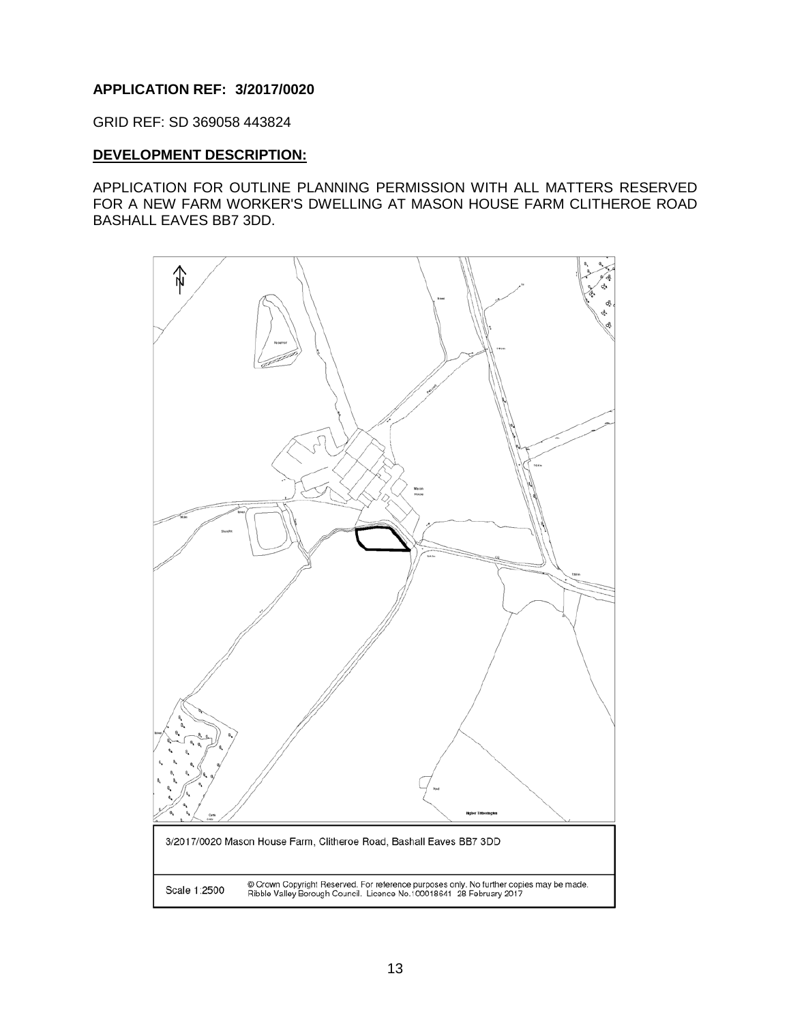# **APPLICATION REF: 3/2017/0020**

GRID REF: SD 369058 443824

### **DEVELOPMENT DESCRIPTION:**

APPLICATION FOR OUTLINE PLANNING PERMISSION WITH ALL MATTERS RESERVED FOR A NEW FARM WORKER'S DWELLING AT MASON HOUSE FARM CLITHEROE ROAD BASHALL EAVES BB7 3DD.

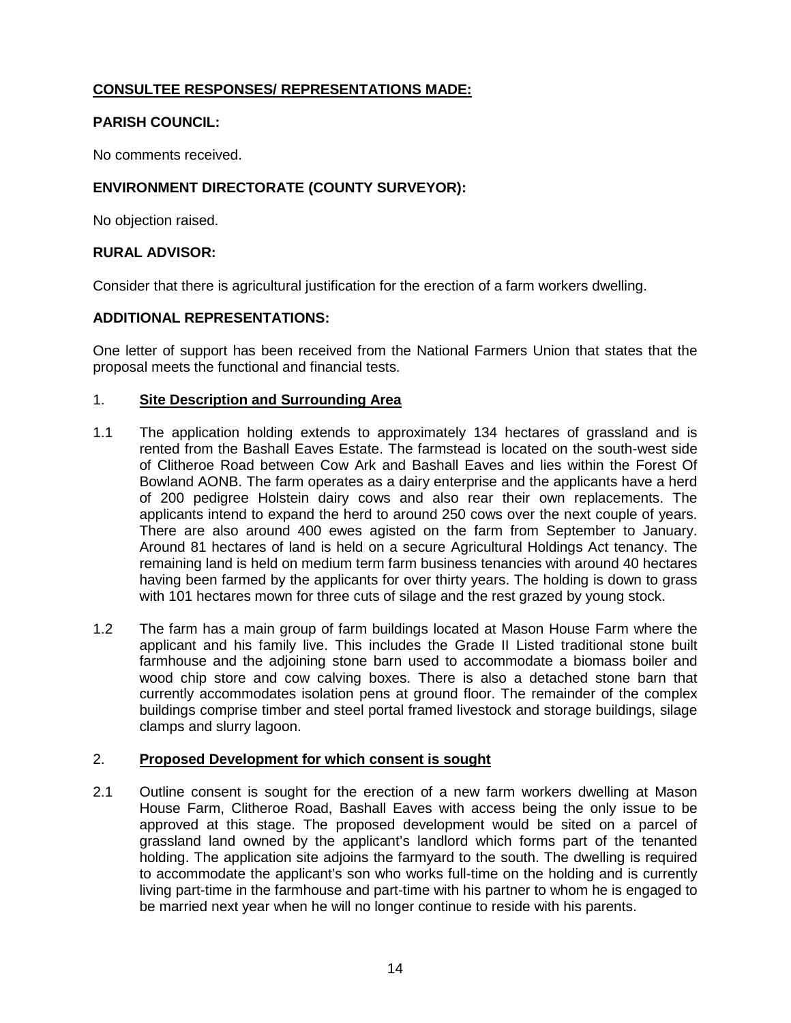# **CONSULTEE RESPONSES/ REPRESENTATIONS MADE:**

# **PARISH COUNCIL:**

No comments received.

# **ENVIRONMENT DIRECTORATE (COUNTY SURVEYOR):**

No objection raised.

# **RURAL ADVISOR:**

Consider that there is agricultural justification for the erection of a farm workers dwelling.

# **ADDITIONAL REPRESENTATIONS:**

One letter of support has been received from the National Farmers Union that states that the proposal meets the functional and financial tests.

# 1. **Site Description and Surrounding Area**

- 1.1 The application holding extends to approximately 134 hectares of grassland and is rented from the Bashall Eaves Estate. The farmstead is located on the south-west side of Clitheroe Road between Cow Ark and Bashall Eaves and lies within the Forest Of Bowland AONB. The farm operates as a dairy enterprise and the applicants have a herd of 200 pedigree Holstein dairy cows and also rear their own replacements. The applicants intend to expand the herd to around 250 cows over the next couple of years. There are also around 400 ewes agisted on the farm from September to January. Around 81 hectares of land is held on a secure Agricultural Holdings Act tenancy. The remaining land is held on medium term farm business tenancies with around 40 hectares having been farmed by the applicants for over thirty years. The holding is down to grass with 101 hectares mown for three cuts of silage and the rest grazed by young stock.
- 1.2 The farm has a main group of farm buildings located at Mason House Farm where the applicant and his family live. This includes the Grade II Listed traditional stone built farmhouse and the adjoining stone barn used to accommodate a biomass boiler and wood chip store and cow calving boxes. There is also a detached stone barn that currently accommodates isolation pens at ground floor. The remainder of the complex buildings comprise timber and steel portal framed livestock and storage buildings, silage clamps and slurry lagoon.

# 2. **Proposed Development for which consent is sought**

2.1 Outline consent is sought for the erection of a new farm workers dwelling at Mason House Farm, Clitheroe Road, Bashall Eaves with access being the only issue to be approved at this stage. The proposed development would be sited on a parcel of grassland land owned by the applicant's landlord which forms part of the tenanted holding. The application site adjoins the farmyard to the south. The dwelling is required to accommodate the applicant's son who works full-time on the holding and is currently living part-time in the farmhouse and part-time with his partner to whom he is engaged to be married next year when he will no longer continue to reside with his parents.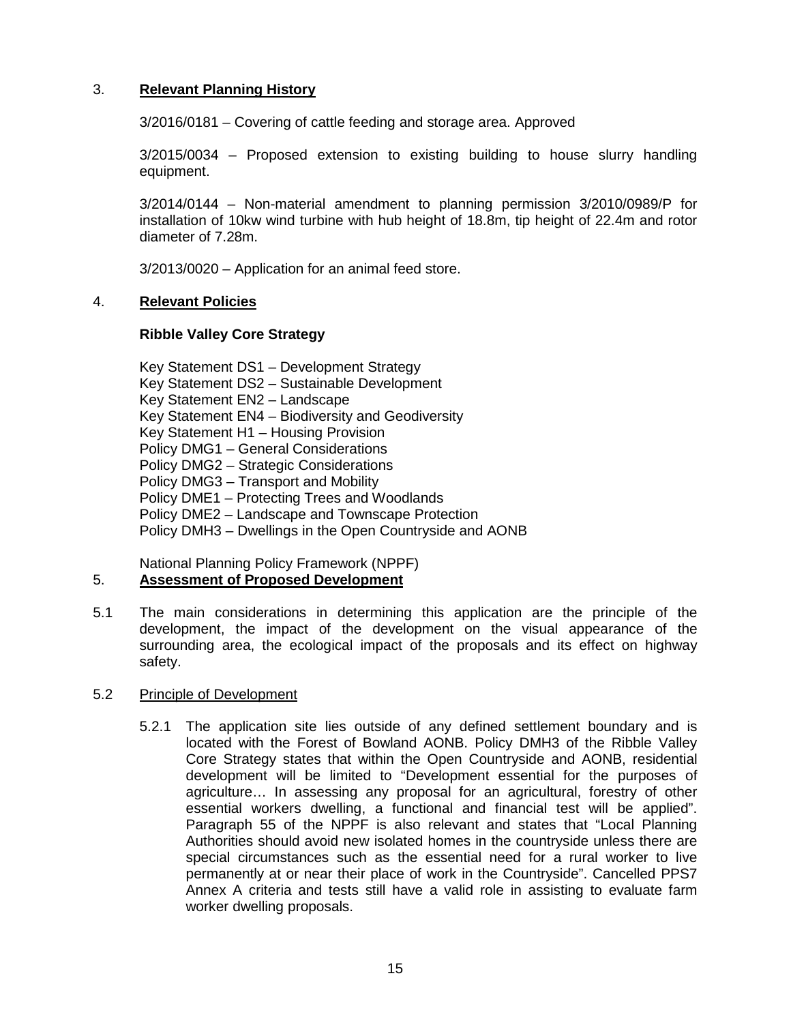# 3. **Relevant Planning History**

3/2016/0181 – Covering of cattle feeding and storage area. Approved

3/2015/0034 – Proposed extension to existing building to house slurry handling equipment.

3/2014/0144 – Non-material amendment to planning permission 3/2010/0989/P for installation of 10kw wind turbine with hub height of 18.8m, tip height of 22.4m and rotor diameter of 7.28m.

3/2013/0020 – Application for an animal feed store.

### 4. **Relevant Policies**

### **Ribble Valley Core Strategy**

Key Statement DS1 – Development Strategy Key Statement DS2 – Sustainable Development Key Statement EN2 – Landscape Key Statement EN4 – Biodiversity and Geodiversity Key Statement H1 – Housing Provision Policy DMG1 – General Considerations Policy DMG2 – Strategic Considerations Policy DMG3 – Transport and Mobility Policy DME1 – Protecting Trees and Woodlands Policy DME2 – Landscape and Townscape Protection Policy DMH3 – Dwellings in the Open Countryside and AONB

National Planning Policy Framework (NPPF)

# 5. **Assessment of Proposed Development**

5.1 The main considerations in determining this application are the principle of the development, the impact of the development on the visual appearance of the surrounding area, the ecological impact of the proposals and its effect on highway safety.

### 5.2 Principle of Development

5.2.1 The application site lies outside of any defined settlement boundary and is located with the Forest of Bowland AONB. Policy DMH3 of the Ribble Valley Core Strategy states that within the Open Countryside and AONB, residential development will be limited to "Development essential for the purposes of agriculture… In assessing any proposal for an agricultural, forestry of other essential workers dwelling, a functional and financial test will be applied". Paragraph 55 of the NPPF is also relevant and states that "Local Planning Authorities should avoid new isolated homes in the countryside unless there are special circumstances such as the essential need for a rural worker to live permanently at or near their place of work in the Countryside". Cancelled PPS7 Annex A criteria and tests still have a valid role in assisting to evaluate farm worker dwelling proposals.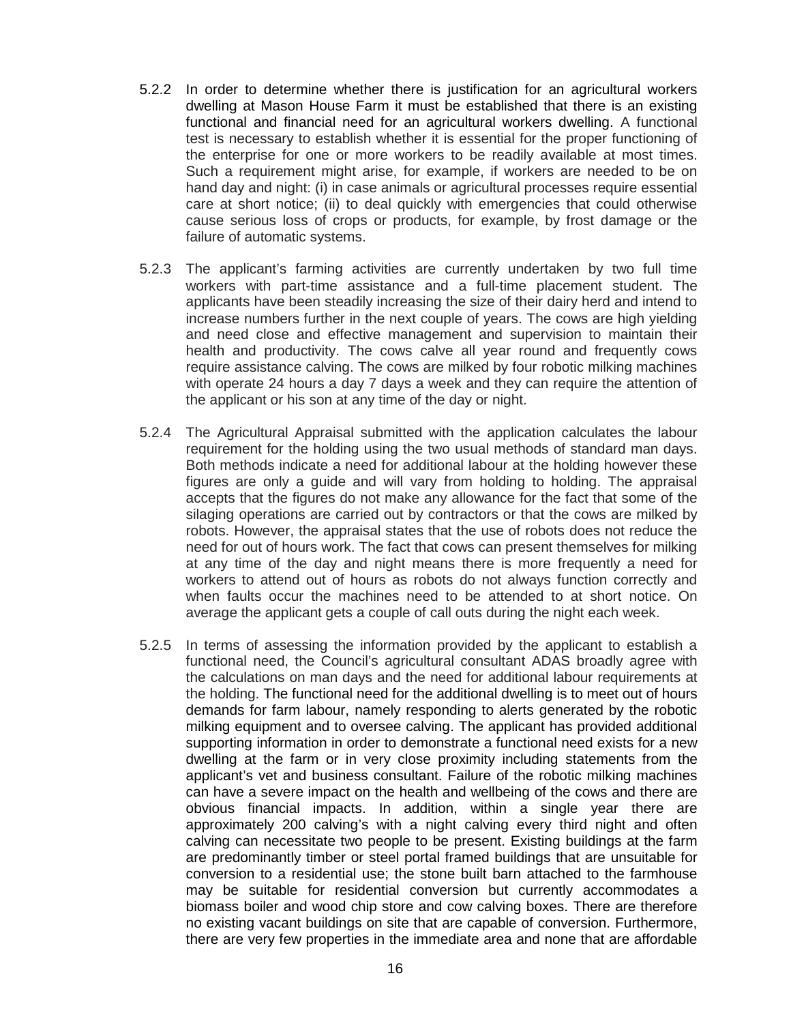- 5.2.2 In order to determine whether there is justification for an agricultural workers dwelling at Mason House Farm it must be established that there is an existing functional and financial need for an agricultural workers dwelling. A functional test is necessary to establish whether it is essential for the proper functioning of the enterprise for one or more workers to be readily available at most times. Such a requirement might arise, for example, if workers are needed to be on hand day and night: (i) in case animals or agricultural processes require essential care at short notice; (ii) to deal quickly with emergencies that could otherwise cause serious loss of crops or products, for example, by frost damage or the failure of automatic systems.
- 5.2.3 The applicant's farming activities are currently undertaken by two full time workers with part-time assistance and a full-time placement student. The applicants have been steadily increasing the size of their dairy herd and intend to increase numbers further in the next couple of years. The cows are high yielding and need close and effective management and supervision to maintain their health and productivity. The cows calve all year round and frequently cows require assistance calving. The cows are milked by four robotic milking machines with operate 24 hours a day 7 days a week and they can require the attention of the applicant or his son at any time of the day or night.
- 5.2.4 The Agricultural Appraisal submitted with the application calculates the labour requirement for the holding using the two usual methods of standard man days. Both methods indicate a need for additional labour at the holding however these figures are only a guide and will vary from holding to holding. The appraisal accepts that the figures do not make any allowance for the fact that some of the silaging operations are carried out by contractors or that the cows are milked by robots. However, the appraisal states that the use of robots does not reduce the need for out of hours work. The fact that cows can present themselves for milking at any time of the day and night means there is more frequently a need for workers to attend out of hours as robots do not always function correctly and when faults occur the machines need to be attended to at short notice. On average the applicant gets a couple of call outs during the night each week.
- 5.2.5 In terms of assessing the information provided by the applicant to establish a functional need, the Council's agricultural consultant ADAS broadly agree with the calculations on man days and the need for additional labour requirements at the holding. The functional need for the additional dwelling is to meet out of hours demands for farm labour, namely responding to alerts generated by the robotic milking equipment and to oversee calving. The applicant has provided additional supporting information in order to demonstrate a functional need exists for a new dwelling at the farm or in very close proximity including statements from the applicant's vet and business consultant. Failure of the robotic milking machines can have a severe impact on the health and wellbeing of the cows and there are obvious financial impacts. In addition, within a single year there are approximately 200 calving's with a night calving every third night and often calving can necessitate two people to be present. Existing buildings at the farm are predominantly timber or steel portal framed buildings that are unsuitable for conversion to a residential use; the stone built barn attached to the farmhouse may be suitable for residential conversion but currently accommodates a biomass boiler and wood chip store and cow calving boxes. There are therefore no existing vacant buildings on site that are capable of conversion. Furthermore, there are very few properties in the immediate area and none that are affordable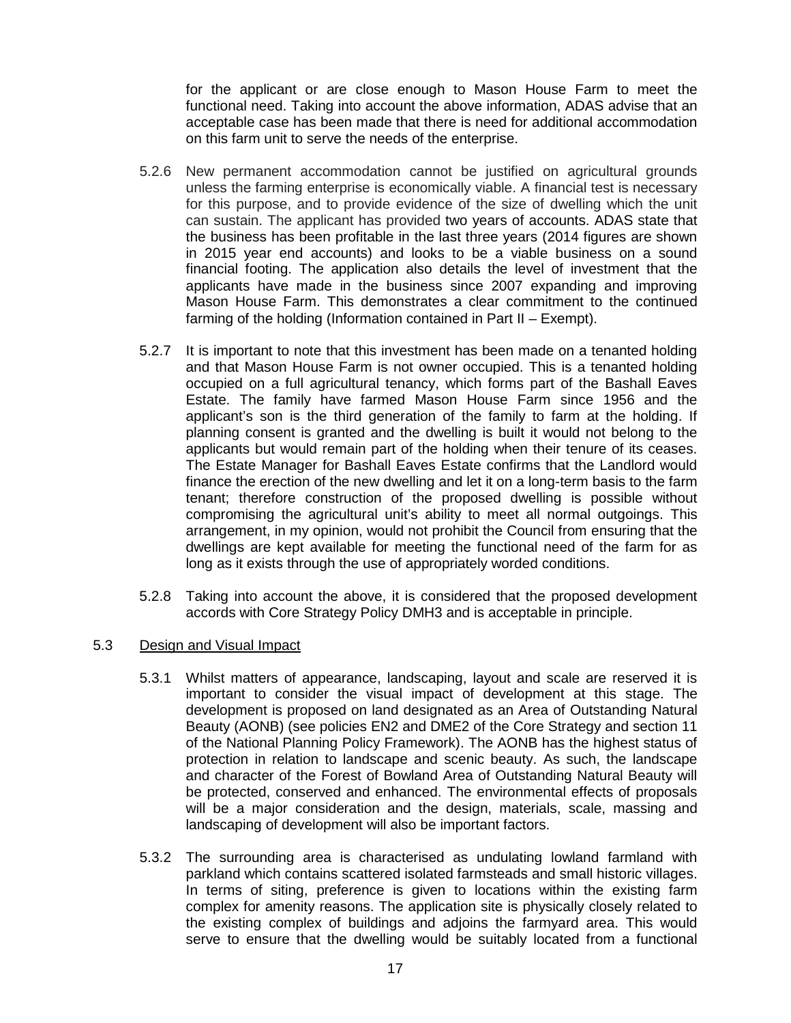for the applicant or are close enough to Mason House Farm to meet the functional need. Taking into account the above information, ADAS advise that an acceptable case has been made that there is need for additional accommodation on this farm unit to serve the needs of the enterprise.

- 5.2.6 New permanent accommodation cannot be justified on agricultural grounds unless the farming enterprise is economically viable. A financial test is necessary for this purpose, and to provide evidence of the size of dwelling which the unit can sustain. The applicant has provided two years of accounts. ADAS state that the business has been profitable in the last three years (2014 figures are shown in 2015 year end accounts) and looks to be a viable business on a sound financial footing. The application also details the level of investment that the applicants have made in the business since 2007 expanding and improving Mason House Farm. This demonstrates a clear commitment to the continued farming of the holding (Information contained in Part II – Exempt).
- 5.2.7 It is important to note that this investment has been made on a tenanted holding and that Mason House Farm is not owner occupied. This is a tenanted holding occupied on a full agricultural tenancy, which forms part of the Bashall Eaves Estate. The family have farmed Mason House Farm since 1956 and the applicant's son is the third generation of the family to farm at the holding. If planning consent is granted and the dwelling is built it would not belong to the applicants but would remain part of the holding when their tenure of its ceases. The Estate Manager for Bashall Eaves Estate confirms that the Landlord would finance the erection of the new dwelling and let it on a long-term basis to the farm tenant; therefore construction of the proposed dwelling is possible without compromising the agricultural unit's ability to meet all normal outgoings. This arrangement, in my opinion, would not prohibit the Council from ensuring that the dwellings are kept available for meeting the functional need of the farm for as long as it exists through the use of appropriately worded conditions.
- 5.2.8 Taking into account the above, it is considered that the proposed development accords with Core Strategy Policy DMH3 and is acceptable in principle.
- 5.3 Design and Visual Impact
	- 5.3.1 Whilst matters of appearance, landscaping, layout and scale are reserved it is important to consider the visual impact of development at this stage. The development is proposed on land designated as an Area of Outstanding Natural Beauty (AONB) (see policies EN2 and DME2 of the Core Strategy and section 11 of the National Planning Policy Framework). The AONB has the highest status of protection in relation to landscape and scenic beauty. As such, the landscape and character of the Forest of Bowland Area of Outstanding Natural Beauty will be protected, conserved and enhanced. The environmental effects of proposals will be a major consideration and the design, materials, scale, massing and landscaping of development will also be important factors.
	- 5.3.2 The surrounding area is characterised as undulating lowland farmland with parkland which contains scattered isolated farmsteads and small historic villages. In terms of siting, preference is given to locations within the existing farm complex for amenity reasons. The application site is physically closely related to the existing complex of buildings and adjoins the farmyard area. This would serve to ensure that the dwelling would be suitably located from a functional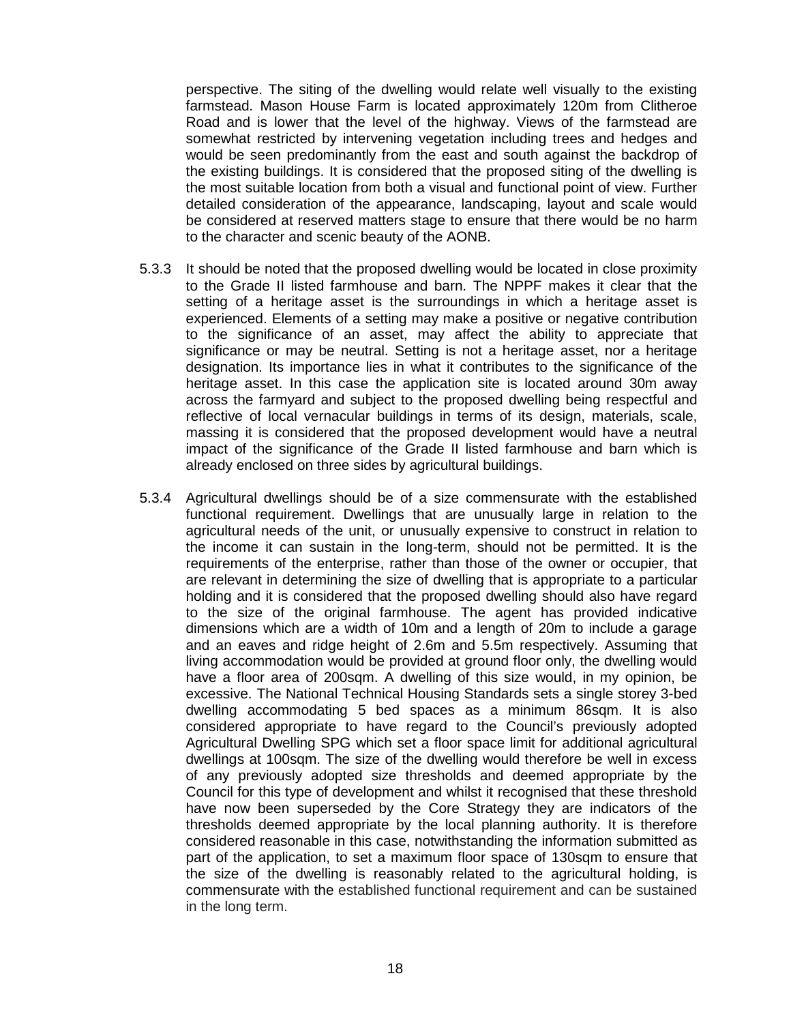perspective. The siting of the dwelling would relate well visually to the existing farmstead. Mason House Farm is located approximately 120m from Clitheroe Road and is lower that the level of the highway. Views of the farmstead are somewhat restricted by intervening vegetation including trees and hedges and would be seen predominantly from the east and south against the backdrop of the existing buildings. It is considered that the proposed siting of the dwelling is the most suitable location from both a visual and functional point of view. Further detailed consideration of the appearance, landscaping, layout and scale would be considered at reserved matters stage to ensure that there would be no harm to the character and scenic beauty of the AONB.

- 5.3.3 It should be noted that the proposed dwelling would be located in close proximity to the Grade II listed farmhouse and barn. The NPPF makes it clear that the setting of a heritage asset is the surroundings in which a heritage asset is experienced. Elements of a setting may make a positive or negative contribution to the significance of an asset, may affect the ability to appreciate that significance or may be neutral. Setting is not a heritage asset, nor a heritage designation. Its importance lies in what it contributes to the significance of the heritage asset. In this case the application site is located around 30m away across the farmyard and subject to the proposed dwelling being respectful and reflective of local vernacular buildings in terms of its design, materials, scale, massing it is considered that the proposed development would have a neutral impact of the significance of the Grade II listed farmhouse and barn which is already enclosed on three sides by agricultural buildings.
- 5.3.4 Agricultural dwellings should be of a size commensurate with the established functional requirement. Dwellings that are unusually large in relation to the agricultural needs of the unit, or unusually expensive to construct in relation to the income it can sustain in the long-term, should not be permitted. It is the requirements of the enterprise, rather than those of the owner or occupier, that are relevant in determining the size of dwelling that is appropriate to a particular holding and it is considered that the proposed dwelling should also have regard to the size of the original farmhouse. The agent has provided indicative dimensions which are a width of 10m and a length of 20m to include a garage and an eaves and ridge height of 2.6m and 5.5m respectively. Assuming that living accommodation would be provided at ground floor only, the dwelling would have a floor area of 200sqm. A dwelling of this size would, in my opinion, be excessive. The National Technical Housing Standards sets a single storey 3-bed dwelling accommodating 5 bed spaces as a minimum 86sqm. It is also considered appropriate to have regard to the Council's previously adopted Agricultural Dwelling SPG which set a floor space limit for additional agricultural dwellings at 100sqm. The size of the dwelling would therefore be well in excess of any previously adopted size thresholds and deemed appropriate by the Council for this type of development and whilst it recognised that these threshold have now been superseded by the Core Strategy they are indicators of the thresholds deemed appropriate by the local planning authority. It is therefore considered reasonable in this case, notwithstanding the information submitted as part of the application, to set a maximum floor space of 130sqm to ensure that the size of the dwelling is reasonably related to the agricultural holding, is commensurate with the established functional requirement and can be sustained in the long term.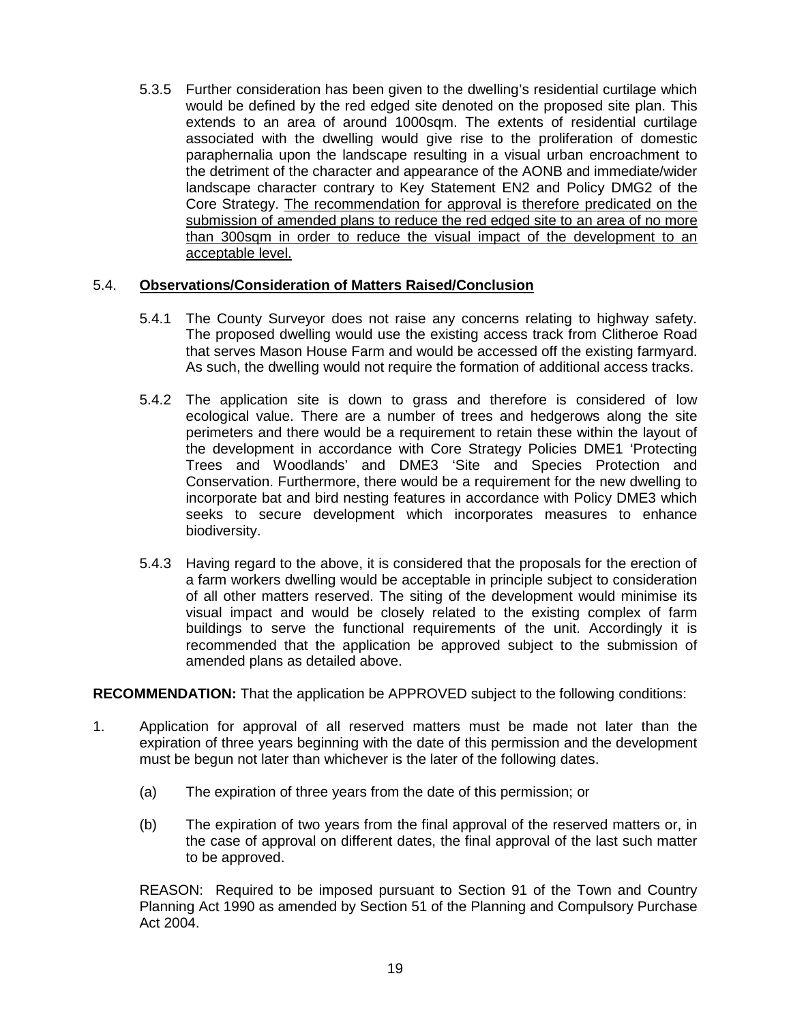5.3.5 Further consideration has been given to the dwelling's residential curtilage which would be defined by the red edged site denoted on the proposed site plan. This extends to an area of around 1000sqm. The extents of residential curtilage associated with the dwelling would give rise to the proliferation of domestic paraphernalia upon the landscape resulting in a visual urban encroachment to the detriment of the character and appearance of the AONB and immediate/wider landscape character contrary to Key Statement EN2 and Policy DMG2 of the Core Strategy. The recommendation for approval is therefore predicated on the submission of amended plans to reduce the red edged site to an area of no more than 300sqm in order to reduce the visual impact of the development to an acceptable level.

### 5.4. **Observations/Consideration of Matters Raised/Conclusion**

- 5.4.1 The County Surveyor does not raise any concerns relating to highway safety. The proposed dwelling would use the existing access track from Clitheroe Road that serves Mason House Farm and would be accessed off the existing farmyard. As such, the dwelling would not require the formation of additional access tracks.
- 5.4.2 The application site is down to grass and therefore is considered of low ecological value. There are a number of trees and hedgerows along the site perimeters and there would be a requirement to retain these within the layout of the development in accordance with Core Strategy Policies DME1 'Protecting Trees and Woodlands' and DME3 'Site and Species Protection and Conservation. Furthermore, there would be a requirement for the new dwelling to incorporate bat and bird nesting features in accordance with Policy DME3 which seeks to secure development which incorporates measures to enhance biodiversity.
- 5.4.3 Having regard to the above, it is considered that the proposals for the erection of a farm workers dwelling would be acceptable in principle subject to consideration of all other matters reserved. The siting of the development would minimise its visual impact and would be closely related to the existing complex of farm buildings to serve the functional requirements of the unit. Accordingly it is recommended that the application be approved subject to the submission of amended plans as detailed above.

**RECOMMENDATION:** That the application be APPROVED subject to the following conditions:

- 1. Application for approval of all reserved matters must be made not later than the expiration of three years beginning with the date of this permission and the development must be begun not later than whichever is the later of the following dates.
	- (a) The expiration of three years from the date of this permission; or
	- (b) The expiration of two years from the final approval of the reserved matters or, in the case of approval on different dates, the final approval of the last such matter to be approved.

REASON: Required to be imposed pursuant to Section 91 of the Town and Country Planning Act 1990 as amended by Section 51 of the Planning and Compulsory Purchase Act 2004.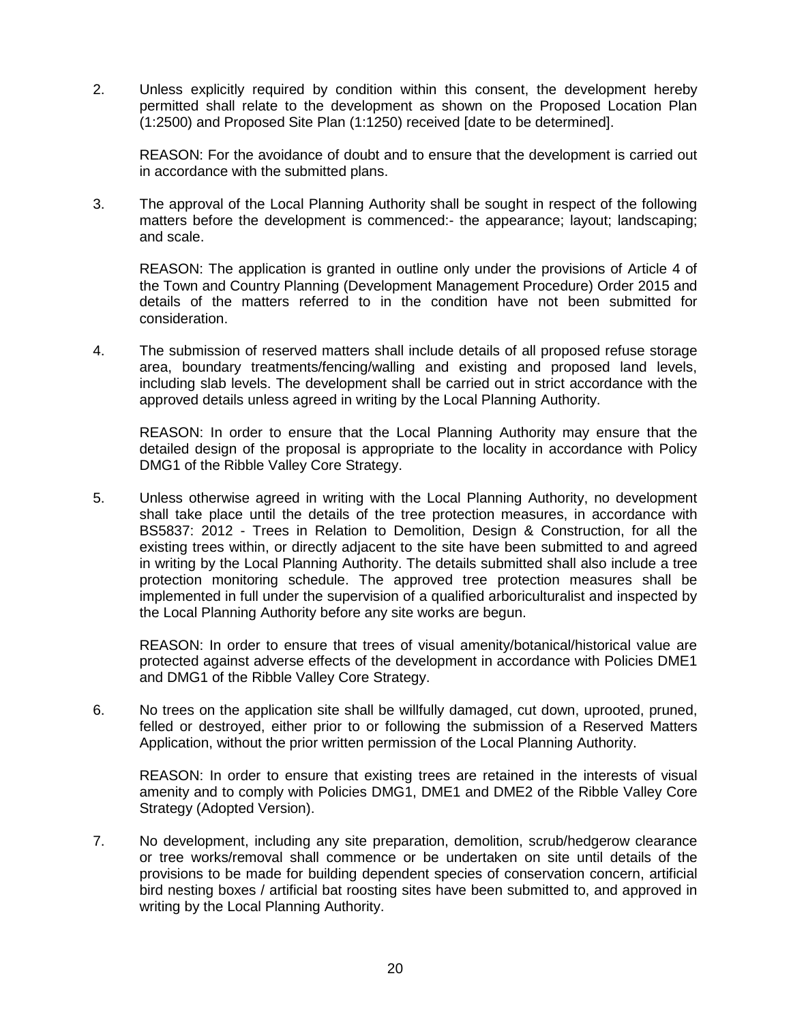2. Unless explicitly required by condition within this consent, the development hereby permitted shall relate to the development as shown on the Proposed Location Plan (1:2500) and Proposed Site Plan (1:1250) received [date to be determined].

REASON: For the avoidance of doubt and to ensure that the development is carried out in accordance with the submitted plans.

3. The approval of the Local Planning Authority shall be sought in respect of the following matters before the development is commenced:- the appearance; layout; landscaping; and scale.

REASON: The application is granted in outline only under the provisions of Article 4 of the Town and Country Planning (Development Management Procedure) Order 2015 and details of the matters referred to in the condition have not been submitted for consideration.

4. The submission of reserved matters shall include details of all proposed refuse storage area, boundary treatments/fencing/walling and existing and proposed land levels, including slab levels. The development shall be carried out in strict accordance with the approved details unless agreed in writing by the Local Planning Authority.

REASON: In order to ensure that the Local Planning Authority may ensure that the detailed design of the proposal is appropriate to the locality in accordance with Policy DMG1 of the Ribble Valley Core Strategy.

5. Unless otherwise agreed in writing with the Local Planning Authority, no development shall take place until the details of the tree protection measures, in accordance with BS5837: 2012 - Trees in Relation to Demolition, Design & Construction, for all the existing trees within, or directly adjacent to the site have been submitted to and agreed in writing by the Local Planning Authority. The details submitted shall also include a tree protection monitoring schedule. The approved tree protection measures shall be implemented in full under the supervision of a qualified arboriculturalist and inspected by the Local Planning Authority before any site works are begun.

REASON: In order to ensure that trees of visual amenity/botanical/historical value are protected against adverse effects of the development in accordance with Policies DME1 and DMG1 of the Ribble Valley Core Strategy.

6. No trees on the application site shall be willfully damaged, cut down, uprooted, pruned, felled or destroyed, either prior to or following the submission of a Reserved Matters Application, without the prior written permission of the Local Planning Authority.

REASON: In order to ensure that existing trees are retained in the interests of visual amenity and to comply with Policies DMG1, DME1 and DME2 of the Ribble Valley Core Strategy (Adopted Version).

7. No development, including any site preparation, demolition, scrub/hedgerow clearance or tree works/removal shall commence or be undertaken on site until details of the provisions to be made for building dependent species of conservation concern, artificial bird nesting boxes / artificial bat roosting sites have been submitted to, and approved in writing by the Local Planning Authority.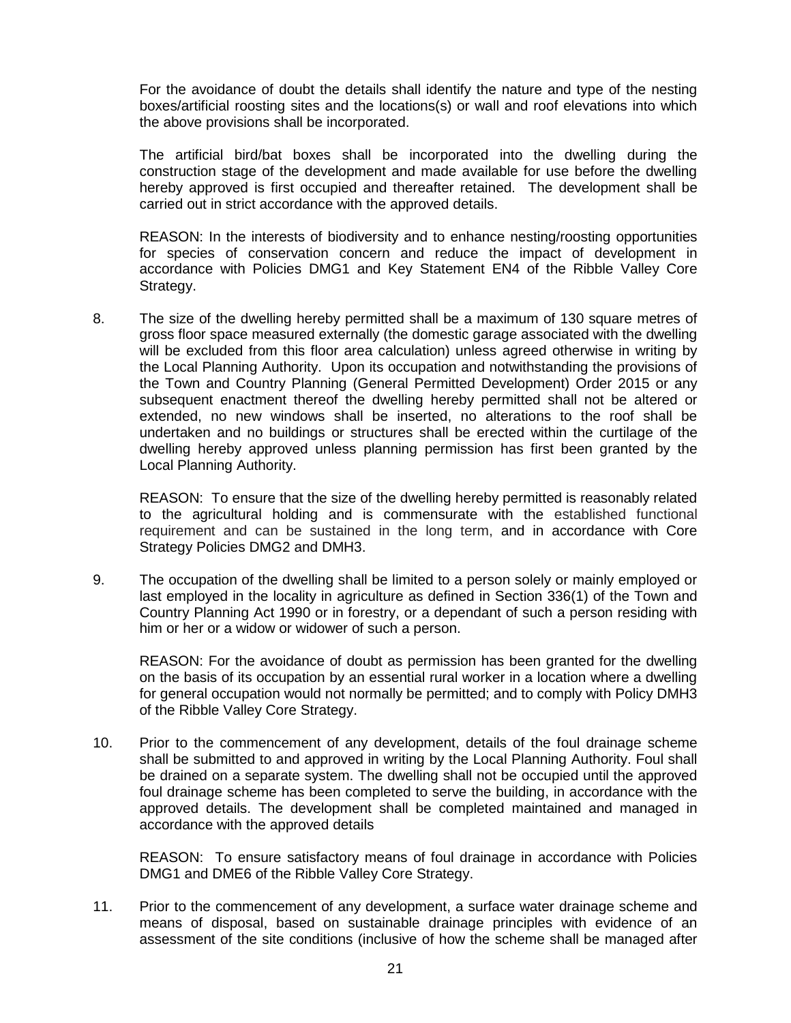For the avoidance of doubt the details shall identify the nature and type of the nesting boxes/artificial roosting sites and the locations(s) or wall and roof elevations into which the above provisions shall be incorporated.

The artificial bird/bat boxes shall be incorporated into the dwelling during the construction stage of the development and made available for use before the dwelling hereby approved is first occupied and thereafter retained. The development shall be carried out in strict accordance with the approved details.

REASON: In the interests of biodiversity and to enhance nesting/roosting opportunities for species of conservation concern and reduce the impact of development in accordance with Policies DMG1 and Key Statement EN4 of the Ribble Valley Core Strategy.

8. The size of the dwelling hereby permitted shall be a maximum of 130 square metres of gross floor space measured externally (the domestic garage associated with the dwelling will be excluded from this floor area calculation) unless agreed otherwise in writing by the Local Planning Authority. Upon its occupation and notwithstanding the provisions of the Town and Country Planning (General Permitted Development) Order 2015 or any subsequent enactment thereof the dwelling hereby permitted shall not be altered or extended, no new windows shall be inserted, no alterations to the roof shall be undertaken and no buildings or structures shall be erected within the curtilage of the dwelling hereby approved unless planning permission has first been granted by the Local Planning Authority.

REASON: To ensure that the size of the dwelling hereby permitted is reasonably related to the agricultural holding and is commensurate with the established functional requirement and can be sustained in the long term, and in accordance with Core Strategy Policies DMG2 and DMH3.

9. The occupation of the dwelling shall be limited to a person solely or mainly employed or last employed in the locality in agriculture as defined in Section 336(1) of the Town and Country Planning Act 1990 or in forestry, or a dependant of such a person residing with him or her or a widow or widower of such a person.

REASON: For the avoidance of doubt as permission has been granted for the dwelling on the basis of its occupation by an essential rural worker in a location where a dwelling for general occupation would not normally be permitted; and to comply with Policy DMH3 of the Ribble Valley Core Strategy.

10. Prior to the commencement of any development, details of the foul drainage scheme shall be submitted to and approved in writing by the Local Planning Authority. Foul shall be drained on a separate system. The dwelling shall not be occupied until the approved foul drainage scheme has been completed to serve the building, in accordance with the approved details. The development shall be completed maintained and managed in accordance with the approved details

REASON: To ensure satisfactory means of foul drainage in accordance with Policies DMG1 and DME6 of the Ribble Valley Core Strategy.

11. Prior to the commencement of any development, a surface water drainage scheme and means of disposal, based on sustainable drainage principles with evidence of an assessment of the site conditions (inclusive of how the scheme shall be managed after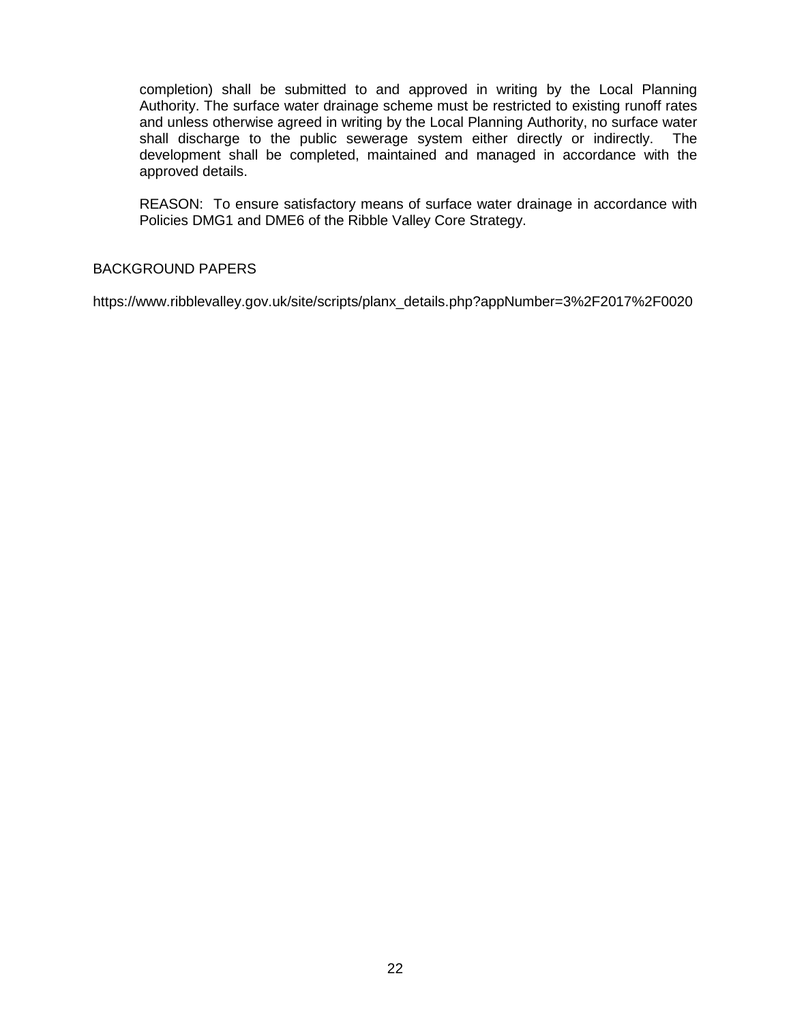completion) shall be submitted to and approved in writing by the Local Planning Authority. The surface water drainage scheme must be restricted to existing runoff rates and unless otherwise agreed in writing by the Local Planning Authority, no surface water shall discharge to the public sewerage system either directly or indirectly. The development shall be completed, maintained and managed in accordance with the approved details.

REASON: To ensure satisfactory means of surface water drainage in accordance with Policies DMG1 and DME6 of the Ribble Valley Core Strategy.

# BACKGROUND PAPERS

https://www.ribblevalley.gov.uk/site/scripts/planx\_details.php?appNumber=3%2F2017%2F0020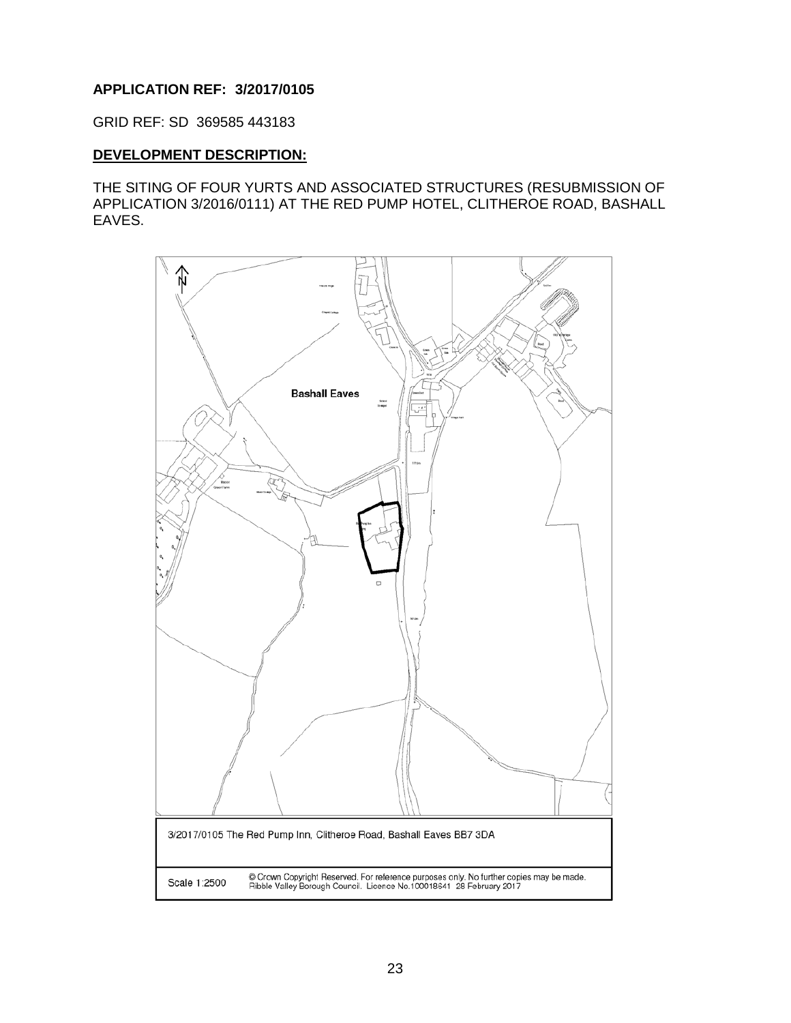# **APPLICATION REF: 3/2017/0105**

GRID REF: SD 369585 443183

### **DEVELOPMENT DESCRIPTION:**

THE SITING OF FOUR YURTS AND ASSOCIATED STRUCTURES (RESUBMISSION OF APPLICATION 3/2016/0111) AT THE RED PUMP HOTEL, CLITHEROE ROAD, BASHALL EAVES.

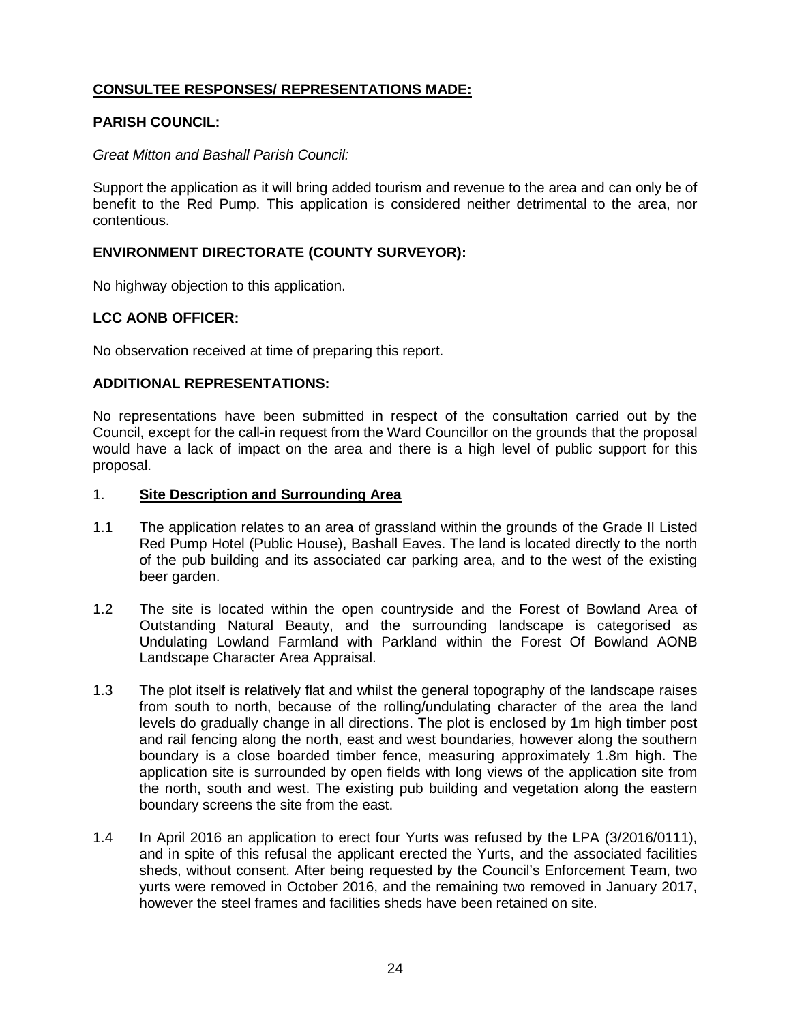# **CONSULTEE RESPONSES/ REPRESENTATIONS MADE:**

### **PARISH COUNCIL:**

### *Great Mitton and Bashall Parish Council:*

Support the application as it will bring added tourism and revenue to the area and can only be of benefit to the Red Pump. This application is considered neither detrimental to the area, nor contentious.

### **ENVIRONMENT DIRECTORATE (COUNTY SURVEYOR):**

No highway objection to this application.

### **LCC AONB OFFICER:**

No observation received at time of preparing this report.

### **ADDITIONAL REPRESENTATIONS:**

No representations have been submitted in respect of the consultation carried out by the Council, except for the call-in request from the Ward Councillor on the grounds that the proposal would have a lack of impact on the area and there is a high level of public support for this proposal.

### 1. **Site Description and Surrounding Area**

- 1.1 The application relates to an area of grassland within the grounds of the Grade II Listed Red Pump Hotel (Public House), Bashall Eaves. The land is located directly to the north of the pub building and its associated car parking area, and to the west of the existing beer garden.
- 1.2 The site is located within the open countryside and the Forest of Bowland Area of Outstanding Natural Beauty, and the surrounding landscape is categorised as Undulating Lowland Farmland with Parkland within the Forest Of Bowland AONB Landscape Character Area Appraisal.
- 1.3 The plot itself is relatively flat and whilst the general topography of the landscape raises from south to north, because of the rolling/undulating character of the area the land levels do gradually change in all directions. The plot is enclosed by 1m high timber post and rail fencing along the north, east and west boundaries, however along the southern boundary is a close boarded timber fence, measuring approximately 1.8m high. The application site is surrounded by open fields with long views of the application site from the north, south and west. The existing pub building and vegetation along the eastern boundary screens the site from the east.
- 1.4 In April 2016 an application to erect four Yurts was refused by the LPA (3/2016/0111), and in spite of this refusal the applicant erected the Yurts, and the associated facilities sheds, without consent. After being requested by the Council's Enforcement Team, two yurts were removed in October 2016, and the remaining two removed in January 2017, however the steel frames and facilities sheds have been retained on site.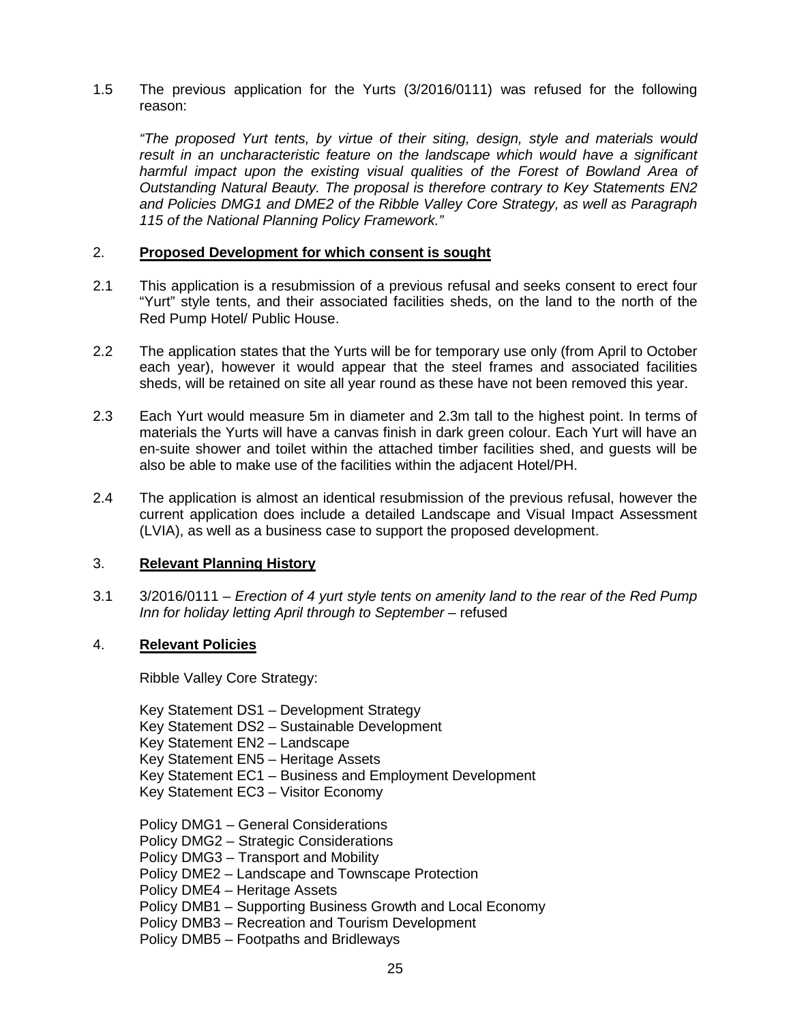1.5 The previous application for the Yurts (3/2016/0111) was refused for the following reason:

*"The proposed Yurt tents, by virtue of their siting, design, style and materials would*  result in an uncharacteristic feature on the landscape which would have a significant *harmful impact upon the existing visual qualities of the Forest of Bowland Area of Outstanding Natural Beauty. The proposal is therefore contrary to Key Statements EN2 and Policies DMG1 and DME2 of the Ribble Valley Core Strategy, as well as Paragraph 115 of the National Planning Policy Framework."*

### 2. **Proposed Development for which consent is sought**

- 2.1 This application is a resubmission of a previous refusal and seeks consent to erect four "Yurt" style tents, and their associated facilities sheds, on the land to the north of the Red Pump Hotel/ Public House.
- 2.2 The application states that the Yurts will be for temporary use only (from April to October each year), however it would appear that the steel frames and associated facilities sheds, will be retained on site all year round as these have not been removed this year.
- 2.3 Each Yurt would measure 5m in diameter and 2.3m tall to the highest point. In terms of materials the Yurts will have a canvas finish in dark green colour. Each Yurt will have an en-suite shower and toilet within the attached timber facilities shed, and guests will be also be able to make use of the facilities within the adjacent Hotel/PH.
- 2.4 The application is almost an identical resubmission of the previous refusal, however the current application does include a detailed Landscape and Visual Impact Assessment (LVIA), as well as a business case to support the proposed development.

### 3. **Relevant Planning History**

3.1 3/2016/0111 – *Erection of 4 yurt style tents on amenity land to the rear of the Red Pump*  Inn for holiday letting April through to September – refused

### 4. **Relevant Policies**

Ribble Valley Core Strategy:

Key Statement DS1 – Development Strategy Key Statement DS2 – Sustainable Development Key Statement EN2 – Landscape Key Statement EN5 – Heritage Assets Key Statement EC1 – Business and Employment Development Key Statement EC3 – Visitor Economy

- Policy DMG1 General Considerations
- Policy DMG2 Strategic Considerations
- Policy DMG3 Transport and Mobility
- Policy DME2 Landscape and Townscape Protection
- Policy DME4 Heritage Assets
- Policy DMB1 Supporting Business Growth and Local Economy
- Policy DMB3 Recreation and Tourism Development
- Policy DMB5 Footpaths and Bridleways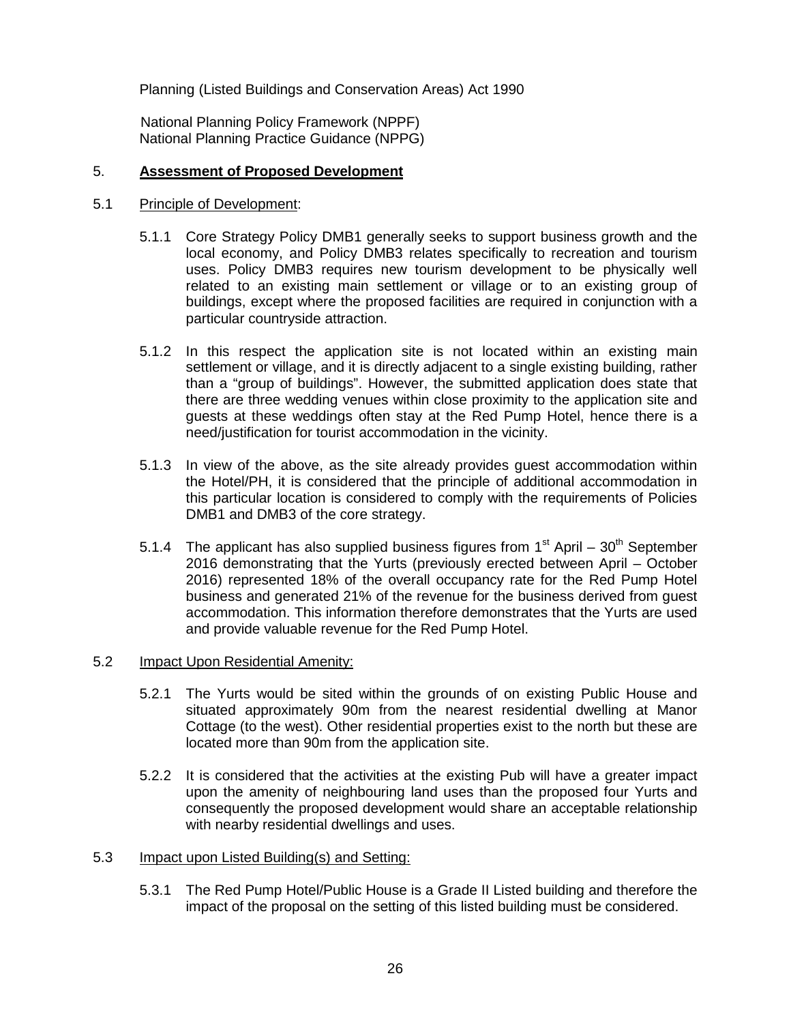Planning (Listed Buildings and Conservation Areas) Act 1990

 National Planning Policy Framework (NPPF) National Planning Practice Guidance (NPPG)

### 5. **Assessment of Proposed Development**

### 5.1 Principle of Development:

- 5.1.1 Core Strategy Policy DMB1 generally seeks to support business growth and the local economy, and Policy DMB3 relates specifically to recreation and tourism uses. Policy DMB3 requires new tourism development to be physically well related to an existing main settlement or village or to an existing group of buildings, except where the proposed facilities are required in conjunction with a particular countryside attraction.
- 5.1.2 In this respect the application site is not located within an existing main settlement or village, and it is directly adjacent to a single existing building, rather than a "group of buildings". However, the submitted application does state that there are three wedding venues within close proximity to the application site and guests at these weddings often stay at the Red Pump Hotel, hence there is a need/justification for tourist accommodation in the vicinity.
- 5.1.3 In view of the above, as the site already provides guest accommodation within the Hotel/PH, it is considered that the principle of additional accommodation in this particular location is considered to comply with the requirements of Policies DMB1 and DMB3 of the core strategy.
- 5.1.4 The applicant has also supplied business figures from  $1<sup>st</sup>$  April  $30<sup>th</sup>$  September 2016 demonstrating that the Yurts (previously erected between April – October 2016) represented 18% of the overall occupancy rate for the Red Pump Hotel business and generated 21% of the revenue for the business derived from guest accommodation. This information therefore demonstrates that the Yurts are used and provide valuable revenue for the Red Pump Hotel.

# 5.2 Impact Upon Residential Amenity:

- 5.2.1 The Yurts would be sited within the grounds of on existing Public House and situated approximately 90m from the nearest residential dwelling at Manor Cottage (to the west). Other residential properties exist to the north but these are located more than 90m from the application site.
- 5.2.2 It is considered that the activities at the existing Pub will have a greater impact upon the amenity of neighbouring land uses than the proposed four Yurts and consequently the proposed development would share an acceptable relationship with nearby residential dwellings and uses.

# 5.3 Impact upon Listed Building(s) and Setting:

5.3.1 The Red Pump Hotel/Public House is a Grade II Listed building and therefore the impact of the proposal on the setting of this listed building must be considered.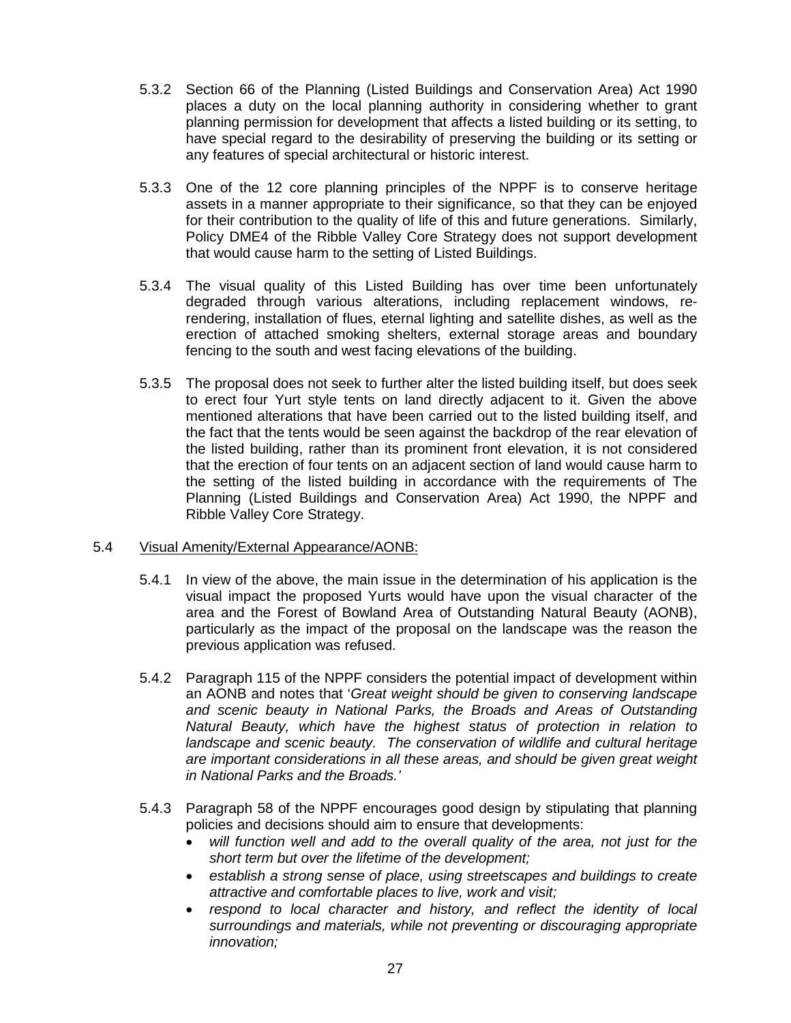- 5.3.2 Section 66 of the Planning (Listed Buildings and Conservation Area) Act 1990 places a duty on the local planning authority in considering whether to grant planning permission for development that affects a listed building or its setting, to have special regard to the desirability of preserving the building or its setting or any features of special architectural or historic interest.
- 5.3.3 One of the 12 core planning principles of the NPPF is to conserve heritage assets in a manner appropriate to their significance, so that they can be enjoyed for their contribution to the quality of life of this and future generations. Similarly, Policy DME4 of the Ribble Valley Core Strategy does not support development that would cause harm to the setting of Listed Buildings.
- 5.3.4 The visual quality of this Listed Building has over time been unfortunately degraded through various alterations, including replacement windows, rerendering, installation of flues, eternal lighting and satellite dishes, as well as the erection of attached smoking shelters, external storage areas and boundary fencing to the south and west facing elevations of the building.
- 5.3.5 The proposal does not seek to further alter the listed building itself, but does seek to erect four Yurt style tents on land directly adjacent to it. Given the above mentioned alterations that have been carried out to the listed building itself, and the fact that the tents would be seen against the backdrop of the rear elevation of the listed building, rather than its prominent front elevation, it is not considered that the erection of four tents on an adjacent section of land would cause harm to the setting of the listed building in accordance with the requirements of The Planning (Listed Buildings and Conservation Area) Act 1990, the NPPF and Ribble Valley Core Strategy.

### 5.4 Visual Amenity/External Appearance/AONB:

- 5.4.1 In view of the above, the main issue in the determination of his application is the visual impact the proposed Yurts would have upon the visual character of the area and the Forest of Bowland Area of Outstanding Natural Beauty (AONB), particularly as the impact of the proposal on the landscape was the reason the previous application was refused.
- 5.4.2 Paragraph 115 of the NPPF considers the potential impact of development within an AONB and notes that '*Great weight should be given to conserving landscape and scenic beauty in National Parks, the Broads and Areas of Outstanding Natural Beauty, which have the highest status of protection in relation to landscape and scenic beauty. The conservation of wildlife and cultural heritage are important considerations in all these areas, and should be given great weight in National Parks and the Broads.'*
- 5.4.3 Paragraph 58 of the NPPF encourages good design by stipulating that planning policies and decisions should aim to ensure that developments:
	- *will function well and add to the overall quality of the area, not just for the short term but over the lifetime of the development;*
	- *establish a strong sense of place, using streetscapes and buildings to create attractive and comfortable places to live, work and visit;*
	- *respond to local character and history, and reflect the identity of local surroundings and materials, while not preventing or discouraging appropriate innovation;*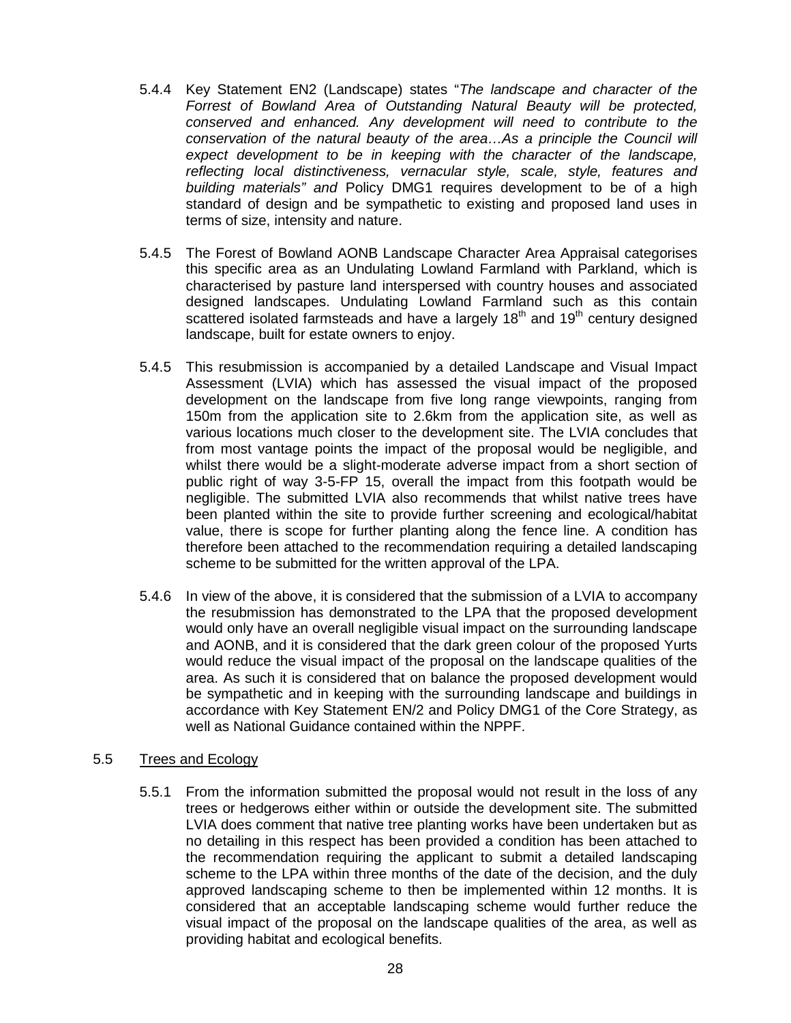- 5.4.4 Key Statement EN2 (Landscape) states "*The landscape and character of the Forrest of Bowland Area of Outstanding Natural Beauty will be protected, conserved and enhanced. Any development will need to contribute to the conservation of the natural beauty of the area…As a principle the Council will expect development to be in keeping with the character of the landscape, reflecting local distinctiveness, vernacular style, scale, style, features and building materials" and* Policy DMG1 requires development to be of a high standard of design and be sympathetic to existing and proposed land uses in terms of size, intensity and nature.
- 5.4.5 The Forest of Bowland AONB Landscape Character Area Appraisal categorises this specific area as an Undulating Lowland Farmland with Parkland, which is characterised by pasture land interspersed with country houses and associated designed landscapes. Undulating Lowland Farmland such as this contain scattered isolated farmsteads and have a largely  $18<sup>th</sup>$  and  $19<sup>th</sup>$  century designed landscape, built for estate owners to enjoy.
- 5.4.5 This resubmission is accompanied by a detailed Landscape and Visual Impact Assessment (LVIA) which has assessed the visual impact of the proposed development on the landscape from five long range viewpoints, ranging from 150m from the application site to 2.6km from the application site, as well as various locations much closer to the development site. The LVIA concludes that from most vantage points the impact of the proposal would be negligible, and whilst there would be a slight-moderate adverse impact from a short section of public right of way 3-5-FP 15, overall the impact from this footpath would be negligible. The submitted LVIA also recommends that whilst native trees have been planted within the site to provide further screening and ecological/habitat value, there is scope for further planting along the fence line. A condition has therefore been attached to the recommendation requiring a detailed landscaping scheme to be submitted for the written approval of the LPA.
- 5.4.6 In view of the above, it is considered that the submission of a LVIA to accompany the resubmission has demonstrated to the LPA that the proposed development would only have an overall negligible visual impact on the surrounding landscape and AONB, and it is considered that the dark green colour of the proposed Yurts would reduce the visual impact of the proposal on the landscape qualities of the area. As such it is considered that on balance the proposed development would be sympathetic and in keeping with the surrounding landscape and buildings in accordance with Key Statement EN/2 and Policy DMG1 of the Core Strategy, as well as National Guidance contained within the NPPF.

# 5.5 Trees and Ecology

5.5.1 From the information submitted the proposal would not result in the loss of any trees or hedgerows either within or outside the development site. The submitted LVIA does comment that native tree planting works have been undertaken but as no detailing in this respect has been provided a condition has been attached to the recommendation requiring the applicant to submit a detailed landscaping scheme to the LPA within three months of the date of the decision, and the duly approved landscaping scheme to then be implemented within 12 months. It is considered that an acceptable landscaping scheme would further reduce the visual impact of the proposal on the landscape qualities of the area, as well as providing habitat and ecological benefits.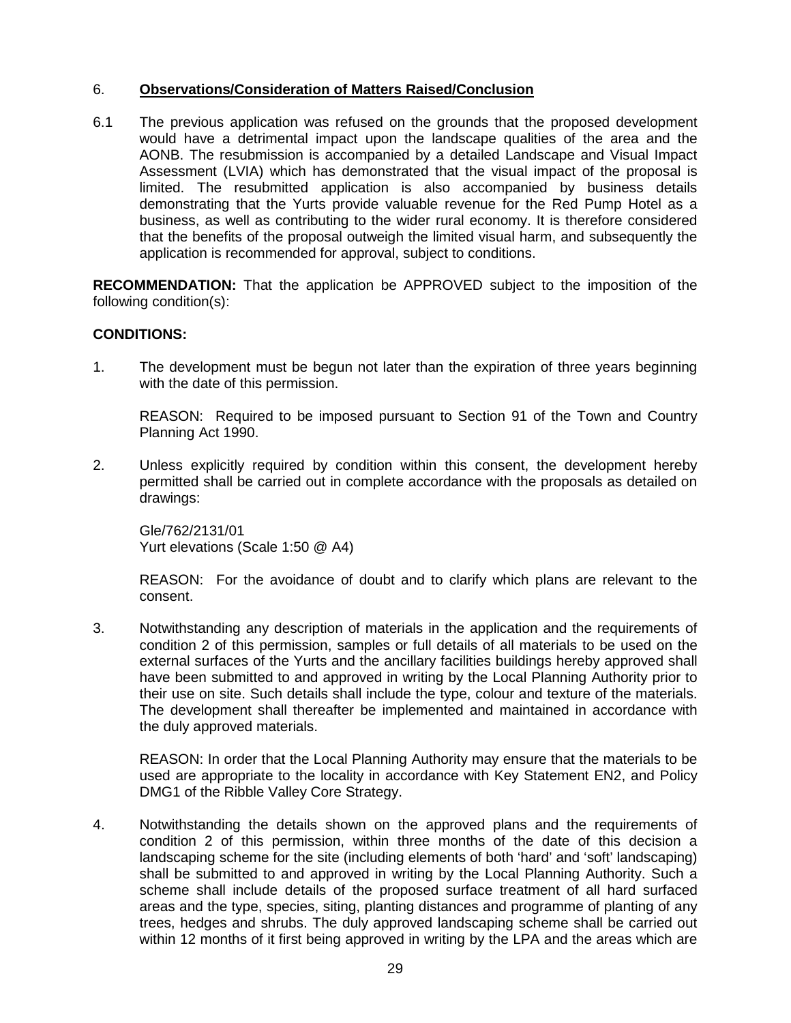# 6. **Observations/Consideration of Matters Raised/Conclusion**

6.1 The previous application was refused on the grounds that the proposed development would have a detrimental impact upon the landscape qualities of the area and the AONB. The resubmission is accompanied by a detailed Landscape and Visual Impact Assessment (LVIA) which has demonstrated that the visual impact of the proposal is limited. The resubmitted application is also accompanied by business details demonstrating that the Yurts provide valuable revenue for the Red Pump Hotel as a business, as well as contributing to the wider rural economy. It is therefore considered that the benefits of the proposal outweigh the limited visual harm, and subsequently the application is recommended for approval, subject to conditions.

**RECOMMENDATION:** That the application be APPROVED subject to the imposition of the following condition(s):

# **CONDITIONS:**

1. The development must be begun not later than the expiration of three years beginning with the date of this permission.

REASON: Required to be imposed pursuant to Section 91 of the Town and Country Planning Act 1990.

2. Unless explicitly required by condition within this consent, the development hereby permitted shall be carried out in complete accordance with the proposals as detailed on drawings:

Gle/762/2131/01 Yurt elevations (Scale 1:50 @ A4)

REASON: For the avoidance of doubt and to clarify which plans are relevant to the consent.

3. Notwithstanding any description of materials in the application and the requirements of condition 2 of this permission, samples or full details of all materials to be used on the external surfaces of the Yurts and the ancillary facilities buildings hereby approved shall have been submitted to and approved in writing by the Local Planning Authority prior to their use on site. Such details shall include the type, colour and texture of the materials. The development shall thereafter be implemented and maintained in accordance with the duly approved materials.

REASON: In order that the Local Planning Authority may ensure that the materials to be used are appropriate to the locality in accordance with Key Statement EN2, and Policy DMG1 of the Ribble Valley Core Strategy.

4. Notwithstanding the details shown on the approved plans and the requirements of condition 2 of this permission, within three months of the date of this decision a landscaping scheme for the site (including elements of both 'hard' and 'soft' landscaping) shall be submitted to and approved in writing by the Local Planning Authority. Such a scheme shall include details of the proposed surface treatment of all hard surfaced areas and the type, species, siting, planting distances and programme of planting of any trees, hedges and shrubs. The duly approved landscaping scheme shall be carried out within 12 months of it first being approved in writing by the LPA and the areas which are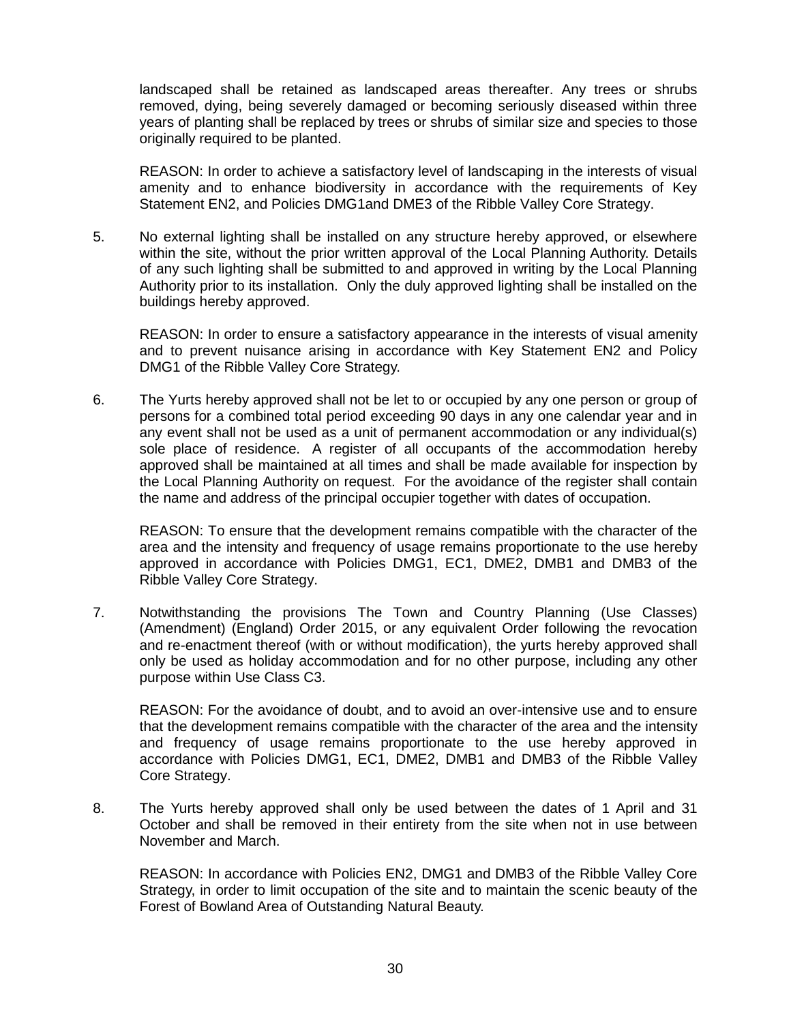landscaped shall be retained as landscaped areas thereafter. Any trees or shrubs removed, dying, being severely damaged or becoming seriously diseased within three years of planting shall be replaced by trees or shrubs of similar size and species to those originally required to be planted.

REASON: In order to achieve a satisfactory level of landscaping in the interests of visual amenity and to enhance biodiversity in accordance with the requirements of Key Statement EN2, and Policies DMG1and DME3 of the Ribble Valley Core Strategy.

5. No external lighting shall be installed on any structure hereby approved, or elsewhere within the site, without the prior written approval of the Local Planning Authority. Details of any such lighting shall be submitted to and approved in writing by the Local Planning Authority prior to its installation. Only the duly approved lighting shall be installed on the buildings hereby approved.

REASON: In order to ensure a satisfactory appearance in the interests of visual amenity and to prevent nuisance arising in accordance with Key Statement EN2 and Policy DMG1 of the Ribble Valley Core Strategy.

6. The Yurts hereby approved shall not be let to or occupied by any one person or group of persons for a combined total period exceeding 90 days in any one calendar year and in any event shall not be used as a unit of permanent accommodation or any individual(s) sole place of residence. A register of all occupants of the accommodation hereby approved shall be maintained at all times and shall be made available for inspection by the Local Planning Authority on request. For the avoidance of the register shall contain the name and address of the principal occupier together with dates of occupation.

REASON: To ensure that the development remains compatible with the character of the area and the intensity and frequency of usage remains proportionate to the use hereby approved in accordance with Policies DMG1, EC1, DME2, DMB1 and DMB3 of the Ribble Valley Core Strategy.

7. Notwithstanding the provisions The Town and Country Planning (Use Classes) (Amendment) (England) Order 2015, or any equivalent Order following the revocation and re-enactment thereof (with or without modification), the yurts hereby approved shall only be used as holiday accommodation and for no other purpose, including any other purpose within Use Class C3.

REASON: For the avoidance of doubt, and to avoid an over-intensive use and to ensure that the development remains compatible with the character of the area and the intensity and frequency of usage remains proportionate to the use hereby approved in accordance with Policies DMG1, EC1, DME2, DMB1 and DMB3 of the Ribble Valley Core Strategy.

8. The Yurts hereby approved shall only be used between the dates of 1 April and 31 October and shall be removed in their entirety from the site when not in use between November and March.

REASON: In accordance with Policies EN2, DMG1 and DMB3 of the Ribble Valley Core Strategy, in order to limit occupation of the site and to maintain the scenic beauty of the Forest of Bowland Area of Outstanding Natural Beauty.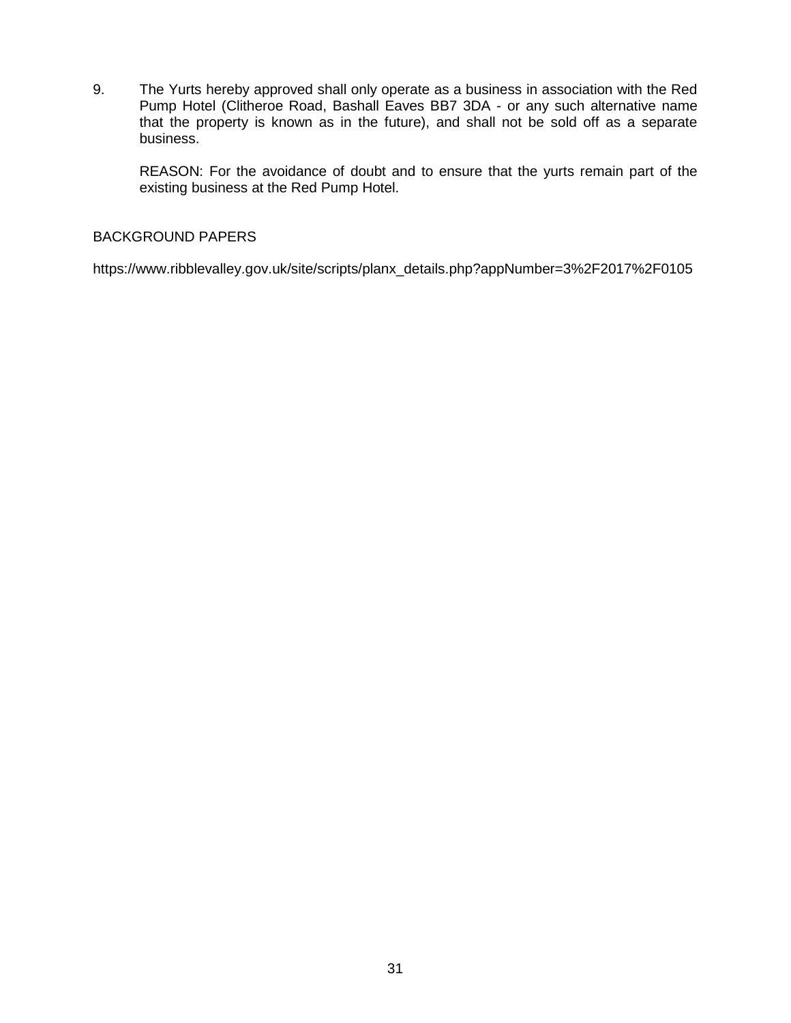9. The Yurts hereby approved shall only operate as a business in association with the Red Pump Hotel (Clitheroe Road, Bashall Eaves BB7 3DA - or any such alternative name that the property is known as in the future), and shall not be sold off as a separate business.

REASON: For the avoidance of doubt and to ensure that the yurts remain part of the existing business at the Red Pump Hotel.

### BACKGROUND PAPERS

https://www.ribblevalley.gov.uk/site/scripts/planx\_details.php?appNumber=3%2F2017%2F0105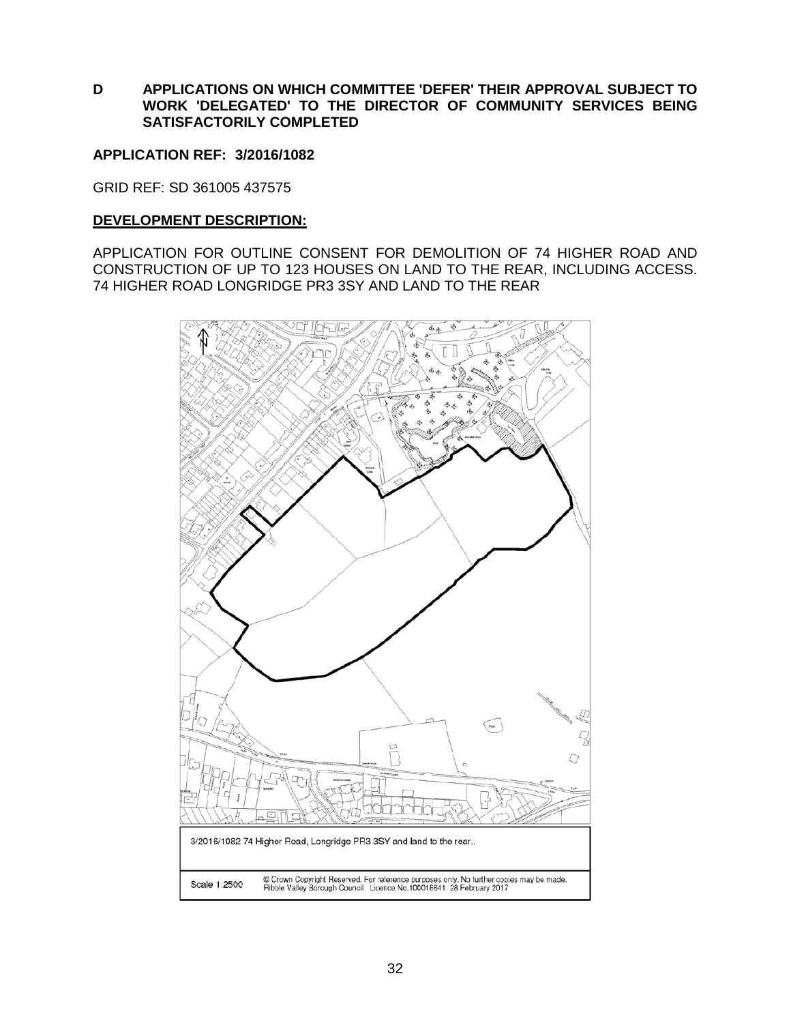**D APPLICATIONS ON WHICH COMMITTEE 'DEFER' THEIR APPROVAL SUBJECT TO WORK 'DELEGATED' TO THE DIRECTOR OF COMMUNITY SERVICES BEING SATISFACTORILY COMPLETED**

### **APPLICATION REF: 3/2016/1082**

GRID REF: SD 361005 437575

### **DEVELOPMENT DESCRIPTION:**

APPLICATION FOR OUTLINE CONSENT FOR DEMOLITION OF 74 HIGHER ROAD AND CONSTRUCTION OF UP TO 123 HOUSES ON LAND TO THE REAR, INCLUDING ACCESS. 74 HIGHER ROAD LONGRIDGE PR3 3SY AND LAND TO THE REAR

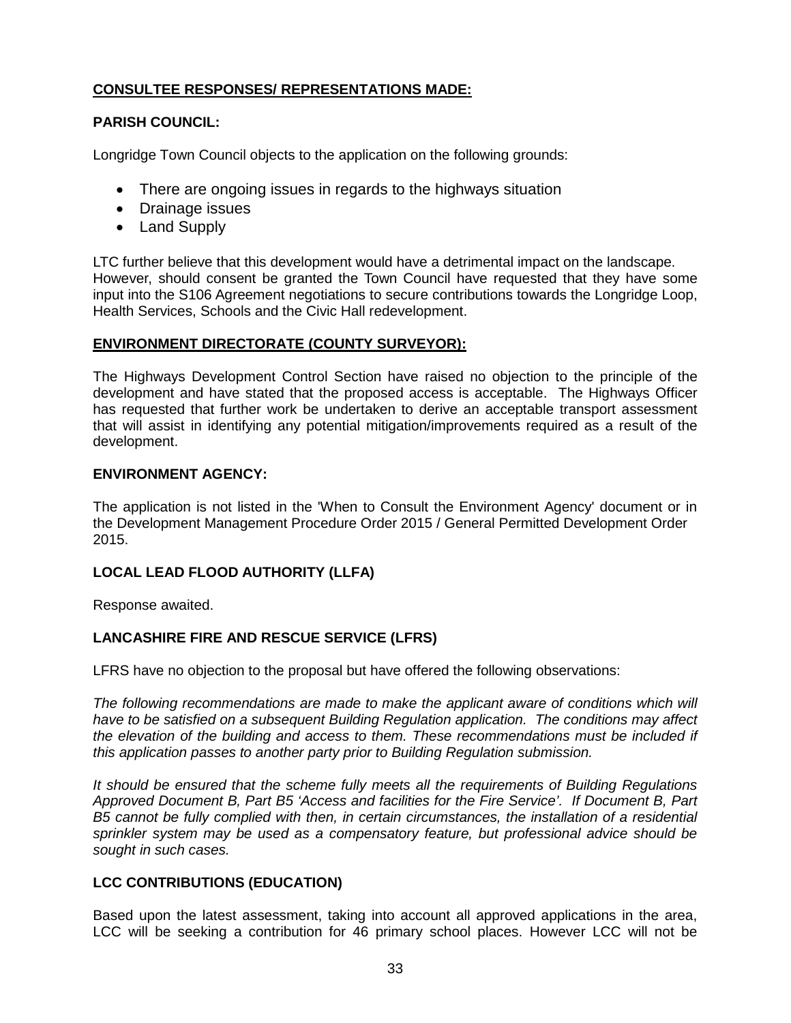# **CONSULTEE RESPONSES/ REPRESENTATIONS MADE:**

# **PARISH COUNCIL:**

Longridge Town Council objects to the application on the following grounds:

- There are ongoing issues in regards to the highways situation
- Drainage issues
- Land Supply

LTC further believe that this development would have a detrimental impact on the landscape. However, should consent be granted the Town Council have requested that they have some input into the S106 Agreement negotiations to secure contributions towards the Longridge Loop, Health Services, Schools and the Civic Hall redevelopment.

# **ENVIRONMENT DIRECTORATE (COUNTY SURVEYOR):**

The Highways Development Control Section have raised no objection to the principle of the development and have stated that the proposed access is acceptable. The Highways Officer has requested that further work be undertaken to derive an acceptable transport assessment that will assist in identifying any potential mitigation/improvements required as a result of the development.

# **ENVIRONMENT AGENCY:**

The application is not listed in the 'When to Consult the Environment Agency' document or in the Development Management Procedure Order 2015 / General Permitted Development Order 2015.

# **LOCAL LEAD FLOOD AUTHORITY (LLFA)**

Response awaited.

# **LANCASHIRE FIRE AND RESCUE SERVICE (LFRS)**

LFRS have no objection to the proposal but have offered the following observations:

*The following recommendations are made to make the applicant aware of conditions which will have to be satisfied on a subsequent Building Regulation application. The conditions may affect the elevation of the building and access to them. These recommendations must be included if this application passes to another party prior to Building Regulation submission.*

*It should be ensured that the scheme fully meets all the requirements of Building Regulations Approved Document B, Part B5 'Access and facilities for the Fire Service'. If Document B, Part B5 cannot be fully complied with then, in certain circumstances, the installation of a residential sprinkler system may be used as a compensatory feature, but professional advice should be sought in such cases.*

# **LCC CONTRIBUTIONS (EDUCATION)**

Based upon the latest assessment, taking into account all approved applications in the area, LCC will be seeking a contribution for 46 primary school places. However LCC will not be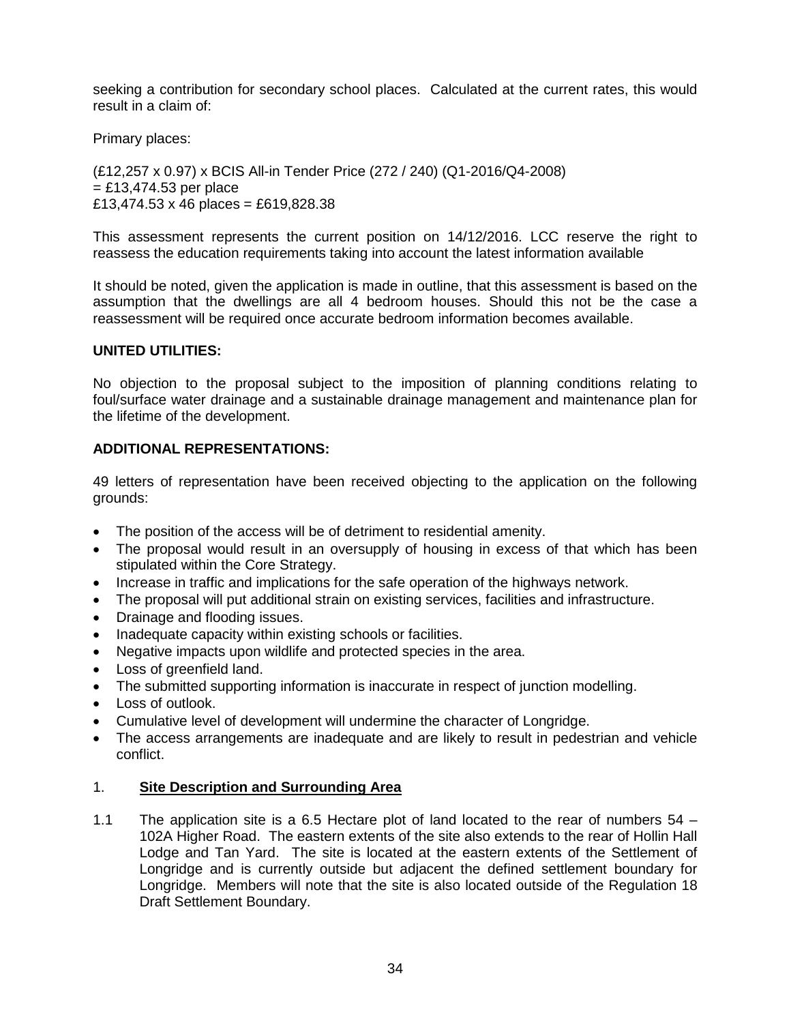seeking a contribution for secondary school places. Calculated at the current rates, this would result in a claim of:

Primary places:

(£12,257 x 0.97) x BCIS All-in Tender Price (272 / 240) (Q1-2016/Q4-2008)  $=$  £13,474.53 per place £13,474.53 x 46 places = £619,828.38

This assessment represents the current position on 14/12/2016. LCC reserve the right to reassess the education requirements taking into account the latest information available

It should be noted, given the application is made in outline, that this assessment is based on the assumption that the dwellings are all 4 bedroom houses. Should this not be the case a reassessment will be required once accurate bedroom information becomes available.

### **UNITED UTILITIES:**

No objection to the proposal subject to the imposition of planning conditions relating to foul/surface water drainage and a sustainable drainage management and maintenance plan for the lifetime of the development.

# **ADDITIONAL REPRESENTATIONS:**

49 letters of representation have been received objecting to the application on the following grounds:

- The position of the access will be of detriment to residential amenity.
- The proposal would result in an oversupply of housing in excess of that which has been stipulated within the Core Strategy.
- Increase in traffic and implications for the safe operation of the highways network.
- The proposal will put additional strain on existing services, facilities and infrastructure.
- Drainage and flooding issues.
- Inadequate capacity within existing schools or facilities.
- Negative impacts upon wildlife and protected species in the area.
- Loss of greenfield land.
- The submitted supporting information is inaccurate in respect of junction modelling.
- Loss of outlook.
- Cumulative level of development will undermine the character of Longridge.
- The access arrangements are inadequate and are likely to result in pedestrian and vehicle conflict.

### 1. **Site Description and Surrounding Area**

1.1 The application site is a 6.5 Hectare plot of land located to the rear of numbers 54 – 102A Higher Road. The eastern extents of the site also extends to the rear of Hollin Hall Lodge and Tan Yard. The site is located at the eastern extents of the Settlement of Longridge and is currently outside but adjacent the defined settlement boundary for Longridge. Members will note that the site is also located outside of the Regulation 18 Draft Settlement Boundary.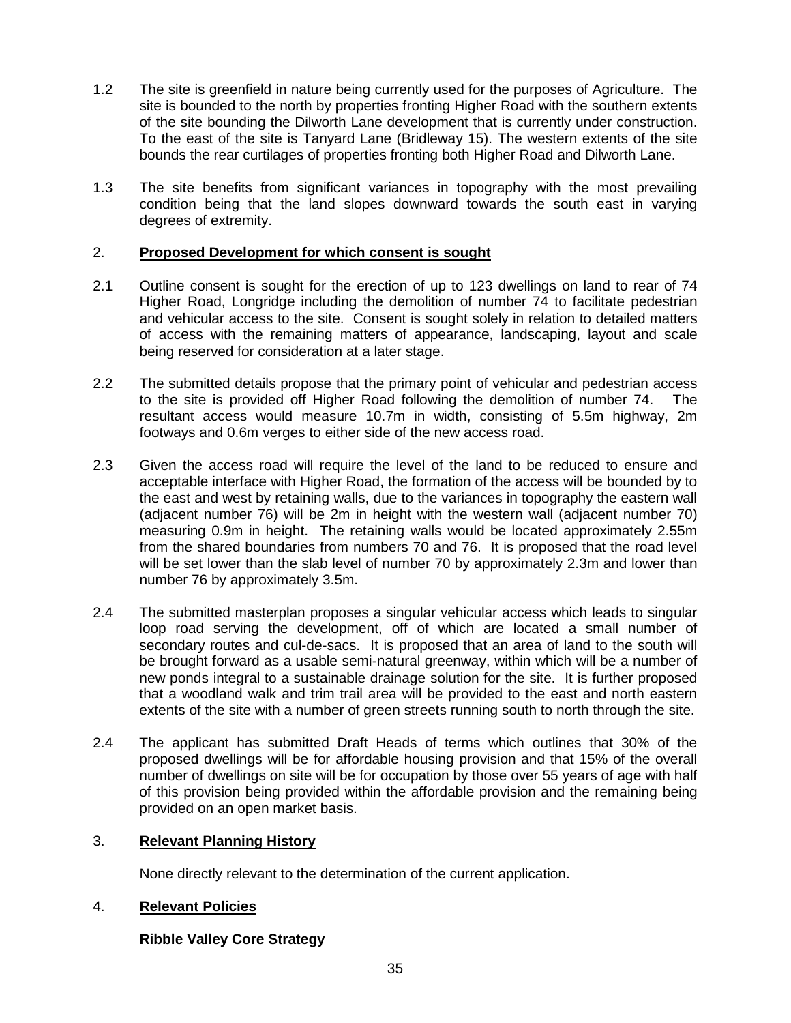- 1.2 The site is greenfield in nature being currently used for the purposes of Agriculture. The site is bounded to the north by properties fronting Higher Road with the southern extents of the site bounding the Dilworth Lane development that is currently under construction. To the east of the site is Tanyard Lane (Bridleway 15). The western extents of the site bounds the rear curtilages of properties fronting both Higher Road and Dilworth Lane.
- 1.3 The site benefits from significant variances in topography with the most prevailing condition being that the land slopes downward towards the south east in varying degrees of extremity.

### 2. **Proposed Development for which consent is sought**

- 2.1 Outline consent is sought for the erection of up to 123 dwellings on land to rear of 74 Higher Road, Longridge including the demolition of number 74 to facilitate pedestrian and vehicular access to the site. Consent is sought solely in relation to detailed matters of access with the remaining matters of appearance, landscaping, layout and scale being reserved for consideration at a later stage.
- 2.2 The submitted details propose that the primary point of vehicular and pedestrian access to the site is provided off Higher Road following the demolition of number 74. The resultant access would measure 10.7m in width, consisting of 5.5m highway, 2m footways and 0.6m verges to either side of the new access road.
- 2.3 Given the access road will require the level of the land to be reduced to ensure and acceptable interface with Higher Road, the formation of the access will be bounded by to the east and west by retaining walls, due to the variances in topography the eastern wall (adjacent number 76) will be 2m in height with the western wall (adjacent number 70) measuring 0.9m in height. The retaining walls would be located approximately 2.55m from the shared boundaries from numbers 70 and 76. It is proposed that the road level will be set lower than the slab level of number 70 by approximately 2.3m and lower than number 76 by approximately 3.5m.
- 2.4 The submitted masterplan proposes a singular vehicular access which leads to singular loop road serving the development, off of which are located a small number of secondary routes and cul-de-sacs. It is proposed that an area of land to the south will be brought forward as a usable semi-natural greenway, within which will be a number of new ponds integral to a sustainable drainage solution for the site. It is further proposed that a woodland walk and trim trail area will be provided to the east and north eastern extents of the site with a number of green streets running south to north through the site.
- 2.4 The applicant has submitted Draft Heads of terms which outlines that 30% of the proposed dwellings will be for affordable housing provision and that 15% of the overall number of dwellings on site will be for occupation by those over 55 years of age with half of this provision being provided within the affordable provision and the remaining being provided on an open market basis.

### 3. **Relevant Planning History**

None directly relevant to the determination of the current application.

### 4. **Relevant Policies**

# **Ribble Valley Core Strategy**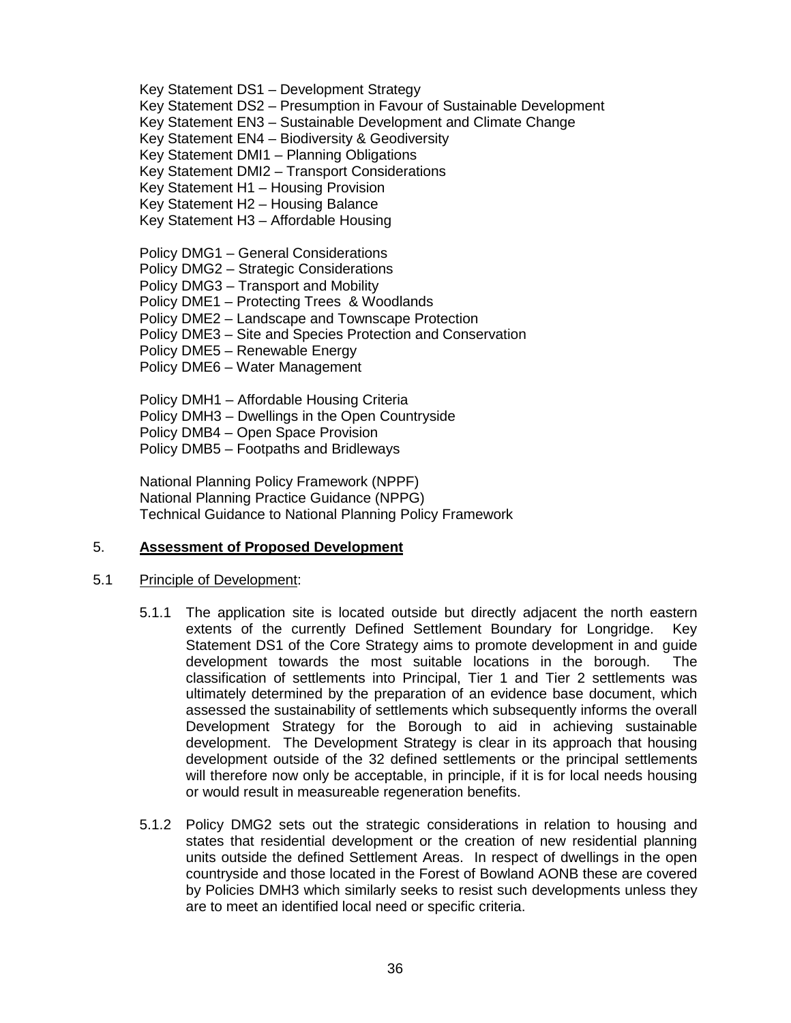Key Statement DS1 – Development Strategy

Key Statement DS2 – Presumption in Favour of Sustainable Development

Key Statement EN3 – Sustainable Development and Climate Change

Key Statement EN4 – Biodiversity & Geodiversity

Key Statement DMI1 – Planning Obligations

Key Statement DMI2 – Transport Considerations

Key Statement H1 – Housing Provision

Key Statement H2 – Housing Balance

Key Statement H3 – Affordable Housing

Policy DMG1 – General Considerations

Policy DMG2 – Strategic Considerations

Policy DMG3 – Transport and Mobility

Policy DME1 – Protecting Trees & Woodlands

Policy DME2 – Landscape and Townscape Protection

Policy DME3 – Site and Species Protection and Conservation

- Policy DME5 Renewable Energy
- Policy DME6 Water Management

Policy DMH1 – Affordable Housing Criteria Policy DMH3 – Dwellings in the Open Countryside Policy DMB4 – Open Space Provision Policy DMB5 – Footpaths and Bridleways

National Planning Policy Framework (NPPF) National Planning Practice Guidance (NPPG) Technical Guidance to National Planning Policy Framework

# 5. **Assessment of Proposed Development**

# 5.1 Principle of Development:

- 5.1.1 The application site is located outside but directly adjacent the north eastern extents of the currently Defined Settlement Boundary for Longridge. Key Statement DS1 of the Core Strategy aims to promote development in and guide development towards the most suitable locations in the borough. The classification of settlements into Principal, Tier 1 and Tier 2 settlements was ultimately determined by the preparation of an evidence base document, which assessed the sustainability of settlements which subsequently informs the overall Development Strategy for the Borough to aid in achieving sustainable development. The Development Strategy is clear in its approach that housing development outside of the 32 defined settlements or the principal settlements will therefore now only be acceptable, in principle, if it is for local needs housing or would result in measureable regeneration benefits.
- 5.1.2 Policy DMG2 sets out the strategic considerations in relation to housing and states that residential development or the creation of new residential planning units outside the defined Settlement Areas. In respect of dwellings in the open countryside and those located in the Forest of Bowland AONB these are covered by Policies DMH3 which similarly seeks to resist such developments unless they are to meet an identified local need or specific criteria.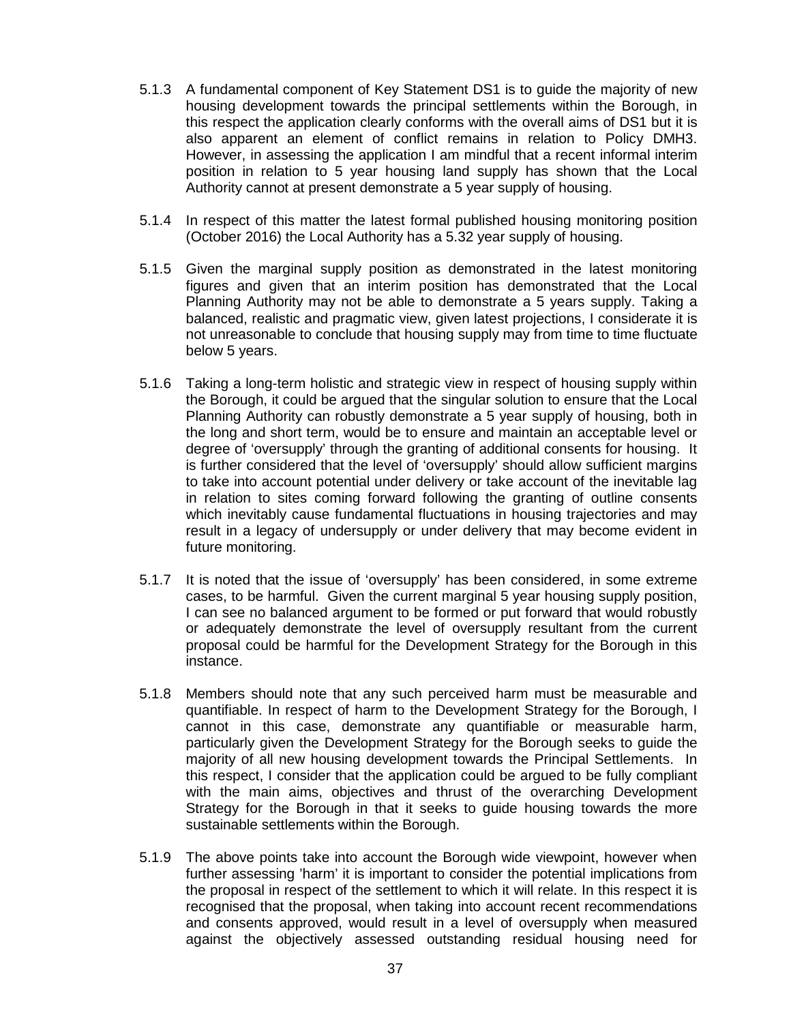- 5.1.3 A fundamental component of Key Statement DS1 is to guide the majority of new housing development towards the principal settlements within the Borough, in this respect the application clearly conforms with the overall aims of DS1 but it is also apparent an element of conflict remains in relation to Policy DMH3. However, in assessing the application I am mindful that a recent informal interim position in relation to 5 year housing land supply has shown that the Local Authority cannot at present demonstrate a 5 year supply of housing.
- 5.1.4 In respect of this matter the latest formal published housing monitoring position (October 2016) the Local Authority has a 5.32 year supply of housing.
- 5.1.5 Given the marginal supply position as demonstrated in the latest monitoring figures and given that an interim position has demonstrated that the Local Planning Authority may not be able to demonstrate a 5 years supply. Taking a balanced, realistic and pragmatic view, given latest projections, I considerate it is not unreasonable to conclude that housing supply may from time to time fluctuate below 5 years.
- 5.1.6 Taking a long-term holistic and strategic view in respect of housing supply within the Borough, it could be argued that the singular solution to ensure that the Local Planning Authority can robustly demonstrate a 5 year supply of housing, both in the long and short term, would be to ensure and maintain an acceptable level or degree of 'oversupply' through the granting of additional consents for housing. It is further considered that the level of 'oversupply' should allow sufficient margins to take into account potential under delivery or take account of the inevitable lag in relation to sites coming forward following the granting of outline consents which inevitably cause fundamental fluctuations in housing trajectories and may result in a legacy of undersupply or under delivery that may become evident in future monitoring.
- 5.1.7 It is noted that the issue of 'oversupply' has been considered, in some extreme cases, to be harmful. Given the current marginal 5 year housing supply position, I can see no balanced argument to be formed or put forward that would robustly or adequately demonstrate the level of oversupply resultant from the current proposal could be harmful for the Development Strategy for the Borough in this instance.
- 5.1.8 Members should note that any such perceived harm must be measurable and quantifiable. In respect of harm to the Development Strategy for the Borough, I cannot in this case, demonstrate any quantifiable or measurable harm, particularly given the Development Strategy for the Borough seeks to guide the majority of all new housing development towards the Principal Settlements. In this respect, I consider that the application could be argued to be fully compliant with the main aims, objectives and thrust of the overarching Development Strategy for the Borough in that it seeks to guide housing towards the more sustainable settlements within the Borough.
- 5.1.9 The above points take into account the Borough wide viewpoint, however when further assessing 'harm' it is important to consider the potential implications from the proposal in respect of the settlement to which it will relate. In this respect it is recognised that the proposal, when taking into account recent recommendations and consents approved, would result in a level of oversupply when measured against the objectively assessed outstanding residual housing need for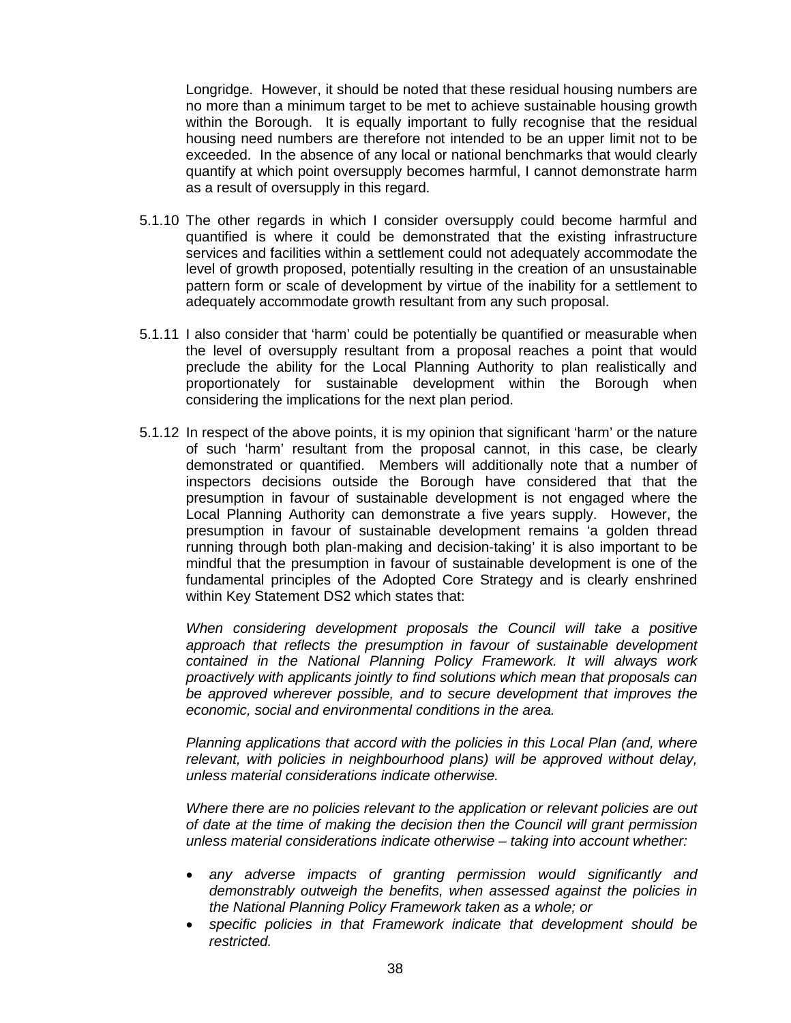Longridge. However, it should be noted that these residual housing numbers are no more than a minimum target to be met to achieve sustainable housing growth within the Borough. It is equally important to fully recognise that the residual housing need numbers are therefore not intended to be an upper limit not to be exceeded. In the absence of any local or national benchmarks that would clearly quantify at which point oversupply becomes harmful, I cannot demonstrate harm as a result of oversupply in this regard.

- 5.1.10 The other regards in which I consider oversupply could become harmful and quantified is where it could be demonstrated that the existing infrastructure services and facilities within a settlement could not adequately accommodate the level of growth proposed, potentially resulting in the creation of an unsustainable pattern form or scale of development by virtue of the inability for a settlement to adequately accommodate growth resultant from any such proposal.
- 5.1.11 I also consider that 'harm' could be potentially be quantified or measurable when the level of oversupply resultant from a proposal reaches a point that would preclude the ability for the Local Planning Authority to plan realistically and proportionately for sustainable development within the Borough when considering the implications for the next plan period.
- 5.1.12 In respect of the above points, it is my opinion that significant 'harm' or the nature of such 'harm' resultant from the proposal cannot, in this case, be clearly demonstrated or quantified. Members will additionally note that a number of inspectors decisions outside the Borough have considered that that the presumption in favour of sustainable development is not engaged where the Local Planning Authority can demonstrate a five years supply. However, the presumption in favour of sustainable development remains 'a golden thread running through both plan-making and decision-taking' it is also important to be mindful that the presumption in favour of sustainable development is one of the fundamental principles of the Adopted Core Strategy and is clearly enshrined within Key Statement DS2 which states that:

*When considering development proposals the Council will take a positive approach that reflects the presumption in favour of sustainable development contained in the National Planning Policy Framework. It will always work proactively with applicants jointly to find solutions which mean that proposals can be approved wherever possible, and to secure development that improves the economic, social and environmental conditions in the area.*

*Planning applications that accord with the policies in this Local Plan (and, where relevant, with policies in neighbourhood plans) will be approved without delay, unless material considerations indicate otherwise.*

*Where there are no policies relevant to the application or relevant policies are out of date at the time of making the decision then the Council will grant permission unless material considerations indicate otherwise – taking into account whether:*

- *any adverse impacts of granting permission would significantly and demonstrably outweigh the benefits, when assessed against the policies in the National Planning Policy Framework taken as a whole; or*
- *specific policies in that Framework indicate that development should be restricted.*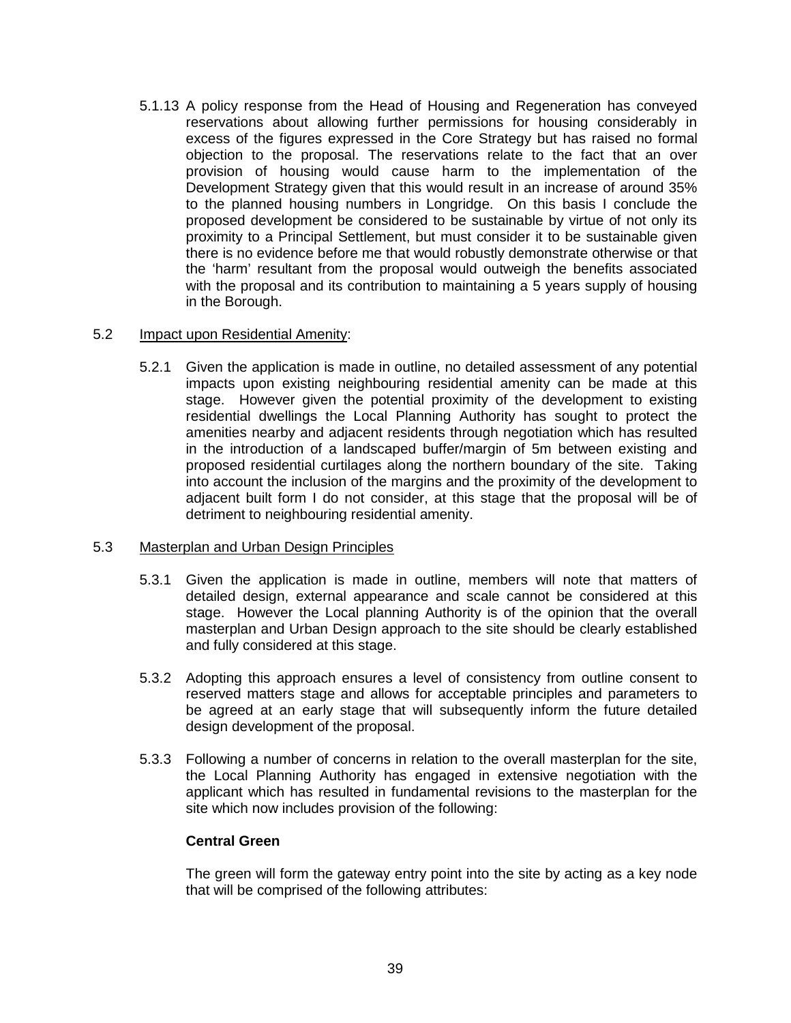5.1.13 A policy response from the Head of Housing and Regeneration has conveyed reservations about allowing further permissions for housing considerably in excess of the figures expressed in the Core Strategy but has raised no formal objection to the proposal. The reservations relate to the fact that an over provision of housing would cause harm to the implementation of the Development Strategy given that this would result in an increase of around 35% to the planned housing numbers in Longridge. On this basis I conclude the proposed development be considered to be sustainable by virtue of not only its proximity to a Principal Settlement, but must consider it to be sustainable given there is no evidence before me that would robustly demonstrate otherwise or that the 'harm' resultant from the proposal would outweigh the benefits associated with the proposal and its contribution to maintaining a 5 years supply of housing in the Borough.

### 5.2 Impact upon Residential Amenity:

5.2.1 Given the application is made in outline, no detailed assessment of any potential impacts upon existing neighbouring residential amenity can be made at this stage. However given the potential proximity of the development to existing residential dwellings the Local Planning Authority has sought to protect the amenities nearby and adjacent residents through negotiation which has resulted in the introduction of a landscaped buffer/margin of 5m between existing and proposed residential curtilages along the northern boundary of the site. Taking into account the inclusion of the margins and the proximity of the development to adjacent built form I do not consider, at this stage that the proposal will be of detriment to neighbouring residential amenity.

### 5.3 Masterplan and Urban Design Principles

- 5.3.1 Given the application is made in outline, members will note that matters of detailed design, external appearance and scale cannot be considered at this stage. However the Local planning Authority is of the opinion that the overall masterplan and Urban Design approach to the site should be clearly established and fully considered at this stage.
- 5.3.2 Adopting this approach ensures a level of consistency from outline consent to reserved matters stage and allows for acceptable principles and parameters to be agreed at an early stage that will subsequently inform the future detailed design development of the proposal.
- 5.3.3 Following a number of concerns in relation to the overall masterplan for the site, the Local Planning Authority has engaged in extensive negotiation with the applicant which has resulted in fundamental revisions to the masterplan for the site which now includes provision of the following:

### **Central Green**

The green will form the gateway entry point into the site by acting as a key node that will be comprised of the following attributes: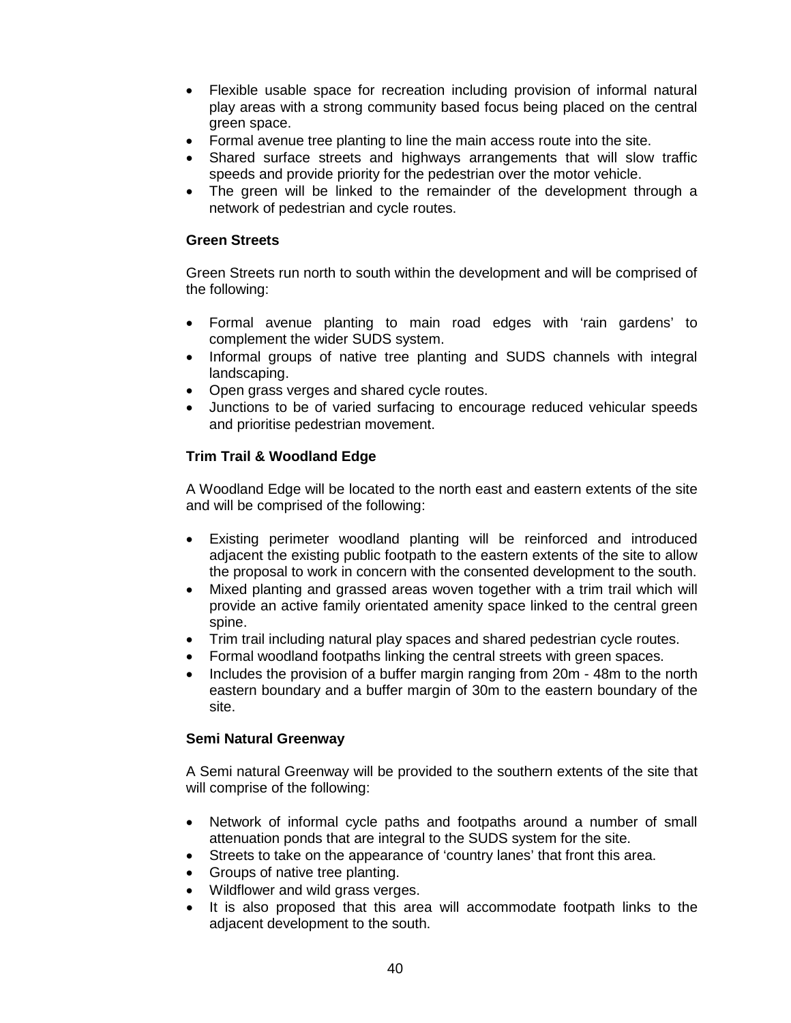- Flexible usable space for recreation including provision of informal natural play areas with a strong community based focus being placed on the central green space.
- Formal avenue tree planting to line the main access route into the site.
- Shared surface streets and highways arrangements that will slow traffic speeds and provide priority for the pedestrian over the motor vehicle.
- The green will be linked to the remainder of the development through a network of pedestrian and cycle routes.

### **Green Streets**

Green Streets run north to south within the development and will be comprised of the following:

- Formal avenue planting to main road edges with 'rain gardens' to complement the wider SUDS system.
- Informal groups of native tree planting and SUDS channels with integral landscaping.
- Open grass verges and shared cycle routes.
- Junctions to be of varied surfacing to encourage reduced vehicular speeds and prioritise pedestrian movement.

# **Trim Trail & Woodland Edge**

A Woodland Edge will be located to the north east and eastern extents of the site and will be comprised of the following:

- Existing perimeter woodland planting will be reinforced and introduced adjacent the existing public footpath to the eastern extents of the site to allow the proposal to work in concern with the consented development to the south.
- Mixed planting and grassed areas woven together with a trim trail which will provide an active family orientated amenity space linked to the central green spine.
- Trim trail including natural play spaces and shared pedestrian cycle routes.
- Formal woodland footpaths linking the central streets with green spaces.
- Includes the provision of a buffer margin ranging from 20m 48m to the north eastern boundary and a buffer margin of 30m to the eastern boundary of the site.

# **Semi Natural Greenway**

A Semi natural Greenway will be provided to the southern extents of the site that will comprise of the following:

- Network of informal cycle paths and footpaths around a number of small attenuation ponds that are integral to the SUDS system for the site.
- Streets to take on the appearance of 'country lanes' that front this area.
- Groups of native tree planting.
- Wildflower and wild grass verges.
- It is also proposed that this area will accommodate footpath links to the adjacent development to the south.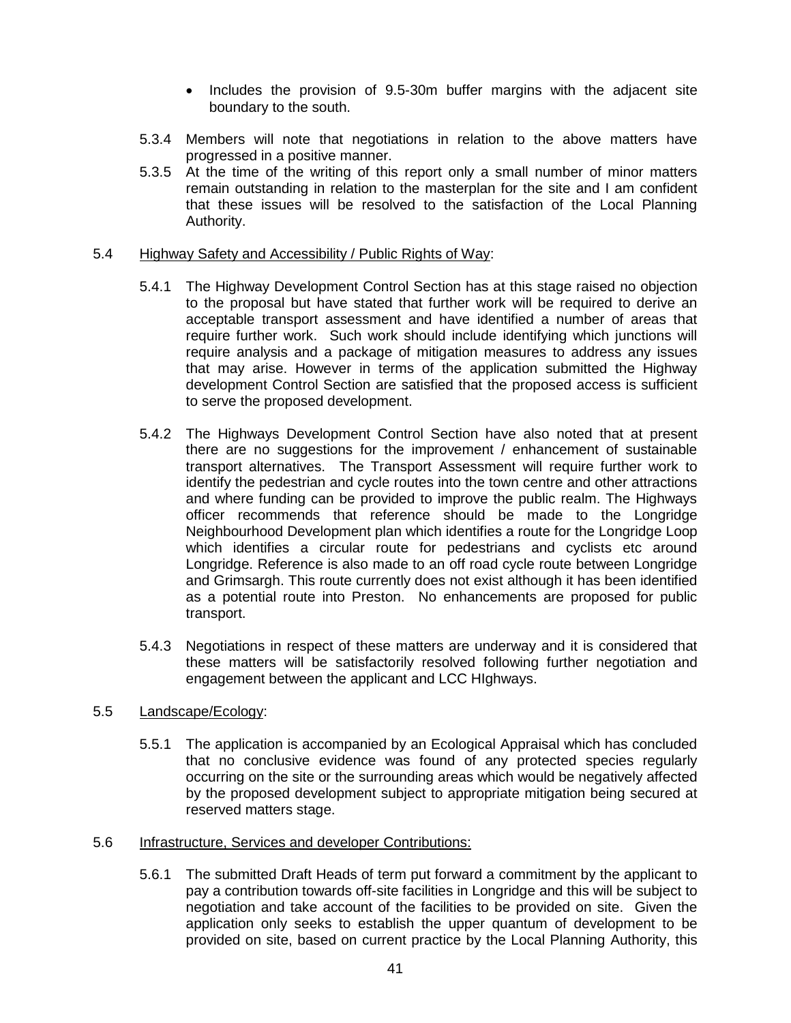- Includes the provision of 9.5-30m buffer margins with the adjacent site boundary to the south.
- 5.3.4 Members will note that negotiations in relation to the above matters have progressed in a positive manner.
- 5.3.5 At the time of the writing of this report only a small number of minor matters remain outstanding in relation to the masterplan for the site and I am confident that these issues will be resolved to the satisfaction of the Local Planning Authority.

#### 5.4 Highway Safety and Accessibility / Public Rights of Way:

- 5.4.1 The Highway Development Control Section has at this stage raised no objection to the proposal but have stated that further work will be required to derive an acceptable transport assessment and have identified a number of areas that require further work. Such work should include identifying which junctions will require analysis and a package of mitigation measures to address any issues that may arise. However in terms of the application submitted the Highway development Control Section are satisfied that the proposed access is sufficient to serve the proposed development.
- 5.4.2 The Highways Development Control Section have also noted that at present there are no suggestions for the improvement / enhancement of sustainable transport alternatives. The Transport Assessment will require further work to identify the pedestrian and cycle routes into the town centre and other attractions and where funding can be provided to improve the public realm. The Highways officer recommends that reference should be made to the Longridge Neighbourhood Development plan which identifies a route for the Longridge Loop which identifies a circular route for pedestrians and cyclists etc around Longridge. Reference is also made to an off road cycle route between Longridge and Grimsargh. This route currently does not exist although it has been identified as a potential route into Preston. No enhancements are proposed for public transport.
- 5.4.3 Negotiations in respect of these matters are underway and it is considered that these matters will be satisfactorily resolved following further negotiation and engagement between the applicant and LCC HIghways.

### 5.5 Landscape/Ecology:

5.5.1 The application is accompanied by an Ecological Appraisal which has concluded that no conclusive evidence was found of any protected species regularly occurring on the site or the surrounding areas which would be negatively affected by the proposed development subject to appropriate mitigation being secured at reserved matters stage.

#### 5.6 Infrastructure, Services and developer Contributions:

5.6.1 The submitted Draft Heads of term put forward a commitment by the applicant to pay a contribution towards off-site facilities in Longridge and this will be subject to negotiation and take account of the facilities to be provided on site. Given the application only seeks to establish the upper quantum of development to be provided on site, based on current practice by the Local Planning Authority, this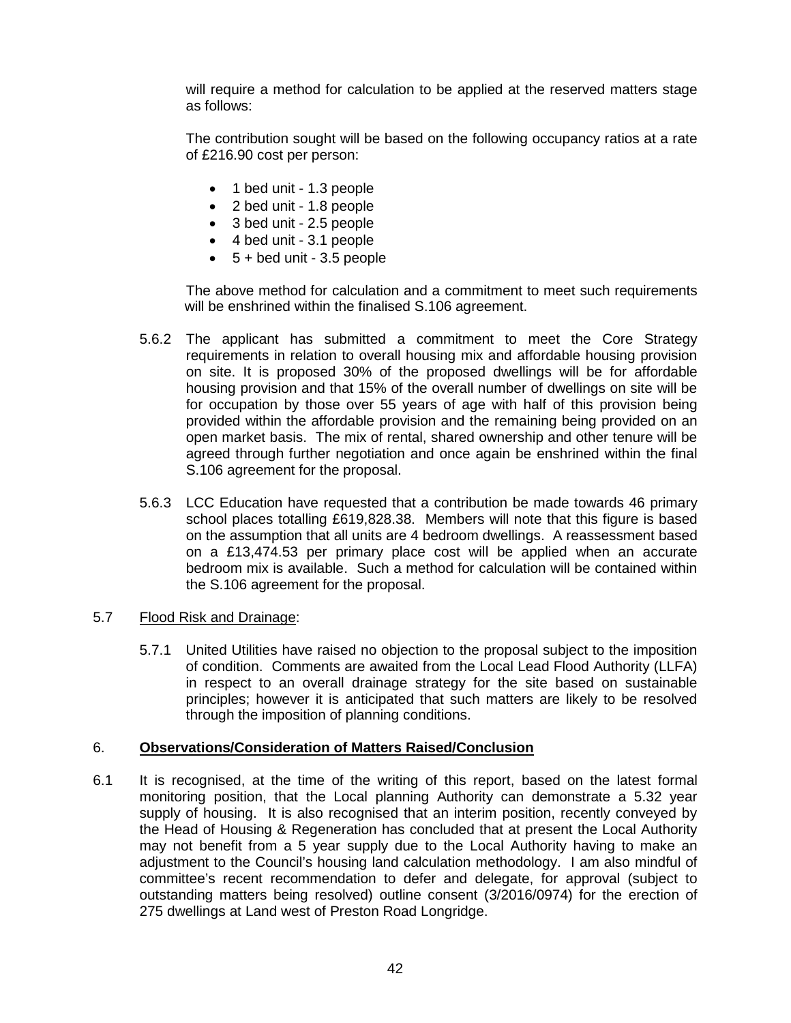will require a method for calculation to be applied at the reserved matters stage as follows:

The contribution sought will be based on the following occupancy ratios at a rate of £216.90 cost per person:

- 1 bed unit 1.3 people
- 2 bed unit 1.8 people
- 3 bed unit 2.5 people
- 4 bed unit 3.1 people
- $\bullet$  5 + bed unit 3.5 people

The above method for calculation and a commitment to meet such requirements will be enshrined within the finalised S.106 agreement.

- 5.6.2 The applicant has submitted a commitment to meet the Core Strategy requirements in relation to overall housing mix and affordable housing provision on site. It is proposed 30% of the proposed dwellings will be for affordable housing provision and that 15% of the overall number of dwellings on site will be for occupation by those over 55 years of age with half of this provision being provided within the affordable provision and the remaining being provided on an open market basis. The mix of rental, shared ownership and other tenure will be agreed through further negotiation and once again be enshrined within the final S.106 agreement for the proposal.
- 5.6.3 LCC Education have requested that a contribution be made towards 46 primary school places totalling £619,828.38. Members will note that this figure is based on the assumption that all units are 4 bedroom dwellings. A reassessment based on a £13,474.53 per primary place cost will be applied when an accurate bedroom mix is available. Such a method for calculation will be contained within the S.106 agreement for the proposal.

# 5.7 Flood Risk and Drainage:

5.7.1 United Utilities have raised no objection to the proposal subject to the imposition of condition. Comments are awaited from the Local Lead Flood Authority (LLFA) in respect to an overall drainage strategy for the site based on sustainable principles; however it is anticipated that such matters are likely to be resolved through the imposition of planning conditions.

### 6. **Observations/Consideration of Matters Raised/Conclusion**

6.1 It is recognised, at the time of the writing of this report, based on the latest formal monitoring position, that the Local planning Authority can demonstrate a 5.32 year supply of housing. It is also recognised that an interim position, recently conveyed by the Head of Housing & Regeneration has concluded that at present the Local Authority may not benefit from a 5 year supply due to the Local Authority having to make an adjustment to the Council's housing land calculation methodology. I am also mindful of committee's recent recommendation to defer and delegate, for approval (subject to outstanding matters being resolved) outline consent (3/2016/0974) for the erection of 275 dwellings at Land west of Preston Road Longridge.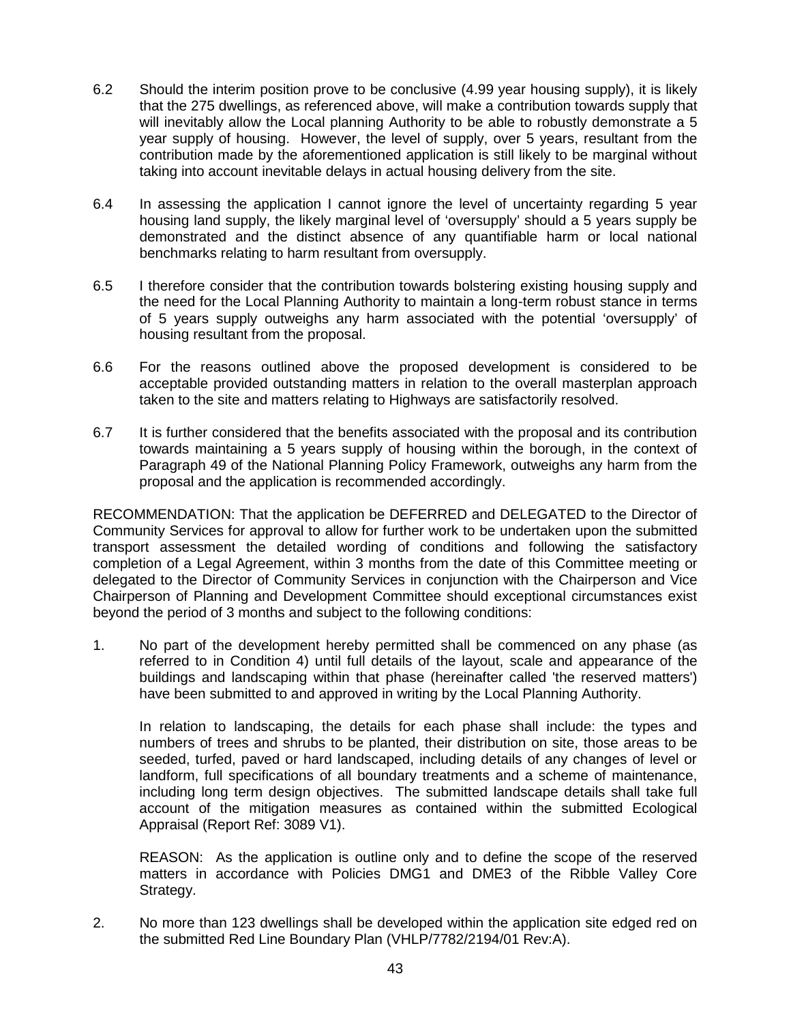- 6.2 Should the interim position prove to be conclusive (4.99 year housing supply), it is likely that the 275 dwellings, as referenced above, will make a contribution towards supply that will inevitably allow the Local planning Authority to be able to robustly demonstrate a 5 year supply of housing. However, the level of supply, over 5 years, resultant from the contribution made by the aforementioned application is still likely to be marginal without taking into account inevitable delays in actual housing delivery from the site.
- 6.4 In assessing the application I cannot ignore the level of uncertainty regarding 5 year housing land supply, the likely marginal level of 'oversupply' should a 5 years supply be demonstrated and the distinct absence of any quantifiable harm or local national benchmarks relating to harm resultant from oversupply.
- 6.5 I therefore consider that the contribution towards bolstering existing housing supply and the need for the Local Planning Authority to maintain a long-term robust stance in terms of 5 years supply outweighs any harm associated with the potential 'oversupply' of housing resultant from the proposal.
- 6.6 For the reasons outlined above the proposed development is considered to be acceptable provided outstanding matters in relation to the overall masterplan approach taken to the site and matters relating to Highways are satisfactorily resolved.
- 6.7 It is further considered that the benefits associated with the proposal and its contribution towards maintaining a 5 years supply of housing within the borough, in the context of Paragraph 49 of the National Planning Policy Framework, outweighs any harm from the proposal and the application is recommended accordingly.

RECOMMENDATION: That the application be DEFERRED and DELEGATED to the Director of Community Services for approval to allow for further work to be undertaken upon the submitted transport assessment the detailed wording of conditions and following the satisfactory completion of a Legal Agreement, within 3 months from the date of this Committee meeting or delegated to the Director of Community Services in conjunction with the Chairperson and Vice Chairperson of Planning and Development Committee should exceptional circumstances exist beyond the period of 3 months and subject to the following conditions:

1. No part of the development hereby permitted shall be commenced on any phase (as referred to in Condition 4) until full details of the layout, scale and appearance of the buildings and landscaping within that phase (hereinafter called 'the reserved matters') have been submitted to and approved in writing by the Local Planning Authority.

In relation to landscaping, the details for each phase shall include: the types and numbers of trees and shrubs to be planted, their distribution on site, those areas to be seeded, turfed, paved or hard landscaped, including details of any changes of level or landform, full specifications of all boundary treatments and a scheme of maintenance, including long term design objectives. The submitted landscape details shall take full account of the mitigation measures as contained within the submitted Ecological Appraisal (Report Ref: 3089 V1).

REASON: As the application is outline only and to define the scope of the reserved matters in accordance with Policies DMG1 and DME3 of the Ribble Valley Core Strategy.

2. No more than 123 dwellings shall be developed within the application site edged red on the submitted Red Line Boundary Plan (VHLP/7782/2194/01 Rev:A).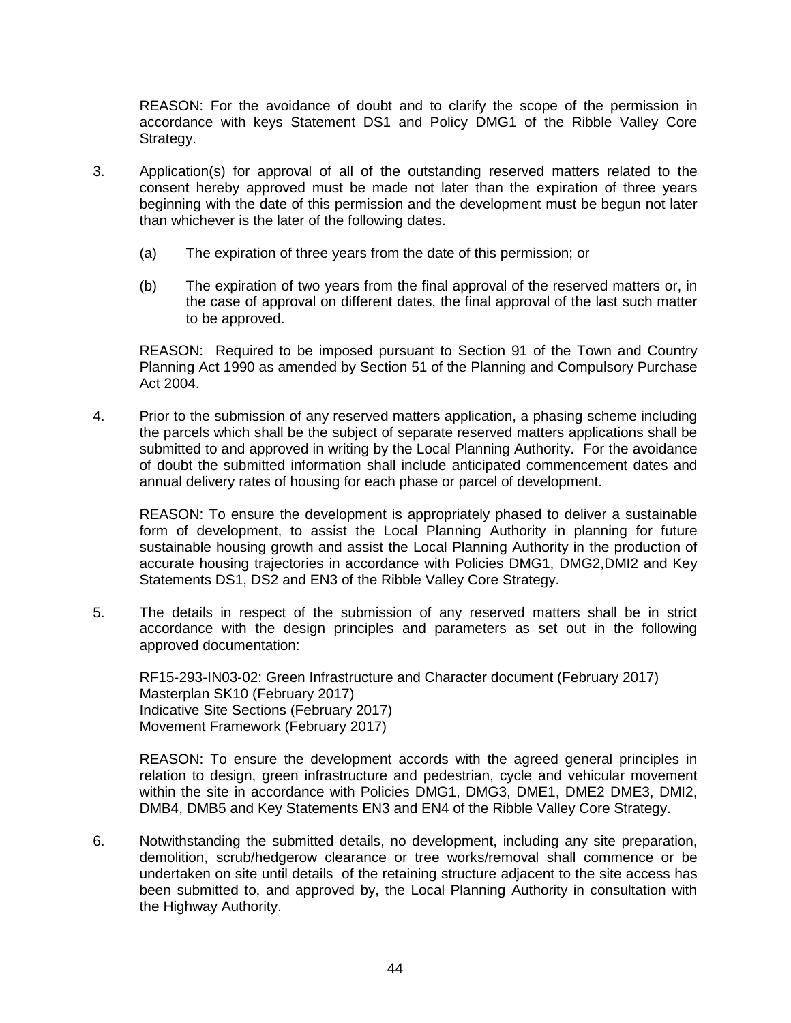REASON: For the avoidance of doubt and to clarify the scope of the permission in accordance with keys Statement DS1 and Policy DMG1 of the Ribble Valley Core Strategy.

- 3. Application(s) for approval of all of the outstanding reserved matters related to the consent hereby approved must be made not later than the expiration of three years beginning with the date of this permission and the development must be begun not later than whichever is the later of the following dates.
	- (a) The expiration of three years from the date of this permission; or
	- (b) The expiration of two years from the final approval of the reserved matters or, in the case of approval on different dates, the final approval of the last such matter to be approved.

REASON: Required to be imposed pursuant to Section 91 of the Town and Country Planning Act 1990 as amended by Section 51 of the Planning and Compulsory Purchase Act 2004.

4. Prior to the submission of any reserved matters application, a phasing scheme including the parcels which shall be the subject of separate reserved matters applications shall be submitted to and approved in writing by the Local Planning Authority. For the avoidance of doubt the submitted information shall include anticipated commencement dates and annual delivery rates of housing for each phase or parcel of development.

REASON: To ensure the development is appropriately phased to deliver a sustainable form of development, to assist the Local Planning Authority in planning for future sustainable housing growth and assist the Local Planning Authority in the production of accurate housing trajectories in accordance with Policies DMG1, DMG2,DMI2 and Key Statements DS1, DS2 and EN3 of the Ribble Valley Core Strategy.

5. The details in respect of the submission of any reserved matters shall be in strict accordance with the design principles and parameters as set out in the following approved documentation:

RF15-293-IN03-02: Green Infrastructure and Character document (February 2017) Masterplan SK10 (February 2017) Indicative Site Sections (February 2017) Movement Framework (February 2017)

REASON: To ensure the development accords with the agreed general principles in relation to design, green infrastructure and pedestrian, cycle and vehicular movement within the site in accordance with Policies DMG1, DMG3, DME1, DME2 DME3, DMI2, DMB4, DMB5 and Key Statements EN3 and EN4 of the Ribble Valley Core Strategy.

6. Notwithstanding the submitted details, no development, including any site preparation, demolition, scrub/hedgerow clearance or tree works/removal shall commence or be undertaken on site until details of the retaining structure adjacent to the site access has been submitted to, and approved by, the Local Planning Authority in consultation with the Highway Authority.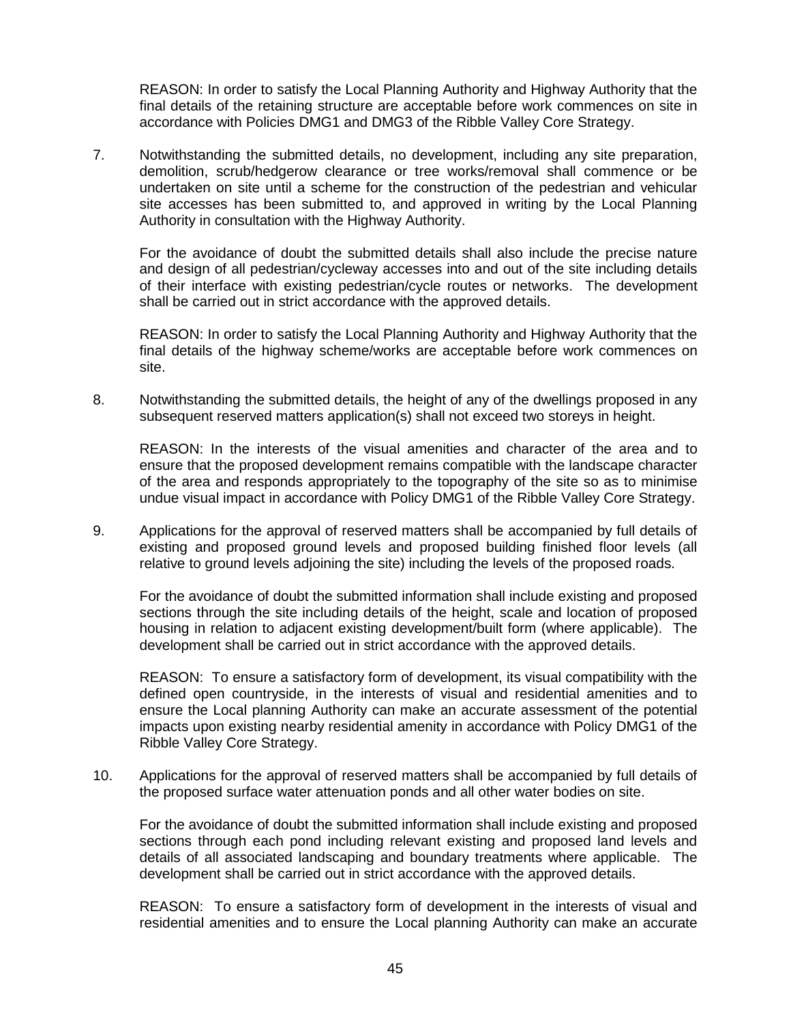REASON: In order to satisfy the Local Planning Authority and Highway Authority that the final details of the retaining structure are acceptable before work commences on site in accordance with Policies DMG1 and DMG3 of the Ribble Valley Core Strategy.

7. Notwithstanding the submitted details, no development, including any site preparation, demolition, scrub/hedgerow clearance or tree works/removal shall commence or be undertaken on site until a scheme for the construction of the pedestrian and vehicular site accesses has been submitted to, and approved in writing by the Local Planning Authority in consultation with the Highway Authority.

For the avoidance of doubt the submitted details shall also include the precise nature and design of all pedestrian/cycleway accesses into and out of the site including details of their interface with existing pedestrian/cycle routes or networks. The development shall be carried out in strict accordance with the approved details.

REASON: In order to satisfy the Local Planning Authority and Highway Authority that the final details of the highway scheme/works are acceptable before work commences on site.

8. Notwithstanding the submitted details, the height of any of the dwellings proposed in any subsequent reserved matters application(s) shall not exceed two storeys in height.

REASON: In the interests of the visual amenities and character of the area and to ensure that the proposed development remains compatible with the landscape character of the area and responds appropriately to the topography of the site so as to minimise undue visual impact in accordance with Policy DMG1 of the Ribble Valley Core Strategy.

9. Applications for the approval of reserved matters shall be accompanied by full details of existing and proposed ground levels and proposed building finished floor levels (all relative to ground levels adjoining the site) including the levels of the proposed roads.

For the avoidance of doubt the submitted information shall include existing and proposed sections through the site including details of the height, scale and location of proposed housing in relation to adjacent existing development/built form (where applicable). The development shall be carried out in strict accordance with the approved details.

REASON: To ensure a satisfactory form of development, its visual compatibility with the defined open countryside, in the interests of visual and residential amenities and to ensure the Local planning Authority can make an accurate assessment of the potential impacts upon existing nearby residential amenity in accordance with Policy DMG1 of the Ribble Valley Core Strategy.

10. Applications for the approval of reserved matters shall be accompanied by full details of the proposed surface water attenuation ponds and all other water bodies on site.

For the avoidance of doubt the submitted information shall include existing and proposed sections through each pond including relevant existing and proposed land levels and details of all associated landscaping and boundary treatments where applicable. The development shall be carried out in strict accordance with the approved details.

REASON: To ensure a satisfactory form of development in the interests of visual and residential amenities and to ensure the Local planning Authority can make an accurate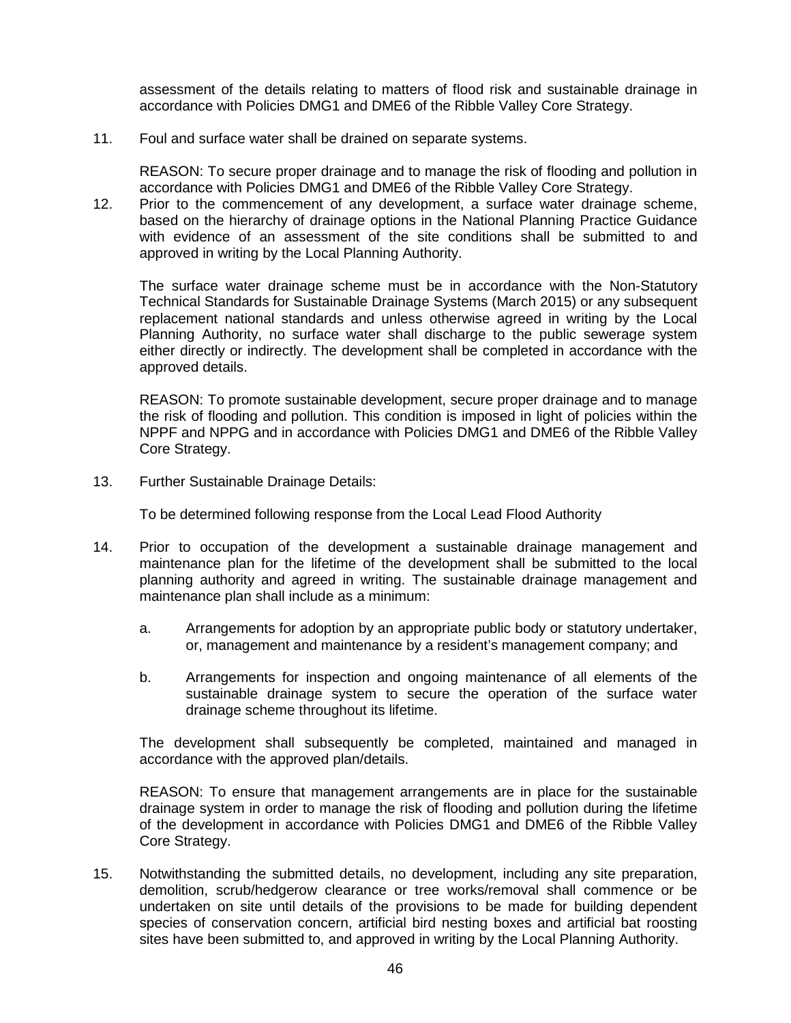assessment of the details relating to matters of flood risk and sustainable drainage in accordance with Policies DMG1 and DME6 of the Ribble Valley Core Strategy.

11. Foul and surface water shall be drained on separate systems.

REASON: To secure proper drainage and to manage the risk of flooding and pollution in accordance with Policies DMG1 and DME6 of the Ribble Valley Core Strategy.

12. Prior to the commencement of any development, a surface water drainage scheme, based on the hierarchy of drainage options in the National Planning Practice Guidance with evidence of an assessment of the site conditions shall be submitted to and approved in writing by the Local Planning Authority.

The surface water drainage scheme must be in accordance with the Non-Statutory Technical Standards for Sustainable Drainage Systems (March 2015) or any subsequent replacement national standards and unless otherwise agreed in writing by the Local Planning Authority, no surface water shall discharge to the public sewerage system either directly or indirectly. The development shall be completed in accordance with the approved details.

REASON: To promote sustainable development, secure proper drainage and to manage the risk of flooding and pollution. This condition is imposed in light of policies within the NPPF and NPPG and in accordance with Policies DMG1 and DME6 of the Ribble Valley Core Strategy.

13. Further Sustainable Drainage Details:

To be determined following response from the Local Lead Flood Authority

- 14. Prior to occupation of the development a sustainable drainage management and maintenance plan for the lifetime of the development shall be submitted to the local planning authority and agreed in writing. The sustainable drainage management and maintenance plan shall include as a minimum:
	- a. Arrangements for adoption by an appropriate public body or statutory undertaker, or, management and maintenance by a resident's management company; and
	- b. Arrangements for inspection and ongoing maintenance of all elements of the sustainable drainage system to secure the operation of the surface water drainage scheme throughout its lifetime.

The development shall subsequently be completed, maintained and managed in accordance with the approved plan/details.

REASON: To ensure that management arrangements are in place for the sustainable drainage system in order to manage the risk of flooding and pollution during the lifetime of the development in accordance with Policies DMG1 and DME6 of the Ribble Valley Core Strategy.

15. Notwithstanding the submitted details, no development, including any site preparation, demolition, scrub/hedgerow clearance or tree works/removal shall commence or be undertaken on site until details of the provisions to be made for building dependent species of conservation concern, artificial bird nesting boxes and artificial bat roosting sites have been submitted to, and approved in writing by the Local Planning Authority.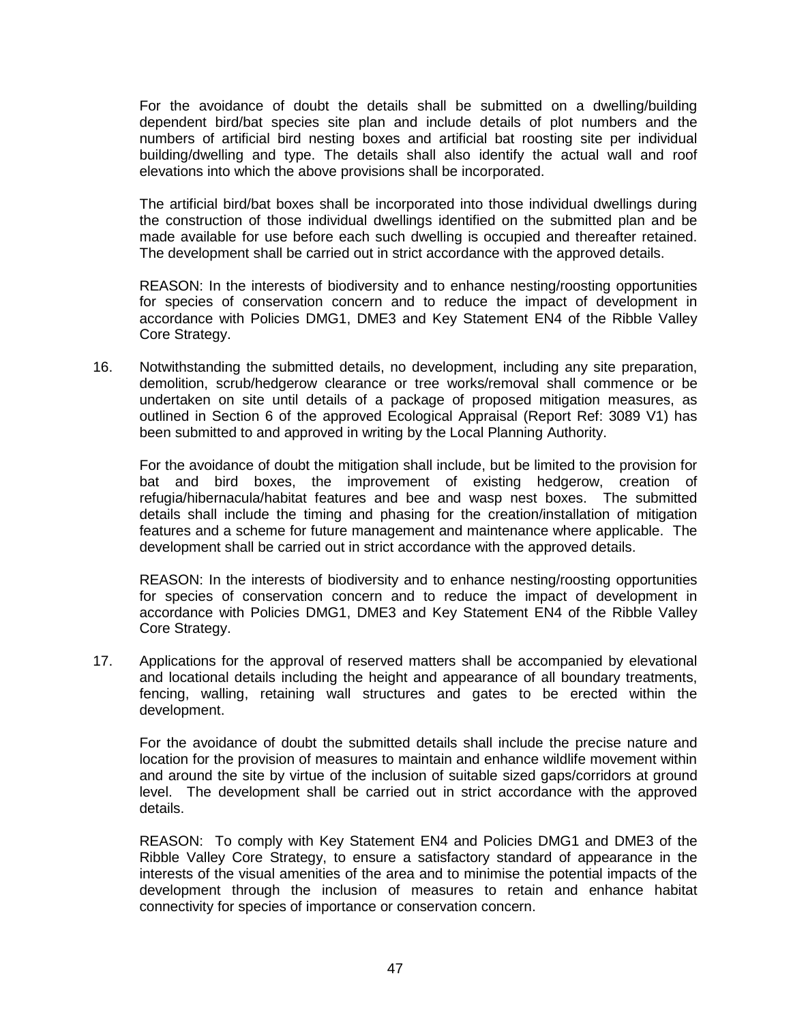For the avoidance of doubt the details shall be submitted on a dwelling/building dependent bird/bat species site plan and include details of plot numbers and the numbers of artificial bird nesting boxes and artificial bat roosting site per individual building/dwelling and type. The details shall also identify the actual wall and roof elevations into which the above provisions shall be incorporated.

The artificial bird/bat boxes shall be incorporated into those individual dwellings during the construction of those individual dwellings identified on the submitted plan and be made available for use before each such dwelling is occupied and thereafter retained. The development shall be carried out in strict accordance with the approved details.

REASON: In the interests of biodiversity and to enhance nesting/roosting opportunities for species of conservation concern and to reduce the impact of development in accordance with Policies DMG1, DME3 and Key Statement EN4 of the Ribble Valley Core Strategy.

16. Notwithstanding the submitted details, no development, including any site preparation, demolition, scrub/hedgerow clearance or tree works/removal shall commence or be undertaken on site until details of a package of proposed mitigation measures, as outlined in Section 6 of the approved Ecological Appraisal (Report Ref: 3089 V1) has been submitted to and approved in writing by the Local Planning Authority.

For the avoidance of doubt the mitigation shall include, but be limited to the provision for bat and bird boxes, the improvement of existing hedgerow, creation of refugia/hibernacula/habitat features and bee and wasp nest boxes. The submitted details shall include the timing and phasing for the creation/installation of mitigation features and a scheme for future management and maintenance where applicable. The development shall be carried out in strict accordance with the approved details.

REASON: In the interests of biodiversity and to enhance nesting/roosting opportunities for species of conservation concern and to reduce the impact of development in accordance with Policies DMG1, DME3 and Key Statement EN4 of the Ribble Valley Core Strategy.

17. Applications for the approval of reserved matters shall be accompanied by elevational and locational details including the height and appearance of all boundary treatments, fencing, walling, retaining wall structures and gates to be erected within the development.

For the avoidance of doubt the submitted details shall include the precise nature and location for the provision of measures to maintain and enhance wildlife movement within and around the site by virtue of the inclusion of suitable sized gaps/corridors at ground level. The development shall be carried out in strict accordance with the approved details.

REASON: To comply with Key Statement EN4 and Policies DMG1 and DME3 of the Ribble Valley Core Strategy, to ensure a satisfactory standard of appearance in the interests of the visual amenities of the area and to minimise the potential impacts of the development through the inclusion of measures to retain and enhance habitat connectivity for species of importance or conservation concern.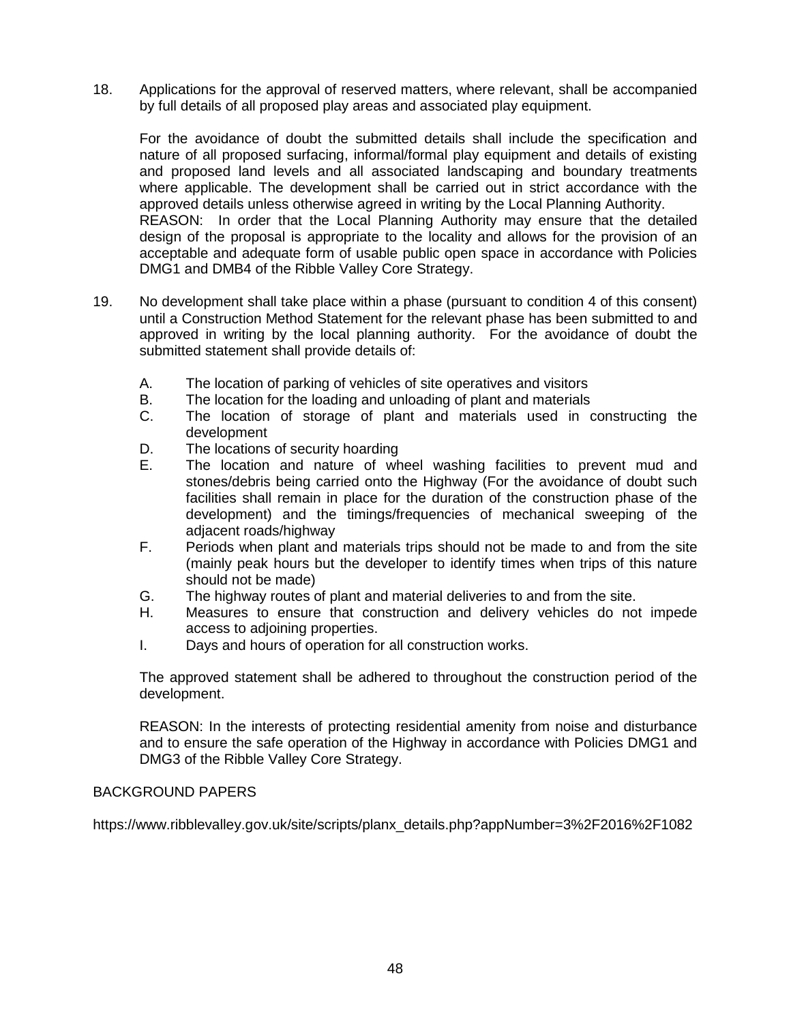18. Applications for the approval of reserved matters, where relevant, shall be accompanied by full details of all proposed play areas and associated play equipment.

For the avoidance of doubt the submitted details shall include the specification and nature of all proposed surfacing, informal/formal play equipment and details of existing and proposed land levels and all associated landscaping and boundary treatments where applicable. The development shall be carried out in strict accordance with the approved details unless otherwise agreed in writing by the Local Planning Authority. REASON: In order that the Local Planning Authority may ensure that the detailed design of the proposal is appropriate to the locality and allows for the provision of an acceptable and adequate form of usable public open space in accordance with Policies DMG1 and DMB4 of the Ribble Valley Core Strategy.

- 19. No development shall take place within a phase (pursuant to condition 4 of this consent) until a Construction Method Statement for the relevant phase has been submitted to and approved in writing by the local planning authority. For the avoidance of doubt the submitted statement shall provide details of:
	- A. The location of parking of vehicles of site operatives and visitors
	- B. The location for the loading and unloading of plant and materials
	- C. The location of storage of plant and materials used in constructing the development
	- D. The locations of security hoarding<br>F. The location and nature of wh
	- The location and nature of wheel washing facilities to prevent mud and stones/debris being carried onto the Highway (For the avoidance of doubt such facilities shall remain in place for the duration of the construction phase of the development) and the timings/frequencies of mechanical sweeping of the adjacent roads/highway
	- F. Periods when plant and materials trips should not be made to and from the site (mainly peak hours but the developer to identify times when trips of this nature should not be made)
	- G. The highway routes of plant and material deliveries to and from the site.<br>H. Measures to ensure that construction and delivery vehicles do not
	- Measures to ensure that construction and delivery vehicles do not impede access to adjoining properties.
	- I. Days and hours of operation for all construction works.

The approved statement shall be adhered to throughout the construction period of the development.

REASON: In the interests of protecting residential amenity from noise and disturbance and to ensure the safe operation of the Highway in accordance with Policies DMG1 and DMG3 of the Ribble Valley Core Strategy.

### BACKGROUND PAPERS

https://www.ribblevalley.gov.uk/site/scripts/planx\_details.php?appNumber=3%2F2016%2F1082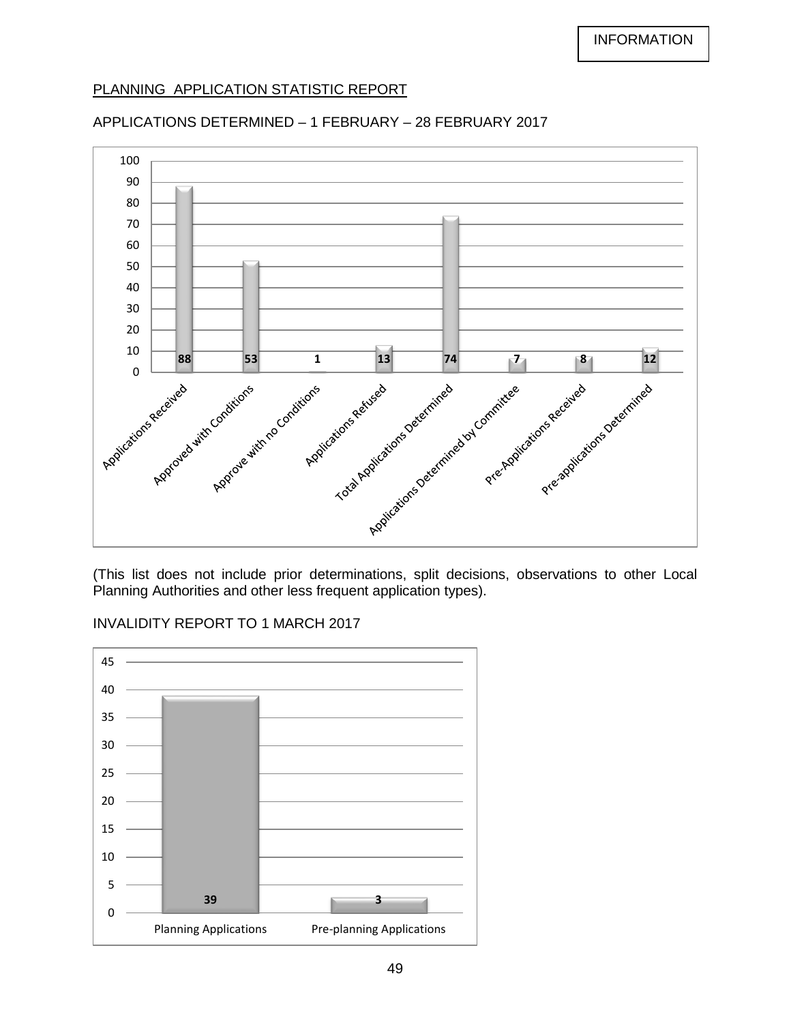# PLANNING APPLICATION STATISTIC REPORT

# APPLICATIONS DETERMINED – 1 FEBRUARY – 28 FEBRUARY 2017



(This list does not include prior determinations, split decisions, observations to other Local Planning Authorities and other less frequent application types).

# INVALIDITY REPORT TO 1 MARCH 2017

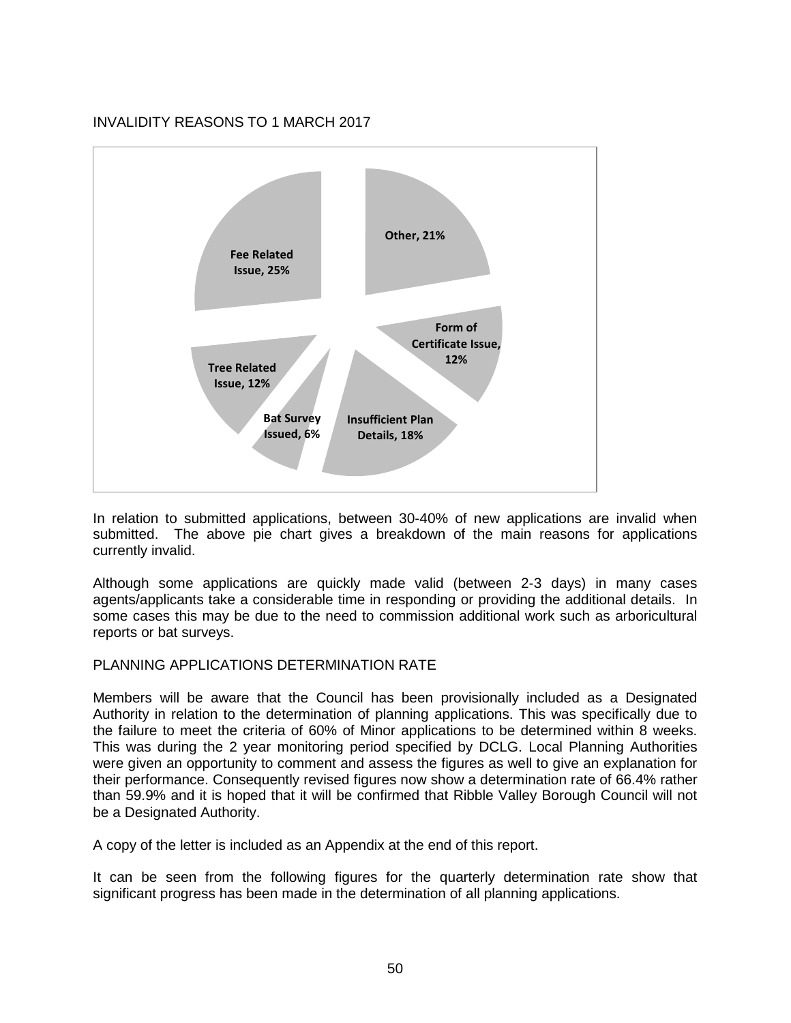# INVALIDITY REASONS TO 1 MARCH 2017



In relation to submitted applications, between 30-40% of new applications are invalid when submitted. The above pie chart gives a breakdown of the main reasons for applications currently invalid.

Although some applications are quickly made valid (between 2-3 days) in many cases agents/applicants take a considerable time in responding or providing the additional details. In some cases this may be due to the need to commission additional work such as arboricultural reports or bat surveys.

# PLANNING APPLICATIONS DETERMINATION RATE

Members will be aware that the Council has been provisionally included as a Designated Authority in relation to the determination of planning applications. This was specifically due to the failure to meet the criteria of 60% of Minor applications to be determined within 8 weeks. This was during the 2 year monitoring period specified by DCLG. Local Planning Authorities were given an opportunity to comment and assess the figures as well to give an explanation for their performance. Consequently revised figures now show a determination rate of 66.4% rather than 59.9% and it is hoped that it will be confirmed that Ribble Valley Borough Council will not be a Designated Authority.

A copy of the letter is included as an Appendix at the end of this report.

It can be seen from the following figures for the quarterly determination rate show that significant progress has been made in the determination of all planning applications.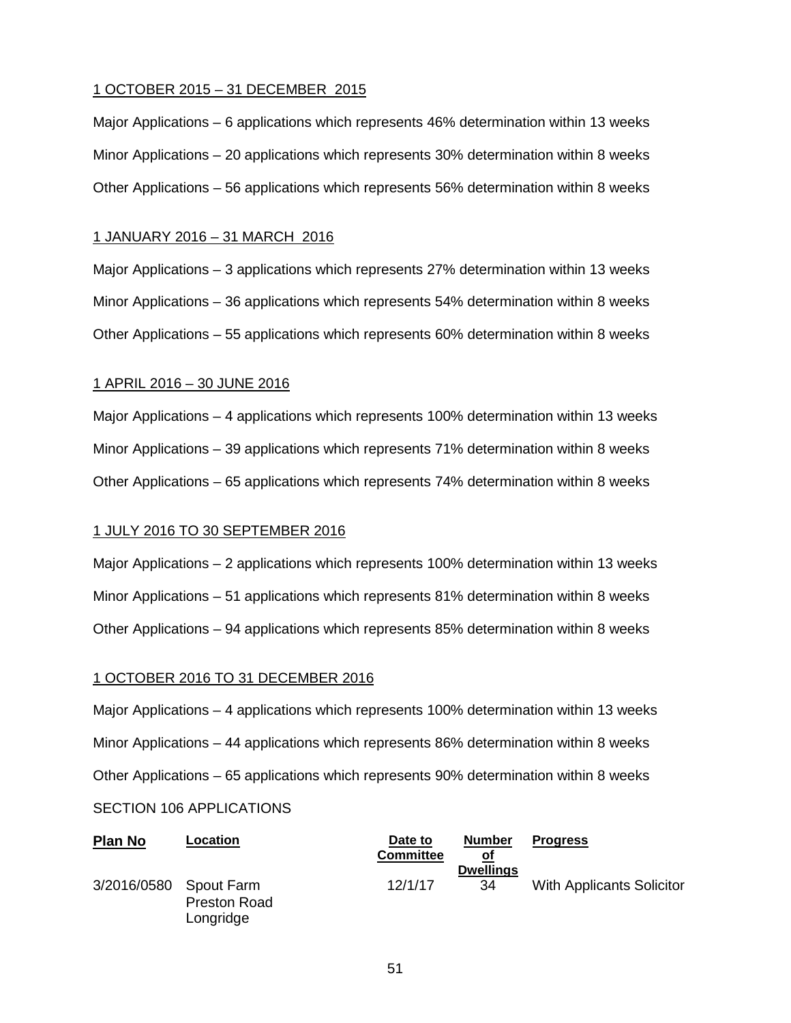### 1 OCTOBER 2015 – 31 DECEMBER 2015

Major Applications – 6 applications which represents 46% determination within 13 weeks Minor Applications – 20 applications which represents 30% determination within 8 weeks Other Applications – 56 applications which represents 56% determination within 8 weeks

#### 1 JANUARY 2016 – 31 MARCH 2016

Major Applications – 3 applications which represents 27% determination within 13 weeks Minor Applications – 36 applications which represents 54% determination within 8 weeks Other Applications – 55 applications which represents 60% determination within 8 weeks

#### 1 APRIL 2016 – 30 JUNE 2016

Major Applications – 4 applications which represents 100% determination within 13 weeks Minor Applications – 39 applications which represents 71% determination within 8 weeks Other Applications – 65 applications which represents 74% determination within 8 weeks

#### 1 JULY 2016 TO 30 SEPTEMBER 2016

Major Applications – 2 applications which represents 100% determination within 13 weeks Minor Applications – 51 applications which represents 81% determination within 8 weeks Other Applications – 94 applications which represents 85% determination within 8 weeks

#### 1 OCTOBER 2016 TO 31 DECEMBER 2016

Major Applications – 4 applications which represents 100% determination within 13 weeks Minor Applications – 44 applications which represents 86% determination within 8 weeks Other Applications – 65 applications which represents 90% determination within 8 weeks SECTION 106 APPLICATIONS

| <b>Plan No</b> | Location                                       | Date to<br><b>Committee</b> | <b>Number</b><br>Οt<br><b>Dwellings</b> | <b>Progress</b>                  |
|----------------|------------------------------------------------|-----------------------------|-----------------------------------------|----------------------------------|
| 3/2016/0580    | Spout Farm<br><b>Preston Road</b><br>Longridge | 12/1/17                     | 34                                      | <b>With Applicants Solicitor</b> |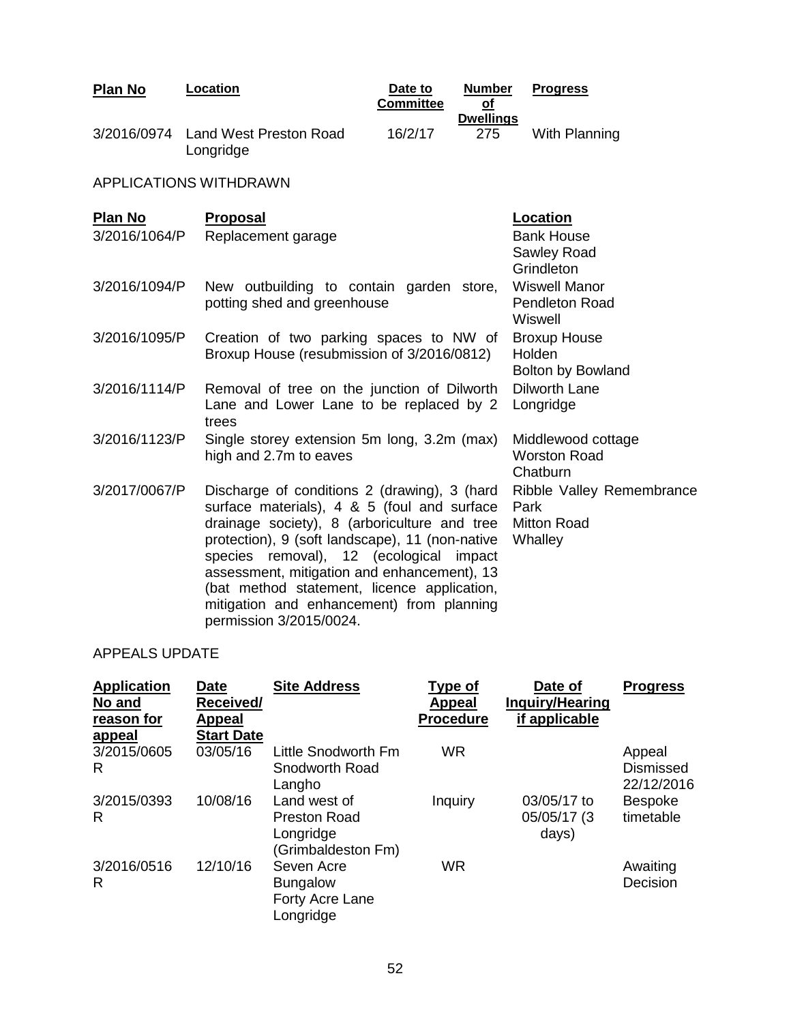| Plan No                         | Location                                                                                                                                                                                                                                                                                                                                                                                                        | Date to<br><b>Committee</b> | <b>Number</b><br>$\overline{\text{of}}$ | <b>Progress</b>                                                    |
|---------------------------------|-----------------------------------------------------------------------------------------------------------------------------------------------------------------------------------------------------------------------------------------------------------------------------------------------------------------------------------------------------------------------------------------------------------------|-----------------------------|-----------------------------------------|--------------------------------------------------------------------|
|                                 | 3/2016/0974 Land West Preston Road<br>Longridge                                                                                                                                                                                                                                                                                                                                                                 | 16/2/17                     | <b>Dwellings</b><br>275                 | With Planning                                                      |
|                                 | <b>APPLICATIONS WITHDRAWN</b>                                                                                                                                                                                                                                                                                                                                                                                   |                             |                                         |                                                                    |
| <b>Plan No</b><br>3/2016/1064/P | <b>Proposal</b><br>Replacement garage                                                                                                                                                                                                                                                                                                                                                                           |                             |                                         | Location<br><b>Bank House</b><br>Sawley Road<br>Grindleton         |
| 3/2016/1094/P                   | New outbuilding to contain garden store,<br>potting shed and greenhouse                                                                                                                                                                                                                                                                                                                                         |                             |                                         | <b>Wiswell Manor</b><br><b>Pendleton Road</b><br>Wiswell           |
| 3/2016/1095/P                   | Creation of two parking spaces to NW of<br>Broxup House (resubmission of 3/2016/0812)                                                                                                                                                                                                                                                                                                                           |                             |                                         | <b>Broxup House</b><br>Holden<br>Bolton by Bowland                 |
| 3/2016/1114/P                   | Removal of tree on the junction of Dilworth<br>Lane and Lower Lane to be replaced by 2<br>trees                                                                                                                                                                                                                                                                                                                 |                             |                                         | <b>Dilworth Lane</b><br>Longridge                                  |
| 3/2016/1123/P                   | Single storey extension 5m long, 3.2m (max)<br>high and 2.7m to eaves                                                                                                                                                                                                                                                                                                                                           |                             |                                         | Middlewood cottage<br><b>Worston Road</b><br>Chatburn              |
| 3/2017/0067/P                   | Discharge of conditions 2 (drawing), 3 (hard<br>surface materials), 4 & 5 (foul and surface<br>drainage society), 8 (arboriculture and tree<br>protection), 9 (soft landscape), 11 (non-native<br>species removal), 12 (ecological impact<br>assessment, mitigation and enhancement), 13<br>(bat method statement, licence application,<br>mitigation and enhancement) from planning<br>permission 3/2015/0024. |                             |                                         | Ribble Valley Remembrance<br>Park<br><b>Mitton Road</b><br>Whalley |

# APPEALS UPDATE

| <b>Application</b><br>No and<br>reason for | <b>Date</b><br>Received/<br>Appeal | <b>Site Address</b>                                                    | <b>Type of</b><br><b>Appeal</b><br><b>Procedure</b> | Date of<br><b>Inquiry/Hearing</b><br>if applicable | <b>Progress</b>                   |
|--------------------------------------------|------------------------------------|------------------------------------------------------------------------|-----------------------------------------------------|----------------------------------------------------|-----------------------------------|
| appeal                                     | <b>Start Date</b>                  |                                                                        |                                                     |                                                    |                                   |
| 3/2015/0605<br>R                           | 03/05/16                           | Little Snodworth Fm<br>Snodworth Road<br>Langho                        | <b>WR</b>                                           |                                                    | Appeal<br>Dismissed<br>22/12/2016 |
| 3/2015/0393<br>R                           | 10/08/16                           | Land west of<br><b>Preston Road</b><br>Longridge<br>(Grimbaldeston Fm) | Inquiry                                             | 03/05/17 to<br>05/05/17 (3<br>days)                | <b>Bespoke</b><br>timetable       |
| 3/2016/0516<br>R                           | 12/10/16                           | Seven Acre<br><b>Bungalow</b><br>Forty Acre Lane<br>Longridge          | <b>WR</b>                                           |                                                    | Awaiting<br>Decision              |